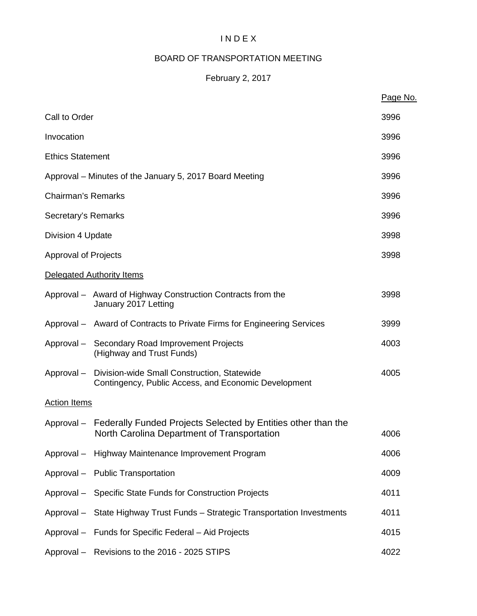# I N D E X

# BOARD OF TRANSPORTATION MEETING

# February 2, 2017

|                             |                                                                                                                         | Page No. |
|-----------------------------|-------------------------------------------------------------------------------------------------------------------------|----------|
| Call to Order               |                                                                                                                         | 3996     |
| Invocation                  |                                                                                                                         | 3996     |
| <b>Ethics Statement</b>     |                                                                                                                         | 3996     |
|                             | Approval – Minutes of the January 5, 2017 Board Meeting                                                                 | 3996     |
| <b>Chairman's Remarks</b>   |                                                                                                                         | 3996     |
| Secretary's Remarks         |                                                                                                                         | 3996     |
| Division 4 Update           |                                                                                                                         | 3998     |
| <b>Approval of Projects</b> |                                                                                                                         | 3998     |
|                             | Delegated Authority Items                                                                                               |          |
|                             | Approval - Award of Highway Construction Contracts from the<br>January 2017 Letting                                     | 3998     |
|                             | Approval - Award of Contracts to Private Firms for Engineering Services                                                 | 3999     |
|                             | Approval - Secondary Road Improvement Projects<br>(Highway and Trust Funds)                                             | 4003     |
| Approval –                  | Division-wide Small Construction, Statewide<br>Contingency, Public Access, and Economic Development                     | 4005     |
| <b>Action Items</b>         |                                                                                                                         |          |
|                             | Approval – Federally Funded Projects Selected by Entities other than the<br>North Carolina Department of Transportation | 4006     |
|                             | Approval - Highway Maintenance Improvement Program                                                                      | 4006     |
|                             | Approval - Public Transportation                                                                                        | 4009     |
|                             | Approval - Specific State Funds for Construction Projects                                                               | 4011     |
|                             | Approval - State Highway Trust Funds - Strategic Transportation Investments                                             | 4011     |
|                             | Approval - Funds for Specific Federal - Aid Projects                                                                    | 4015     |
|                             | Approval - Revisions to the 2016 - 2025 STIPS                                                                           | 4022     |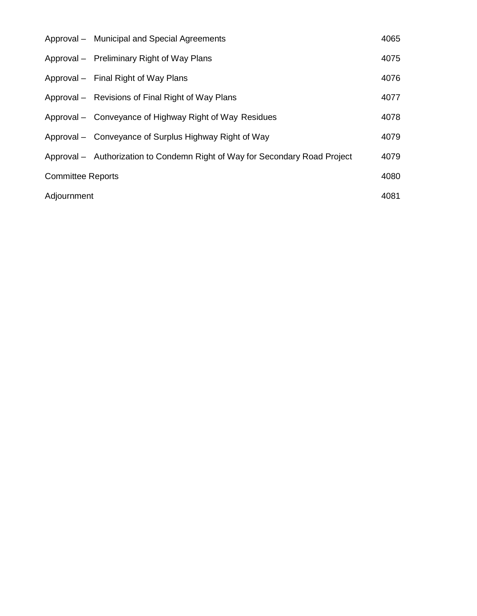|                          | Approval - Municipal and Special Agreements                                 | 4065 |
|--------------------------|-----------------------------------------------------------------------------|------|
|                          | Approval – Preliminary Right of Way Plans                                   | 4075 |
|                          | Approval – Final Right of Way Plans                                         | 4076 |
|                          | Approval - Revisions of Final Right of Way Plans                            | 4077 |
|                          | Approval – Conveyance of Highway Right of Way Residues                      | 4078 |
|                          | Approval – Conveyance of Surplus Highway Right of Way                       | 4079 |
|                          | Approval - Authorization to Condemn Right of Way for Secondary Road Project | 4079 |
| <b>Committee Reports</b> |                                                                             | 4080 |
| Adjournment              |                                                                             | 4081 |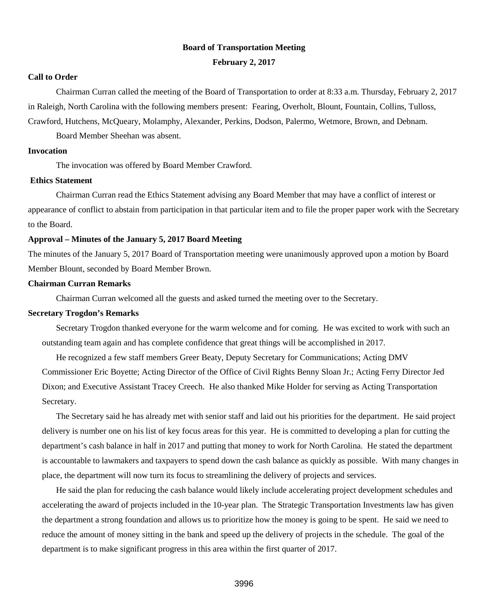#### **Board of Transportation Meeting**

#### **February 2, 2017**

#### **Call to Order**

Chairman Curran called the meeting of the Board of Transportation to order at 8:33 a.m. Thursday, February 2, 2017 in Raleigh, North Carolina with the following members present: Fearing, Overholt, Blount, Fountain, Collins, Tulloss, Crawford, Hutchens, McQueary, Molamphy, Alexander, Perkins, Dodson, Palermo, Wetmore, Brown, and Debnam.

Board Member Sheehan was absent.

#### **Invocation**

The invocation was offered by Board Member Crawford.

#### **Ethics Statement**

Chairman Curran read the Ethics Statement advising any Board Member that may have a conflict of interest or appearance of conflict to abstain from participation in that particular item and to file the proper paper work with the Secretary to the Board.

#### **Approval – Minutes of the January 5, 2017 Board Meeting**

The minutes of the January 5, 2017 Board of Transportation meeting were unanimously approved upon a motion by Board Member Blount, seconded by Board Member Brown.

#### **Chairman Curran Remarks**

Chairman Curran welcomed all the guests and asked turned the meeting over to the Secretary.

#### **Secretary Trogdon's Remarks**

Secretary Trogdon thanked everyone for the warm welcome and for coming. He was excited to work with such an outstanding team again and has complete confidence that great things will be accomplished in 2017.

He recognized a few staff members Greer Beaty, Deputy Secretary for Communications; Acting DMV Commissioner Eric Boyette; Acting Director of the Office of Civil Rights Benny Sloan Jr.; Acting Ferry Director Jed Dixon; and Executive Assistant Tracey Creech. He also thanked Mike Holder for serving as Acting Transportation Secretary.

The Secretary said he has already met with senior staff and laid out his priorities for the department. He said project delivery is number one on his list of key focus areas for this year. He is committed to developing a plan for cutting the department's cash balance in half in 2017 and putting that money to work for North Carolina. He stated the department is accountable to lawmakers and taxpayers to spend down the cash balance as quickly as possible. With many changes in place, the department will now turn its focus to streamlining the delivery of projects and services.

He said the plan for reducing the cash balance would likely include accelerating project development schedules and accelerating the award of projects included in the 10-year plan. The Strategic Transportation Investments law has given the department a strong foundation and allows us to prioritize how the money is going to be spent. He said we need to reduce the amount of money sitting in the bank and speed up the delivery of projects in the schedule. The goal of the department is to make significant progress in this area within the first quarter of 2017.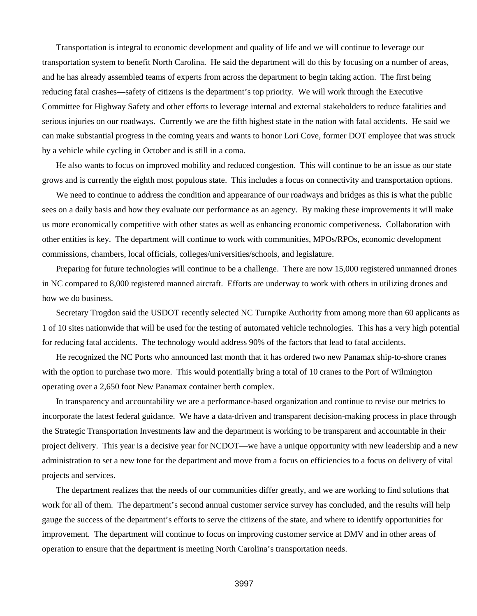Transportation is integral to economic development and quality of life and we will continue to leverage our transportation system to benefit North Carolina. He said the department will do this by focusing on a number of areas, and he has already assembled teams of experts from across the department to begin taking action. The first being reducing fatal crashes**—**safety of citizens is the department's top priority. We will work through the Executive Committee for Highway Safety and other efforts to leverage internal and external stakeholders to reduce fatalities and serious injuries on our roadways. Currently we are the fifth highest state in the nation with fatal accidents. He said we can make substantial progress in the coming years and wants to honor Lori Cove, former DOT employee that was struck by a vehicle while cycling in October and is still in a coma.

He also wants to focus on improved mobility and reduced congestion. This will continue to be an issue as our state grows and is currently the eighth most populous state. This includes a focus on connectivity and transportation options.

We need to continue to address the condition and appearance of our roadways and bridges as this is what the public sees on a daily basis and how they evaluate our performance as an agency. By making these improvements it will make us more economically competitive with other states as well as enhancing economic competiveness. Collaboration with other entities is key. The department will continue to work with communities, MPOs/RPOs, economic development commissions, chambers, local officials, colleges/universities/schools, and legislature.

Preparing for future technologies will continue to be a challenge. There are now 15,000 registered unmanned drones in NC compared to 8,000 registered manned aircraft. Efforts are underway to work with others in utilizing drones and how we do business.

Secretary Trogdon said the USDOT recently selected NC Turnpike Authority from among more than 60 applicants as 1 of 10 sites nationwide that will be used for the testing of automated vehicle technologies. This has a very high potential for reducing fatal accidents. The technology would address 90% of the factors that lead to fatal accidents.

He recognized the NC Ports who announced last month that it has ordered two new Panamax ship-to-shore cranes with the option to purchase two more. This would potentially bring a total of 10 cranes to the Port of Wilmington operating over a 2,650 foot New Panamax container berth complex.

In transparency and accountability we are a performance-based organization and continue to revise our metrics to incorporate the latest federal guidance. We have a data-driven and transparent decision-making process in place through the Strategic Transportation Investments law and the department is working to be transparent and accountable in their project delivery. This year is a decisive year for NCDOT—we have a unique opportunity with new leadership and a new administration to set a new tone for the department and move from a focus on efficiencies to a focus on delivery of vital projects and services.

The department realizes that the needs of our communities differ greatly, and we are working to find solutions that work for all of them. The department's second annual customer service survey has concluded, and the results will help gauge the success of the department's efforts to serve the citizens of the state, and where to identify opportunities for improvement. The department will continue to focus on improving customer service at DMV and in other areas of operation to ensure that the department is meeting North Carolina's transportation needs.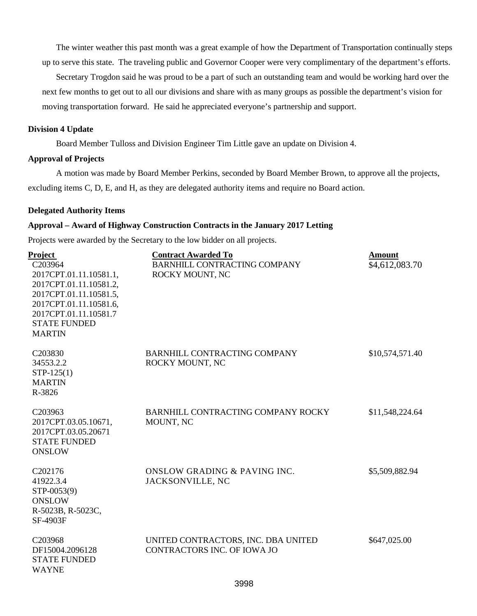The winter weather this past month was a great example of how the Department of Transportation continually steps up to serve this state. The traveling public and Governor Cooper were very complimentary of the department's efforts.

Secretary Trogdon said he was proud to be a part of such an outstanding team and would be working hard over the next few months to get out to all our divisions and share with as many groups as possible the department's vision for moving transportation forward. He said he appreciated everyone's partnership and support.

#### **Division 4 Update**

Board Member Tulloss and Division Engineer Tim Little gave an update on Division 4.

#### **Approval of Projects**

A motion was made by Board Member Perkins, seconded by Board Member Brown, to approve all the projects, excluding items C, D, E, and H, as they are delegated authority items and require no Board action.

#### **Delegated Authority Items**

#### **Approval – Award of Highway Construction Contracts in the January 2017 Letting**

Projects were awarded by the Secretary to the low bidder on all projects.

| Project<br>C203964<br>2017CPT.01.11.10581.1,<br>2017CPT.01.11.10581.2,<br>2017CPT.01.11.10581.5,<br>2017CPT.01.11.10581.6,<br>2017CPT.01.11.10581.7<br><b>STATE FUNDED</b><br><b>MARTIN</b> | <b>Contract Awarded To</b><br><b>BARNHILL CONTRACTING COMPANY</b><br>ROCKY MOUNT, NC | <b>Amount</b><br>\$4,612,083.70 |
|---------------------------------------------------------------------------------------------------------------------------------------------------------------------------------------------|--------------------------------------------------------------------------------------|---------------------------------|
| C203830<br>34553.2.2<br>$STP-125(1)$<br><b>MARTIN</b><br>R-3826                                                                                                                             | <b>BARNHILL CONTRACTING COMPANY</b><br>ROCKY MOUNT, NC                               | \$10,574,571.40                 |
| C203963<br>2017CPT.03.05.10671,<br>2017CPT.03.05.20671<br><b>STATE FUNDED</b><br><b>ONSLOW</b>                                                                                              | <b>BARNHILL CONTRACTING COMPANY ROCKY</b><br>MOUNT, NC                               | \$11,548,224.64                 |
| C202176<br>41922.3.4<br>STP-0053(9)<br><b>ONSLOW</b><br>R-5023B, R-5023C,<br>SF-4903F                                                                                                       | <b>ONSLOW GRADING &amp; PAVING INC.</b><br>JACKSONVILLE, NC                          | \$5,509,882.94                  |
| C <sub>20</sub> 3968<br>DF15004.2096128<br><b>STATE FUNDED</b><br><b>WAYNE</b>                                                                                                              | UNITED CONTRACTORS, INC. DBA UNITED<br><b>CONTRACTORS INC. OF IOWA JO</b>            | \$647,025.00                    |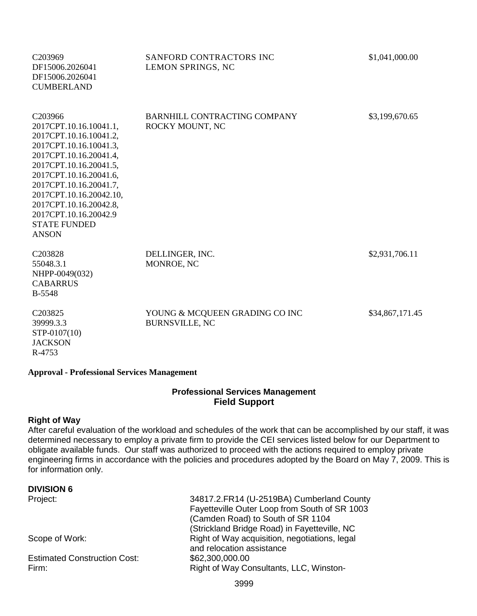| C <sub>203969</sub><br>DF15006.2026041<br>DF15006.2026041<br><b>CUMBERLAND</b>                                                                                                                                                                                                                                                 | SANFORD CONTRACTORS INC<br>LEMON SPRINGS, NC            | \$1,041,000.00  |
|--------------------------------------------------------------------------------------------------------------------------------------------------------------------------------------------------------------------------------------------------------------------------------------------------------------------------------|---------------------------------------------------------|-----------------|
| C <sub>203966</sub><br>2017CPT.10.16.10041.1,<br>2017CPT.10.16.10041.2,<br>2017CPT.10.16.10041.3,<br>2017CPT.10.16.20041.4,<br>2017CPT.10.16.20041.5,<br>2017CPT.10.16.20041.6,<br>2017CPT.10.16.20041.7,<br>2017CPT.10.16.20042.10,<br>2017CPT.10.16.20042.8,<br>2017CPT.10.16.20042.9<br><b>STATE FUNDED</b><br><b>ANSON</b> | BARNHILL CONTRACTING COMPANY<br>ROCKY MOUNT, NC         | \$3,199,670.65  |
| C203828<br>55048.3.1<br>NHPP-0049(032)<br><b>CABARRUS</b><br><b>B-5548</b>                                                                                                                                                                                                                                                     | DELLINGER, INC.<br>MONROE, NC                           | \$2,931,706.11  |
| C203825<br>39999.3.3<br>STP-0107(10)<br><b>JACKSON</b><br>R-4753                                                                                                                                                                                                                                                               | YOUNG & MCQUEEN GRADING CO INC<br><b>BURNSVILLE, NC</b> | \$34,867,171.45 |

#### **Approval - Professional Services Management**

#### **Professional Services Management Field Support**

#### **Right of Way**

After careful evaluation of the workload and schedules of the work that can be accomplished by our staff, it was determined necessary to employ a private firm to provide the CEI services listed below for our Department to obligate available funds. Our staff was authorized to proceed with the actions required to employ private engineering firms in accordance with the policies and procedures adopted by the Board on May 7, 2009. This is for information only.

#### **DIVISION 6**

Estimated Construction Cost: \$62,300,000.00

Project: 34817.2.FR14 (U-2519BA) Cumberland County Fayetteville Outer Loop from South of SR 1003 (Camden Road) to South of SR 1104 (Strickland Bridge Road) in Fayetteville, NC Scope of Work: Scope of Work: Right of Way acquisition, negotiations, legal and relocation assistance Firm: Firm: Example 2011 11 Right of Way Consultants, LLC, Winston-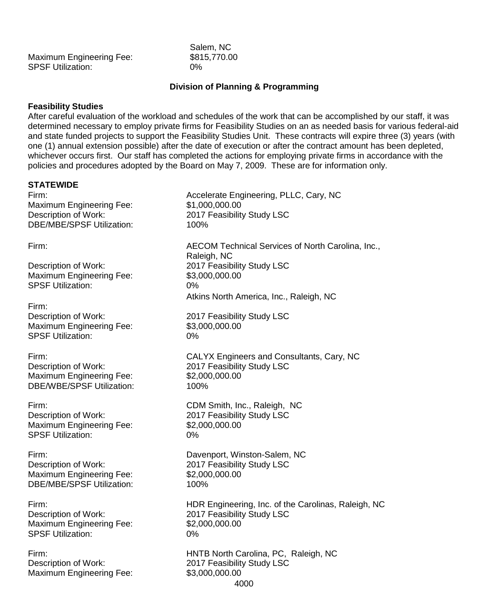| <b>Maximum Engineering Fee:</b> | \$81  |
|---------------------------------|-------|
| <b>SPSF Utilization:</b>        | $0\%$ |

Salem, NC  $$815.770.00$ 

### **Division of Planning & Programming**

#### **Feasibility Studies**

After careful evaluation of the workload and schedules of the work that can be accomplished by our staff, it was determined necessary to employ private firms for Feasibility Studies on an as needed basis for various federal-aid and state funded projects to support the Feasibility Studies Unit. These contracts will expire three (3) years (with one (1) annual extension possible) after the date of execution or after the contract amount has been depleted, whichever occurs first. Our staff has completed the actions for employing private firms in accordance with the policies and procedures adopted by the Board on May 7, 2009. These are for information only.

#### **STATEWIDE**

Maximum Engineering Fee: \$1,000,000.00 DBE/MBE/SPSF Utilization: 100%

Maximum Engineering Fee: \$3,000,000.00 SPSF Utilization: 0%

Firm:

Maximum Engineering Fee: \$3,000,000.00<br>SPSF Utilization: 69% SPSF Utilization:

Maximum Engineering Fee: \$2,000,000.00 DBE/WBE/SPSF Utilization: 100%

Maximum Engineering Fee: \$2,000,000.00 SPSF Utilization: 0%

Maximum Engineering Fee: \$2,000,000.000 DBE/MBE/SPSF Utilization: 100%

Maximum Engineering Fee: \$2,000,000.00 SPSF Utilization: 0%

Description of Work: 2017 Feasibility Study LSC Maximum Engineering Fee: \$3,000,000.00

Firm: Accelerate Engineering, PLLC, Cary, NC Description of Work: 2017 Feasibility Study LSC Firm: AECOM Technical Services of North Carolina, Inc., Raleigh, NC Description of Work: 2017 Feasibility Study LSC Atkins North America, Inc., Raleigh, NC Description of Work: 2017 Feasibility Study LSC Firm: CALYX Engineers and Consultants, Cary, NC Description of Work: 2017 Feasibility Study LSC Firm: CDM Smith, Inc., Raleigh, NC Description of Work: 2017 Feasibility Study LSC Firm: Davenport, Winston-Salem, NC Description of Work: 2017 Feasibility Study LSC Firm: HDR Engineering, Inc. of the Carolinas, Raleigh, NC Description of Work: 2017 Feasibility Study LSC Firm: HNTB North Carolina, PC, Raleigh, NC

4000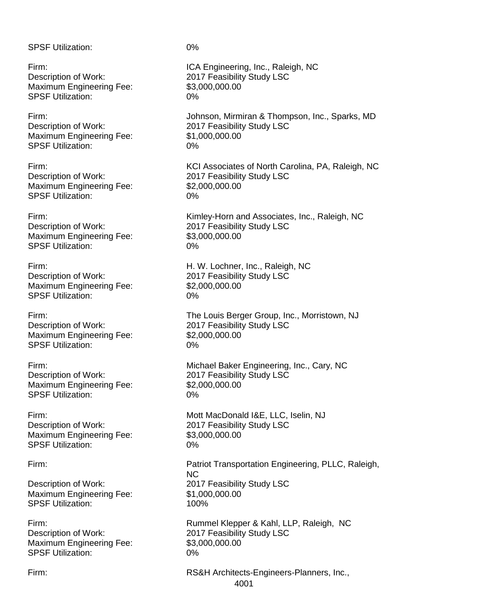SPSF Utilization: 0% Firm: ICA Engineering, Inc., Raleigh, NC Description of Work: 2017 Feasibility Study LSC Maximum Engineering Fee: \$3,000,000.00 SPSF Utilization: 0% Firm:<br>
Johnson, Mirmiran & Thompson, Inc., Sparks, MD<br>
2017 Feasibility Study LSC 2017 Feasibility Study LSC Maximum Engineering Fee: \$1,000,000.00 SPSF Utilization: 0% Firm: Firm: Firm: Exercise of North Carolina, PA, Raleigh, NC<br>Description of Work: 2017 Feasibility Study LSC 2017 Feasibility Study LSC Maximum Engineering Fee: \$2,000,000.00 SPSF Utilization: 0% Firm:<br>
Entertainment Mork:<br>  $\frac{1}{2017}$  Feasibility Study LSC<br>
Feasibility Study LSC 2017 Feasibility Study LSC<br>\$3.000.000.00 Maximum Engineering Fee: SPSF Utilization: 0% Firm: Firm: Example 2011 11: H. W. Lochner, Inc., Raleigh, NC Description of Work: 2017 Feasibility Study LSC Maximum Engineering Fee: \$2,000,000.000 SPSF Utilization: 0% Firm: The Louis Berger Group, Inc., Morristown, NJ Description of Work: 2017 Feasibility Study LSC Maximum Engineering Fee: \$2,000,000.00 SPSF Utilization: 0% Firm: Michael Baker Engineering, Inc., Cary, NC Description of Work: 2017 Feasibility Study LSC Maximum Engineering Fee: \$2,000,000.00 SPSF Utilization: 0% Firm: Mott MacDonald I&E, LLC, Iselin, NJ Description of Work: 2017 Feasibility Study LSC Maximum Engineering Fee: \$3,000,000.00 SPSF Utilization: 0% Firm: Patriot Transportation Engineering, PLLC, Raleigh, NC Description of Work: 2017 Feasibility Study LSC Maximum Engineering Fee: \$1,000,000.00 SPSF Utilization: 100% Firm: Rummel Klepper & Kahl, LLP, Raleigh, NC Description of Work: 2017 Feasibility Study LSC Maximum Engineering Fee: \$3,000,000.00 SPSF Utilization: 0%

Firm: RS&H Architects-Engineers-Planners, Inc.,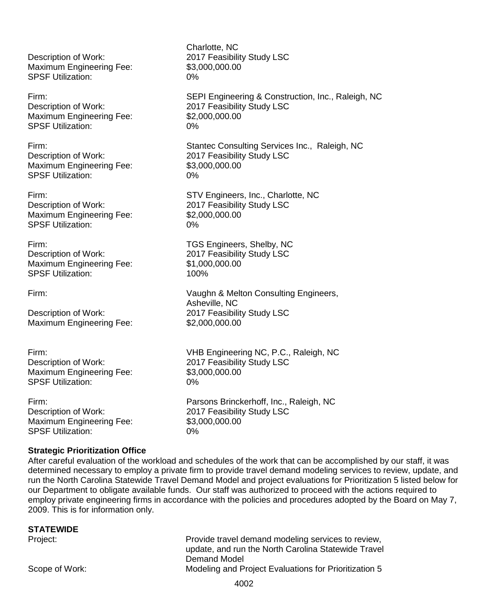Description of Work: 2017 Feasibility Study LSC Maximum Engineering Fee: \$3,000,000.00 SPSF Utilization: 0%

#### Firm: SEPI Engineering & Construction, Inc., Raleigh, NC

Description of Work: 2017 Feasibility Study LSC<br>
Maximum Engineering Fee: \$2,000,000.00 Maximum Engineering Fee: \$2,000,000.00 SPSF Utilization:

#### Firm: Stantec Consulting Services Inc., Raleigh, NC

Description of Work: 2017 Feasibility Study LSC Maximum Engineering Fee: \$3,000,000.00 SPSF Utilization: 0%

Firm: Firm: STV Engineers, Inc., Charlotte, NC<br>Description of Work: 2017 Feasibility Study LSC Maximum Engineering Fee: \$2,000,000.00 SPSF Utilization: 0%

#### Firm: TGS Engineers, Shelby, NC

Description of Work: 2017 Feasibility Study LSC Maximum Engineering Fee: \$1,000,000.00<br>SPSF Utilization: \$100% SPSF Utilization:

#### Firm: Vaughn & Melton Consulting Engineers,

Description of Work: 2017 Feasibility Study LSC Maximum Engineering Fee: \$2,000,000.00

Firm: VHB Engineering NC, P.C., Raleigh, NC Description of Work: 2017 Feasibility Study LSC Maximum Engineering Fee: \$3,000,000.00 SPSF Utilization: 0%

Firm:<br>
Parsons Brinckerhoff, Inc., Raleigh, NC<br>
2017 Feasibility Study LSC Maximum Engineering Fee: \$3,000,000.000 SPSF Utilization: 0%

#### **Strategic Prioritization Office**

After careful evaluation of the workload and schedules of the work that can be accomplished by our staff, it was determined necessary to employ a private firm to provide travel demand modeling services to review, update, and run the North Carolina Statewide Travel Demand Model and project evaluations for Prioritization 5 listed below for our Department to obligate available funds. Our staff was authorized to proceed with the actions required to employ private engineering firms in accordance with the policies and procedures adopted by the Board on May 7, 2009. This is for information only.

2017 Feasibility Study LSC

| Provide travel demand modeling services to review,    |
|-------------------------------------------------------|
| update, and run the North Carolina Statewide Travel   |
|                                                       |
| Modeling and Project Evaluations for Prioritization 5 |
|                                                       |

Charlotte, NC

2017 Feasibility Study LSC

Asheville, NC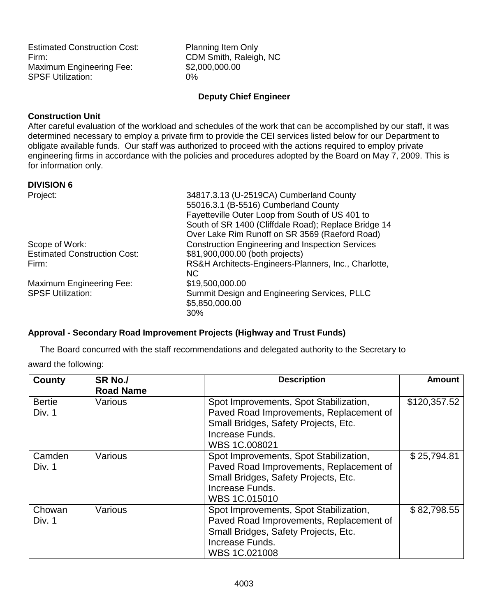Estimated Construction Cost: Planning Item Only Firm: CDM Smith, Raleigh, NC Maximum Engineering Fee: \$2,000,000.00<br>SPSF Utilization: 0% **SPSF Utilization:** 

#### **Deputy Chief Engineer**

#### **Construction Unit**

After careful evaluation of the workload and schedules of the work that can be accomplished by our staff, it was determined necessary to employ a private firm to provide the CEI services listed below for our Department to obligate available funds. Our staff was authorized to proceed with the actions required to employ private engineering firms in accordance with the policies and procedures adopted by the Board on May 7, 2009. This is for information only.

#### **DIVISION 6**

| Project:                            | 34817.3.13 (U-2519CA) Cumberland County                 |
|-------------------------------------|---------------------------------------------------------|
|                                     | 55016.3.1 (B-5516) Cumberland County                    |
|                                     | Fayetteville Outer Loop from South of US 401 to         |
|                                     | South of SR 1400 (Cliffdale Road); Replace Bridge 14    |
|                                     | Over Lake Rim Runoff on SR 3569 (Raeford Road)          |
| Scope of Work:                      | <b>Construction Engineering and Inspection Services</b> |
| <b>Estimated Construction Cost:</b> | \$81,900,000.00 (both projects)                         |
| Firm:                               | RS&H Architects-Engineers-Planners, Inc., Charlotte,    |
|                                     | NC.                                                     |
| <b>Maximum Engineering Fee:</b>     | \$19,500,000.00                                         |
| <b>SPSF Utilization:</b>            | Summit Design and Engineering Services, PLLC            |
|                                     | \$5,850,000.00                                          |
|                                     | 30%                                                     |

#### **Approval - Secondary Road Improvement Projects (Highway and Trust Funds)**

The Board concurred with the staff recommendations and delegated authority to the Secretary to

award the following:

| County        | SR <sub>No.</sub> / | <b>Description</b>                      | <b>Amount</b> |
|---------------|---------------------|-----------------------------------------|---------------|
|               | <b>Road Name</b>    |                                         |               |
| <b>Bertie</b> | Various             | Spot Improvements, Spot Stabilization,  | \$120,357.52  |
| Div. 1        |                     | Paved Road Improvements, Replacement of |               |
|               |                     | Small Bridges, Safety Projects, Etc.    |               |
|               |                     | Increase Funds.                         |               |
|               |                     | WBS 1C.008021                           |               |
| Camden        | Various             | Spot Improvements, Spot Stabilization,  | \$25,794.81   |
| Div. 1        |                     | Paved Road Improvements, Replacement of |               |
|               |                     | Small Bridges, Safety Projects, Etc.    |               |
|               |                     | Increase Funds.                         |               |
|               |                     | WBS 1C.015010                           |               |
| Chowan        | Various             | Spot Improvements, Spot Stabilization,  | \$82,798.55   |
| Div. 1        |                     | Paved Road Improvements, Replacement of |               |
|               |                     | Small Bridges, Safety Projects, Etc.    |               |
|               |                     | Increase Funds.                         |               |
|               |                     | WBS 1C.021008                           |               |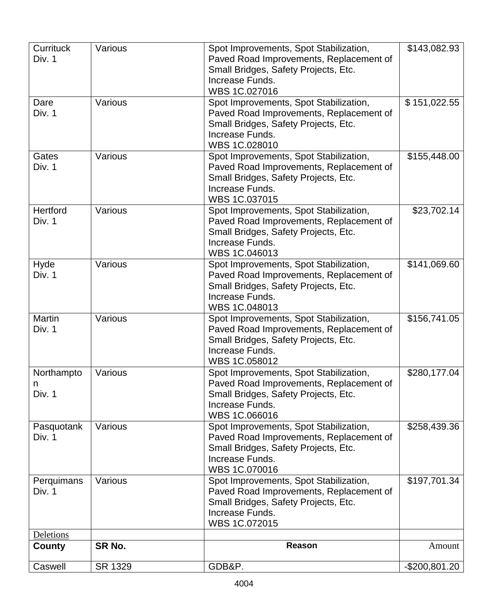| <b>Currituck</b><br>Div. 1        | Various | Spot Improvements, Spot Stabilization,<br>Paved Road Improvements, Replacement of<br>Small Bridges, Safety Projects, Etc.<br>Increase Funds.<br>WBS 1C.027016 | \$143,082.93   |
|-----------------------------------|---------|---------------------------------------------------------------------------------------------------------------------------------------------------------------|----------------|
| Dare<br>Div. 1                    | Various | Spot Improvements, Spot Stabilization,<br>Paved Road Improvements, Replacement of<br>Small Bridges, Safety Projects, Etc.<br>Increase Funds.<br>WBS 1C.028010 | \$151,022.55   |
| Gates<br>Div. 1                   | Various | Spot Improvements, Spot Stabilization,<br>Paved Road Improvements, Replacement of<br>Small Bridges, Safety Projects, Etc.<br>Increase Funds.<br>WBS 1C.037015 | \$155,448.00   |
| <b>Hertford</b><br>Div. 1         | Various | Spot Improvements, Spot Stabilization,<br>Paved Road Improvements, Replacement of<br>Small Bridges, Safety Projects, Etc.<br>Increase Funds.<br>WBS 1C.046013 | \$23,702.14    |
| Hyde<br>Div. 1                    | Various | Spot Improvements, Spot Stabilization,<br>Paved Road Improvements, Replacement of<br>Small Bridges, Safety Projects, Etc.<br>Increase Funds.<br>WBS 1C.048013 | \$141,069.60   |
| <b>Martin</b><br>Div. 1           | Various | Spot Improvements, Spot Stabilization,<br>Paved Road Improvements, Replacement of<br>Small Bridges, Safety Projects, Etc.<br>Increase Funds.<br>WBS 1C.058012 | \$156,741.05   |
| Northampto<br>n<br>Div. 1         | Various | Spot Improvements, Spot Stabilization,<br>Paved Road Improvements, Replacement of<br>Small Bridges, Safety Projects, Etc.<br>Increase Funds.<br>WBS 1C.066016 | \$280,177.04   |
| Pasquotank<br>Div. 1              | Various | Spot Improvements, Spot Stabilization,<br>Paved Road Improvements, Replacement of<br>Small Bridges, Safety Projects, Etc.<br>Increase Funds.<br>WBS 1C.070016 | \$258,439.36   |
| Perquimans<br>Div. 1              | Various | Spot Improvements, Spot Stabilization,<br>Paved Road Improvements, Replacement of<br>Small Bridges, Safety Projects, Etc.<br>Increase Funds.<br>WBS 1C.072015 | \$197,701.34   |
| <b>Deletions</b><br><b>County</b> | SR No.  | Reason                                                                                                                                                        | Amount         |
| Caswell                           | SR 1329 | GDB&P.                                                                                                                                                        | $-$200,801.20$ |
|                                   |         |                                                                                                                                                               |                |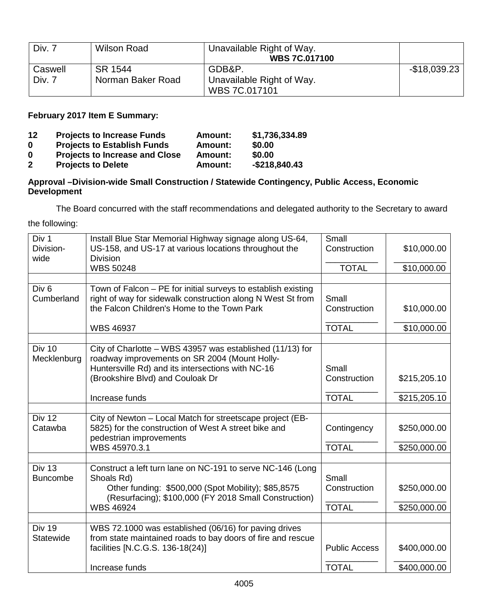| Div. 7  | Wilson Road       | Unavailable Right of Way.<br><b>WBS 7C.017100</b> |               |
|---------|-------------------|---------------------------------------------------|---------------|
| Caswell | SR 1544           | GDB&P.                                            | $-$18,039.23$ |
| Div. 7  | Norman Baker Road | Unavailable Right of Way.                         |               |
|         |                   | WBS 7C.017101                                     |               |

**February 2017 Item E Summary:**

| 12           | <b>Projects to Increase Funds</b>     | <b>Amount:</b> | \$1,736,334.89   |
|--------------|---------------------------------------|----------------|------------------|
| 0            | <b>Projects to Establish Funds</b>    | Amount:        | \$0.00           |
| 0            | <b>Projects to Increase and Close</b> | Amount:        | \$0.00           |
| $\mathbf{2}$ | <b>Projects to Delete</b>             | Amount:        | $-$ \$218,840.43 |

#### **Approval –Division-wide Small Construction / Statewide Contingency, Public Access, Economic Development**

The Board concurred with the staff recommendations and delegated authority to the Secretary to award

the following:

| Div 1<br>Division-<br>wide       | Install Blue Star Memorial Highway signage along US-64,<br>US-158, and US-17 at various locations throughout the<br><b>Division</b>                                                                 | Small<br>Construction | \$10,000.00  |
|----------------------------------|-----------------------------------------------------------------------------------------------------------------------------------------------------------------------------------------------------|-----------------------|--------------|
|                                  | <b>WBS 50248</b>                                                                                                                                                                                    | <b>TOTAL</b>          | \$10,000.00  |
|                                  |                                                                                                                                                                                                     |                       |              |
| Div <sub>6</sub><br>Cumberland   | Town of Falcon - PE for initial surveys to establish existing<br>right of way for sidewalk construction along N West St from<br>the Falcon Children's Home to the Town Park                         | Small<br>Construction | \$10,000.00  |
|                                  | <b>WBS 46937</b>                                                                                                                                                                                    | <b>TOTAL</b>          | \$10,000.00  |
|                                  |                                                                                                                                                                                                     |                       |              |
| <b>Div 10</b><br>Mecklenburg     | City of Charlotte - WBS 43957 was established (11/13) for<br>roadway improvements on SR 2004 (Mount Holly-<br>Huntersville Rd) and its intersections with NC-16<br>(Brookshire Blvd) and Couloak Dr | Small<br>Construction | \$215,205.10 |
|                                  | Increase funds                                                                                                                                                                                      | <b>TOTAL</b>          | \$215,205.10 |
|                                  |                                                                                                                                                                                                     |                       |              |
| <b>Div 12</b><br>Catawba         | City of Newton - Local Match for streetscape project (EB-<br>5825) for the construction of West A street bike and<br>pedestrian improvements                                                        | Contingency           | \$250,000.00 |
|                                  | WBS 45970.3.1                                                                                                                                                                                       | <b>TOTAL</b>          | \$250,000.00 |
|                                  |                                                                                                                                                                                                     |                       |              |
| <b>Div 13</b><br><b>Buncombe</b> | Construct a left turn lane on NC-191 to serve NC-146 (Long<br>Shoals Rd)<br>Other funding: \$500,000 (Spot Mobility); \$85,8575<br>(Resurfacing); \$100,000 (FY 2018 Small Construction)            | Small<br>Construction | \$250,000.00 |
|                                  | <b>WBS 46924</b>                                                                                                                                                                                    | <b>TOTAL</b>          | \$250,000.00 |
|                                  |                                                                                                                                                                                                     |                       |              |
| Div 19<br>Statewide              | WBS 72.1000 was established (06/16) for paving drives<br>from state maintained roads to bay doors of fire and rescue<br>facilities [N.C.G.S. 136-18(24)]                                            | <b>Public Access</b>  | \$400,000.00 |
|                                  | Increase funds                                                                                                                                                                                      | <b>TOTAL</b>          | \$400,000.00 |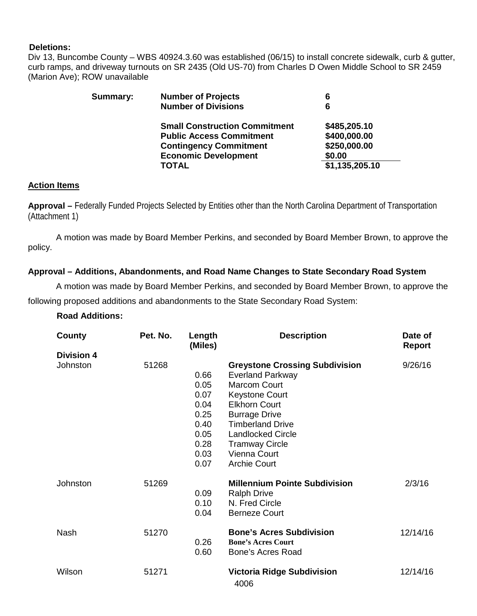#### **Deletions:**

Div 13, Buncombe County – WBS 40924.3.60 was established (06/15) to install concrete sidewalk, curb & gutter, curb ramps, and driveway turnouts on SR 2435 (Old US-70) from Charles D Owen Middle School to SR 2459 (Marion Ave); ROW unavailable

| Summary: | <b>Number of Projects</b>            | 6              |
|----------|--------------------------------------|----------------|
|          | <b>Number of Divisions</b>           | 6              |
|          | <b>Small Construction Commitment</b> | \$485,205.10   |
|          | <b>Public Access Commitment</b>      | \$400,000.00   |
|          | <b>Contingency Commitment</b>        | \$250,000.00   |
|          | <b>Economic Development</b>          | \$0.00         |
|          | <b>TOTAL</b>                         | \$1,135,205.10 |
|          |                                      |                |

#### **Action Items**

**Approval –** Federally Funded Projects Selected by Entities other than the North Carolina Department of Transportation (Attachment 1)

A motion was made by Board Member Perkins, and seconded by Board Member Brown, to approve the policy.

#### **Approval – Additions, Abandonments, and Road Name Changes to State Secondary Road System**

A motion was made by Board Member Perkins, and seconded by Board Member Brown, to approve the following proposed additions and abandonments to the State Secondary Road System:

#### **Road Additions:**

| County            | Pet. No. | Length<br>(Miles)                                                            | <b>Description</b>                                                                                                                                                                                                                                                                      | Date of<br><b>Report</b> |
|-------------------|----------|------------------------------------------------------------------------------|-----------------------------------------------------------------------------------------------------------------------------------------------------------------------------------------------------------------------------------------------------------------------------------------|--------------------------|
| <b>Division 4</b> |          |                                                                              |                                                                                                                                                                                                                                                                                         |                          |
| Johnston          | 51268    | 0.66<br>0.05<br>0.07<br>0.04<br>0.25<br>0.40<br>0.05<br>0.28<br>0.03<br>0.07 | <b>Greystone Crossing Subdivision</b><br><b>Everland Parkway</b><br><b>Marcom Court</b><br><b>Keystone Court</b><br><b>Elkhorn Court</b><br><b>Burrage Drive</b><br><b>Timberland Drive</b><br><b>Landlocked Circle</b><br><b>Tramway Circle</b><br>Vienna Court<br><b>Archie Court</b> | 9/26/16                  |
| Johnston          | 51269    | 0.09<br>0.10<br>0.04                                                         | <b>Millennium Pointe Subdivision</b><br><b>Ralph Drive</b><br>N. Fred Circle<br><b>Berneze Court</b>                                                                                                                                                                                    | 2/3/16                   |
| <b>Nash</b>       | 51270    | 0.26<br>0.60                                                                 | <b>Bone's Acres Subdivision</b><br><b>Bone's Acres Court</b><br><b>Bone's Acres Road</b>                                                                                                                                                                                                | 12/14/16                 |
| Wilson            | 51271    |                                                                              | <b>Victoria Ridge Subdivision</b><br>4006                                                                                                                                                                                                                                               | 12/14/16                 |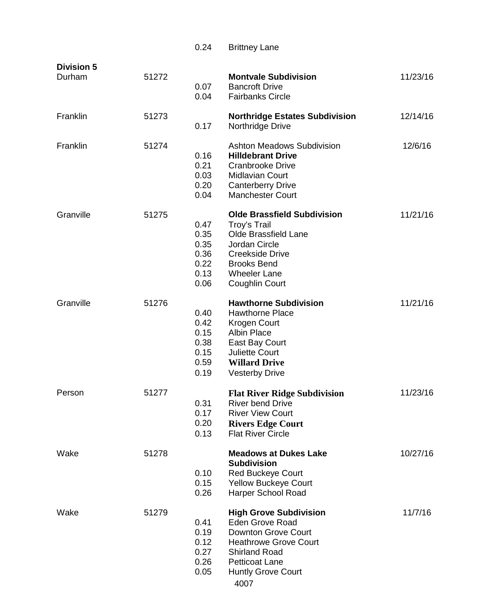|                             |       | 0.24                                                 | <b>Brittney Lane</b>                                                                                                                                                                                        |          |
|-----------------------------|-------|------------------------------------------------------|-------------------------------------------------------------------------------------------------------------------------------------------------------------------------------------------------------------|----------|
| <b>Division 5</b><br>Durham | 51272 | 0.07<br>0.04                                         | <b>Montvale Subdivision</b><br><b>Bancroft Drive</b><br><b>Fairbanks Circle</b>                                                                                                                             | 11/23/16 |
| Franklin                    | 51273 | 0.17                                                 | <b>Northridge Estates Subdivision</b><br>Northridge Drive                                                                                                                                                   | 12/14/16 |
| Franklin                    | 51274 | 0.16<br>0.21<br>0.03<br>0.20<br>0.04                 | <b>Ashton Meadows Subdivision</b><br><b>Hilldebrant Drive</b><br><b>Cranbrooke Drive</b><br><b>Midlavian Court</b><br><b>Canterberry Drive</b><br><b>Manchester Court</b>                                   | 12/6/16  |
| Granville                   | 51275 | 0.47<br>0.35<br>0.35<br>0.36<br>0.22<br>0.13<br>0.06 | <b>Olde Brassfield Subdivision</b><br>Troy's Trail<br>Olde Brassfield Lane<br>Jordan Circle<br><b>Creekside Drive</b><br><b>Brooks Bend</b><br><b>Wheeler Lane</b><br>Coughlin Court                        | 11/21/16 |
| Granville                   | 51276 | 0.40<br>0.42<br>0.15<br>0.38<br>0.15<br>0.59<br>0.19 | <b>Hawthorne Subdivision</b><br><b>Hawthorne Place</b><br>Krogen Court<br><b>Albin Place</b><br>East Bay Court<br><b>Juliette Court</b><br><b>Willard Drive</b><br><b>Vesterby Drive</b>                    | 11/21/16 |
| Person                      | 51277 | 0.31<br>0.17<br>0.20<br>0.13                         | <b>Flat River Ridge Subdivision</b><br><b>River bend Drive</b><br><b>River View Court</b><br><b>Rivers Edge Court</b><br><b>Flat River Circle</b>                                                           | 11/23/16 |
| Wake                        | 51278 | 0.10<br>0.15<br>0.26                                 | <b>Meadows at Dukes Lake</b><br><b>Subdivision</b><br><b>Red Buckeye Court</b><br><b>Yellow Buckeye Court</b><br>Harper School Road                                                                         | 10/27/16 |
| Wake                        | 51279 | 0.41<br>0.19<br>0.12<br>0.27<br>0.26<br>0.05         | <b>High Grove Subdivision</b><br><b>Eden Grove Road</b><br><b>Downton Grove Court</b><br><b>Heathrowe Grove Court</b><br><b>Shirland Road</b><br><b>Petticoat Lane</b><br><b>Huntly Grove Court</b><br>4007 | 11/7/16  |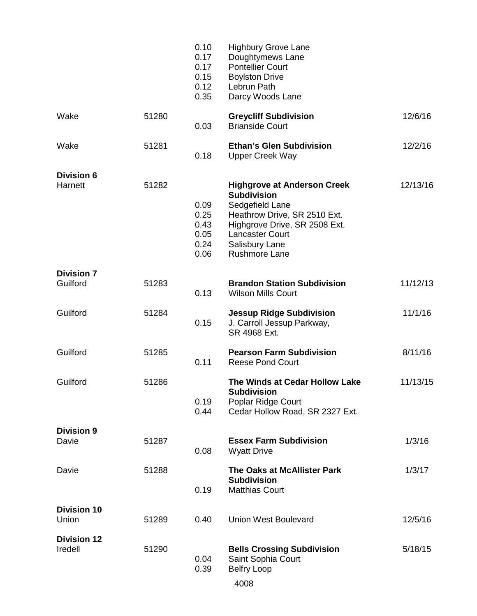|                               |       | 0.10<br>0.17<br>0.17<br>0.15<br>0.12<br>0.35 | <b>Highbury Grove Lane</b><br>Doughtymews Lane<br><b>Pontellier Court</b><br><b>Boylston Drive</b><br>Lebrun Path<br>Darcy Woods Lane                                                                     |          |
|-------------------------------|-------|----------------------------------------------|-----------------------------------------------------------------------------------------------------------------------------------------------------------------------------------------------------------|----------|
| Wake                          | 51280 | 0.03                                         | <b>Greycliff Subdivision</b><br><b>Brianside Court</b>                                                                                                                                                    | 12/6/16  |
| Wake                          | 51281 | 0.18                                         | <b>Ethan's Glen Subdivision</b><br><b>Upper Creek Way</b>                                                                                                                                                 | 12/2/16  |
| <b>Division 6</b><br>Harnett  | 51282 | 0.09<br>0.25<br>0.43<br>0.05<br>0.24<br>0.06 | <b>Highgrove at Anderson Creek</b><br><b>Subdivision</b><br>Sedgefield Lane<br>Heathrow Drive, SR 2510 Ext.<br>Highgrove Drive, SR 2508 Ext.<br><b>Lancaster Court</b><br>Salisbury Lane<br>Rushmore Lane | 12/13/16 |
| <b>Division 7</b><br>Guilford | 51283 | 0.13                                         | <b>Brandon Station Subdivision</b><br><b>Wilson Mills Court</b>                                                                                                                                           | 11/12/13 |
| Guilford                      | 51284 | 0.15                                         | <b>Jessup Ridge Subdivision</b><br>J. Carroll Jessup Parkway,<br>SR 4968 Ext.                                                                                                                             | 11/1/16  |
| Guilford                      | 51285 | 0.11                                         | <b>Pearson Farm Subdivision</b><br><b>Reese Pond Court</b>                                                                                                                                                | 8/11/16  |
| Guilford                      | 51286 | 0.19<br>0.44                                 | The Winds at Cedar Hollow Lake<br><b>Subdivision</b><br>Poplar Ridge Court<br>Cedar Hollow Road, SR 2327 Ext.                                                                                             | 11/13/15 |
| <b>Division 9</b><br>Davie    | 51287 | 0.08                                         | <b>Essex Farm Subdivision</b><br><b>Wyatt Drive</b>                                                                                                                                                       | 1/3/16   |
| Davie                         | 51288 | 0.19                                         | The Oaks at McAllister Park<br><b>Subdivision</b><br><b>Matthias Court</b>                                                                                                                                | 1/3/17   |
| <b>Division 10</b><br>Union   | 51289 | 0.40                                         | <b>Union West Boulevard</b>                                                                                                                                                                               | 12/5/16  |
| <b>Division 12</b><br>Iredell | 51290 | 0.04<br>0.39                                 | <b>Bells Crossing Subdivision</b><br>Saint Sophia Court<br><b>Belfry Loop</b><br>4008                                                                                                                     | 5/18/15  |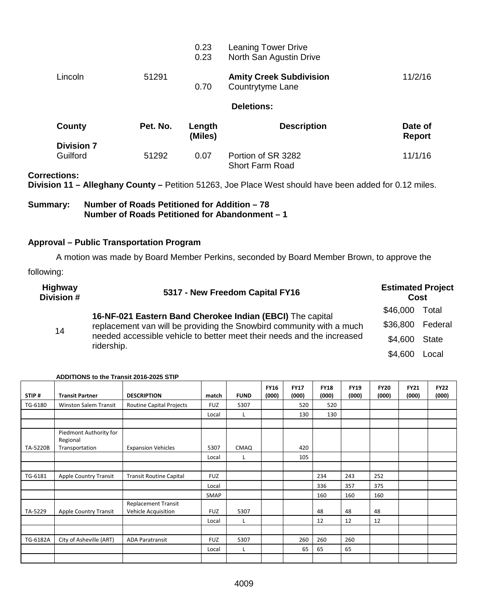|                   |          | 0.23<br>0.23      | <b>Leaning Tower Drive</b><br>North San Agustin Drive |                          |
|-------------------|----------|-------------------|-------------------------------------------------------|--------------------------|
| Lincoln           | 51291    | 0.70              | <b>Amity Creek Subdivision</b><br>Countrytyme Lane    | 11/2/16                  |
|                   |          |                   | <b>Deletions:</b>                                     |                          |
| County            | Pet. No. | Length<br>(Miles) | <b>Description</b>                                    | Date of<br><b>Report</b> |
| <b>Division 7</b> |          |                   |                                                       |                          |
| Guilford          | 51292    | 0.07              | Portion of SR 3282<br><b>Short Farm Road</b>          | 11/1/16                  |

**Corrections:**

**Division 11 – Alleghany County –** Petition 51263, Joe Place West should have been added for 0.12 miles.

#### **Summary: Number of Roads Petitioned for Addition – 78 Number of Roads Petitioned for Abandonment – 1**

#### **Approval – Public Transportation Program**

A motion was made by Board Member Perkins, seconded by Board Member Brown, to approve the following:

| <b>Highway</b><br>Division # | 5317 - New Freedom Capital FY16                                                                                                                              | <b>Estimated Project</b><br>Cost |              |
|------------------------------|--------------------------------------------------------------------------------------------------------------------------------------------------------------|----------------------------------|--------------|
|                              | 16-NF-021 Eastern Band Cherokee Indian (EBCI) The capital                                                                                                    | \$46,000                         | Total        |
| 14                           | replacement van will be providing the Snowbird community with a much<br>needed accessible vehicle to better meet their needs and the increased<br>ridership. | \$36,800 Federal                 |              |
|                              |                                                                                                                                                              | \$4,600                          | <b>State</b> |
|                              |                                                                                                                                                              | \$4,600                          | Local        |

| STIP#    | <b>Transit Partner</b>             | <b>DESCRIPTION</b>                                | match      | <b>FUND</b> | <b>FY16</b><br>(000) | <b>FY17</b><br>(000) | <b>FY18</b><br>(000) | <b>FY19</b><br>(000) | <b>FY20</b><br>(000) | <b>FY21</b><br>(000) | <b>FY22</b><br>(000) |
|----------|------------------------------------|---------------------------------------------------|------------|-------------|----------------------|----------------------|----------------------|----------------------|----------------------|----------------------|----------------------|
| TG-6180  | <b>Winston Salem Transit</b>       | <b>Routine Capital Projects</b>                   | <b>FUZ</b> | 5307        |                      | 520                  | 520                  |                      |                      |                      |                      |
|          |                                    |                                                   | Local      |             |                      | 130                  | 130                  |                      |                      |                      |                      |
|          |                                    |                                                   |            |             |                      |                      |                      |                      |                      |                      |                      |
|          | Piedmont Authority for<br>Regional |                                                   |            |             |                      |                      |                      |                      |                      |                      |                      |
| TA-5220B | Transportation                     | <b>Expansion Vehicles</b>                         | 5307       | CMAQ        |                      | 420                  |                      |                      |                      |                      |                      |
|          |                                    |                                                   | Local      | L           |                      | 105                  |                      |                      |                      |                      |                      |
|          |                                    |                                                   |            |             |                      |                      |                      |                      |                      |                      |                      |
| TG-6181  | <b>Apple Country Transit</b>       | <b>Transit Routine Capital</b>                    | <b>FUZ</b> |             |                      |                      | 234                  | 243                  | 252                  |                      |                      |
|          |                                    |                                                   | Local      |             |                      |                      | 336                  | 357                  | 375                  |                      |                      |
|          |                                    |                                                   | SMAP       |             |                      |                      | 160                  | 160                  | 160                  |                      |                      |
| TA-5229  | <b>Apple Country Transit</b>       | <b>Replacement Transit</b><br>Vehicle Acquisition | <b>FUZ</b> | 5307        |                      |                      | 48                   | 48                   | 48                   |                      |                      |
|          |                                    |                                                   | Local      | L           |                      |                      | 12                   | 12                   | 12                   |                      |                      |
|          |                                    |                                                   |            |             |                      |                      |                      |                      |                      |                      |                      |
| TG-6182A | City of Asheville (ART)            | <b>ADA Paratransit</b>                            | <b>FUZ</b> | 5307        |                      | 260                  | 260                  | 260                  |                      |                      |                      |
|          |                                    |                                                   | Local      | L           |                      | 65                   | 65                   | 65                   |                      |                      |                      |
|          |                                    |                                                   |            |             |                      |                      |                      |                      |                      |                      |                      |

#### **ADDITIONS to the Transit 2016-2025 STIP**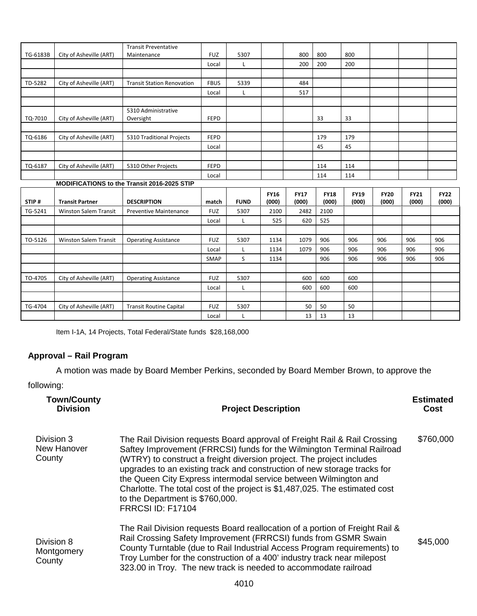|          |                              | <b>Transit Preventative</b>                 |             |             |             |             |             |             |             |             |             |
|----------|------------------------------|---------------------------------------------|-------------|-------------|-------------|-------------|-------------|-------------|-------------|-------------|-------------|
| TG-6183B | City of Asheville (ART)      | Maintenance                                 | <b>FUZ</b>  | 5307        |             | 800         | 800         | 800         |             |             |             |
|          |                              |                                             | Local       | L           |             | 200         | 200         | 200         |             |             |             |
|          |                              |                                             |             |             |             |             |             |             |             |             |             |
| TD-5282  | City of Asheville (ART)      | <b>Transit Station Renovation</b>           | <b>FBUS</b> | 5339        |             | 484         |             |             |             |             |             |
|          |                              |                                             | Local       | Г           |             | 517         |             |             |             |             |             |
|          |                              |                                             |             |             |             |             |             |             |             |             |             |
|          |                              | 5310 Administrative                         |             |             |             |             |             |             |             |             |             |
| TQ-7010  | City of Asheville (ART)      | Oversight                                   | <b>FEPD</b> |             |             |             | 33          | 33          |             |             |             |
|          |                              |                                             |             |             |             |             |             |             |             |             |             |
| TQ-6186  | City of Asheville (ART)      | 5310 Traditional Projects                   | <b>FEPD</b> |             |             |             | 179         | 179         |             |             |             |
|          |                              |                                             | Local       |             |             |             | 45          | 45          |             |             |             |
|          |                              |                                             |             |             |             |             |             |             |             |             |             |
| TQ-6187  | City of Asheville (ART)      | 5310 Other Projects                         | <b>FEPD</b> |             |             |             | 114         | 114         |             |             |             |
|          |                              |                                             | Local       |             |             |             | 114         | 114         |             |             |             |
|          |                              | MODIFICATIONS to the Transit 2016-2025 STIP |             |             |             |             |             |             |             |             |             |
|          |                              |                                             |             |             | <b>FY16</b> | <b>FY17</b> | <b>FY18</b> | <b>FY19</b> | <b>FY20</b> | <b>FY21</b> | <b>FY22</b> |
| STIP#    | <b>Transit Partner</b>       | <b>DESCRIPTION</b>                          | match       | <b>FUND</b> | (000)       | (000)       | (000)       | (000)       | (000)       | (000)       | (000)       |
| TG-5241  | Winston Salem Transit        | Preventive Maintenance                      | <b>FUZ</b>  | 5307        | 2100        | 2482        | 2100        |             |             |             |             |
|          |                              |                                             | Local       | L           | 525         | 620         | 525         |             |             |             |             |
|          |                              |                                             |             |             |             |             |             |             |             |             |             |
| TO-5126  | <b>Winston Salem Transit</b> | <b>Operating Assistance</b>                 | <b>FUZ</b>  | 5307        | 1134        | 1079        | 906         | 906         | 906         | 906         | 906         |
|          |                              |                                             | Local       | L           | 1134        | 1079        | 906         | 906         | 906         | 906         | 906         |
|          |                              |                                             | SMAP        | S           | 1134        |             | 906         | 906         | 906         | 906         | 906         |
|          |                              |                                             |             |             |             |             |             |             |             |             |             |
|          |                              |                                             |             |             |             |             |             |             |             |             |             |
| TO-4705  | City of Asheville (ART)      | <b>Operating Assistance</b>                 | <b>FUZ</b>  | 5307        |             | 600         | 600         | 600         |             |             |             |
|          |                              |                                             | Local       | Г           |             | 600         | 600         | 600         |             |             |             |
|          |                              |                                             |             |             |             |             |             |             |             |             |             |
| TG-4704  | City of Asheville (ART)      | <b>Transit Routine Capital</b>              | <b>FUZ</b>  | 5307        |             | 50          | 50          | 50          |             |             |             |

Item I-1A, 14 Projects, Total Federal/State funds \$28,168,000

# **Approval – Rail Program**

A motion was made by Board Member Perkins, seconded by Board Member Brown, to approve the

following:

| <b>Town/County</b><br><b>Division</b> | <b>Project Description</b>                                                                                                                                                                                                                                                                                                                                                                                                                                                                                                 | <b>Estimated</b><br>Cost |
|---------------------------------------|----------------------------------------------------------------------------------------------------------------------------------------------------------------------------------------------------------------------------------------------------------------------------------------------------------------------------------------------------------------------------------------------------------------------------------------------------------------------------------------------------------------------------|--------------------------|
| Division 3<br>New Hanover<br>County   | The Rail Division requests Board approval of Freight Rail & Rail Crossing<br>Saftey Improvement (FRRCSI) funds for the Wilmington Terminal Railroad<br>(WTRY) to construct a freight diversion project. The project includes<br>upgrades to an existing track and construction of new storage tracks for<br>the Queen City Express intermodal service between Wilmington and<br>Charlotte. The total cost of the project is \$1,487,025. The estimated cost<br>to the Department is \$760,000.<br><b>FRRCSI ID: F17104</b> | \$760,000                |
| Division 8<br>Montgomery<br>County    | The Rail Division requests Board reallocation of a portion of Freight Rail &<br>Rail Crossing Safety Improvement (FRRCSI) funds from GSMR Swain<br>County Turntable (due to Rail Industrial Access Program requirements) to<br>Troy Lumber for the construction of a 400' industry track near milepost<br>323.00 in Troy. The new track is needed to accommodate railroad                                                                                                                                                  | \$45,000                 |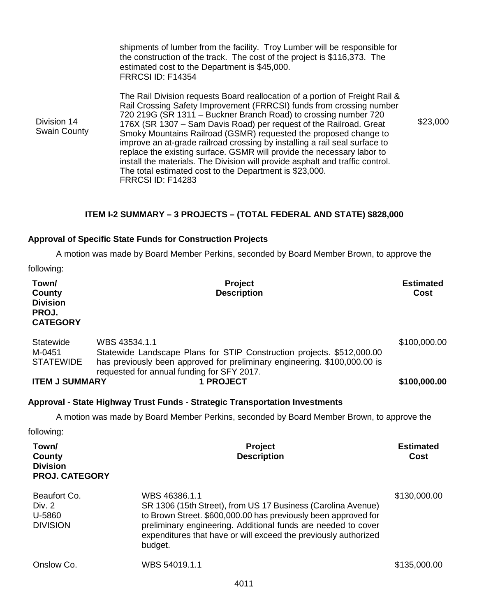|                                                                | shipments of lumber from the facility. Troy Lumber will be responsible for<br>the construction of the track. The cost of the project is \$116,373. The<br>estimated cost to the Department is \$45,000.<br><b>FRRCSI ID: F14354</b>                                                                                                                                                                                                                                                                                                                                                                                                                                                               |                          |
|----------------------------------------------------------------|---------------------------------------------------------------------------------------------------------------------------------------------------------------------------------------------------------------------------------------------------------------------------------------------------------------------------------------------------------------------------------------------------------------------------------------------------------------------------------------------------------------------------------------------------------------------------------------------------------------------------------------------------------------------------------------------------|--------------------------|
| Division 14<br><b>Swain County</b>                             | The Rail Division requests Board reallocation of a portion of Freight Rail &<br>Rail Crossing Safety Improvement (FRRCSI) funds from crossing number<br>720 219G (SR 1311 - Buckner Branch Road) to crossing number 720<br>176X (SR 1307 - Sam Davis Road) per request of the Railroad. Great<br>Smoky Mountains Railroad (GSMR) requested the proposed change to<br>improve an at-grade railroad crossing by installing a rail seal surface to<br>replace the existing surface. GSMR will provide the necessary labor to<br>install the materials. The Division will provide asphalt and traffic control.<br>The total estimated cost to the Department is \$23,000.<br><b>FRRCSI ID: F14283</b> | \$23,000                 |
|                                                                | ITEM I-2 SUMMARY - 3 PROJECTS - (TOTAL FEDERAL AND STATE) \$828,000                                                                                                                                                                                                                                                                                                                                                                                                                                                                                                                                                                                                                               |                          |
|                                                                | <b>Approval of Specific State Funds for Construction Projects</b>                                                                                                                                                                                                                                                                                                                                                                                                                                                                                                                                                                                                                                 |                          |
|                                                                | A motion was made by Board Member Perkins, seconded by Board Member Brown, to approve the                                                                                                                                                                                                                                                                                                                                                                                                                                                                                                                                                                                                         |                          |
| following:                                                     |                                                                                                                                                                                                                                                                                                                                                                                                                                                                                                                                                                                                                                                                                                   |                          |
| Town/<br>County<br><b>Division</b><br>PROJ.<br><b>CATEGORY</b> | Project<br><b>Description</b>                                                                                                                                                                                                                                                                                                                                                                                                                                                                                                                                                                                                                                                                     | <b>Estimated</b><br>Cost |

| <b>ITEM J SUMMARY</b> | <b>1 PROJECT</b>                                                                                                        | \$100,000.00 |
|-----------------------|-------------------------------------------------------------------------------------------------------------------------|--------------|
| STATEWIDE             | has previously been approved for preliminary engineering. \$100,000.00 is<br>requested for annual funding for SFY 2017. |              |
| Statewide<br>M-0451   | WBS 43534.1.1<br>Statewide Landscape Plans for STIP Construction projects. \$512,000.00                                 | \$100,000.00 |

# **Approval - State Highway Trust Funds - Strategic Transportation Investments**

A motion was made by Board Member Perkins, seconded by Board Member Brown, to approve the

following:

| Town/<br>County<br><b>Division</b><br><b>PROJ. CATEGORY</b> | <b>Project</b><br><b>Description</b>                                                                                                                                                                                                                                                           | <b>Estimated</b><br>Cost |
|-------------------------------------------------------------|------------------------------------------------------------------------------------------------------------------------------------------------------------------------------------------------------------------------------------------------------------------------------------------------|--------------------------|
| Beaufort Co.<br>Div. 2<br>U-5860<br><b>DIVISION</b>         | WBS 46386.1.1<br>SR 1306 (15th Street), from US 17 Business (Carolina Avenue)<br>to Brown Street. \$600,000.00 has previously been approved for<br>preliminary engineering. Additional funds are needed to cover<br>expenditures that have or will exceed the previously authorized<br>budget. | \$130,000.00             |
| Onslow Co.                                                  | WBS 54019.1.1                                                                                                                                                                                                                                                                                  | \$135,000.00             |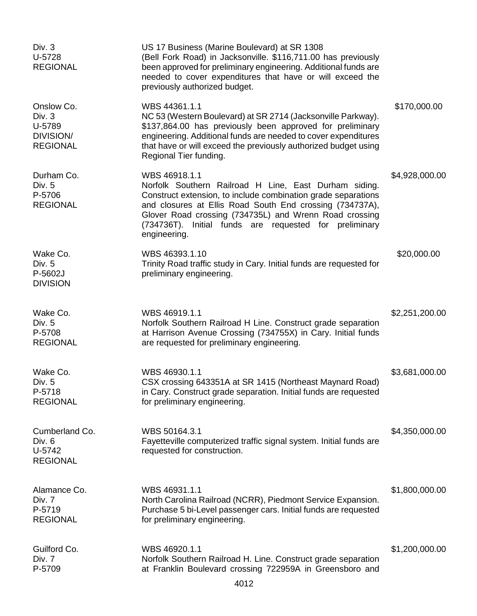| Div. 3<br>U-5728<br><b>REGIONAL</b>                                   | US 17 Business (Marine Boulevard) at SR 1308<br>(Bell Fork Road) in Jacksonville. \$116,711.00 has previously<br>been approved for preliminary engineering. Additional funds are<br>needed to cover expenditures that have or will exceed the<br>previously authorized budget.                                                          |                |
|-----------------------------------------------------------------------|-----------------------------------------------------------------------------------------------------------------------------------------------------------------------------------------------------------------------------------------------------------------------------------------------------------------------------------------|----------------|
| Onslow Co.<br>Div. 3<br>U-5789<br><b>DIVISION/</b><br><b>REGIONAL</b> | WBS 44361.1.1<br>NC 53 (Western Boulevard) at SR 2714 (Jacksonville Parkway).<br>\$137,864.00 has previously been approved for preliminary<br>engineering. Additional funds are needed to cover expenditures<br>that have or will exceed the previously authorized budget using<br>Regional Tier funding.                               | \$170,000.00   |
| Durham Co.<br>Div. 5<br>P-5706<br><b>REGIONAL</b>                     | WBS 46918.1.1<br>Norfolk Southern Railroad H Line, East Durham siding.<br>Construct extension, to include combination grade separations<br>and closures at Ellis Road South End crossing (734737A),<br>Glover Road crossing (734735L) and Wrenn Road crossing<br>(734736T). Initial funds are requested for preliminary<br>engineering. | \$4,928,000.00 |
| Wake Co.<br>Div. 5<br>P-5602J<br><b>DIVISION</b>                      | WBS 46393.1.10<br>Trinity Road traffic study in Cary. Initial funds are requested for<br>preliminary engineering.                                                                                                                                                                                                                       | \$20,000.00    |
| Wake Co.<br>Div. 5<br>P-5708<br><b>REGIONAL</b>                       | WBS 46919.1.1<br>Norfolk Southern Railroad H Line. Construct grade separation<br>at Harrison Avenue Crossing (734755X) in Cary. Initial funds<br>are requested for preliminary engineering.                                                                                                                                             | \$2,251,200.00 |
| Wake Co.<br>Div. 5<br>P-5718<br><b>REGIONAL</b>                       | WBS 46930.1.1<br>CSX crossing 643351A at SR 1415 (Northeast Maynard Road)<br>in Cary. Construct grade separation. Initial funds are requested<br>for preliminary engineering.                                                                                                                                                           | \$3,681,000.00 |
| Cumberland Co.<br>Div. 6<br>U-5742<br><b>REGIONAL</b>                 | WBS 50164.3.1<br>Fayetteville computerized traffic signal system. Initial funds are<br>requested for construction.                                                                                                                                                                                                                      | \$4,350,000.00 |
| Alamance Co.<br>Div. 7<br>P-5719<br><b>REGIONAL</b>                   | WBS 46931.1.1<br>North Carolina Railroad (NCRR), Piedmont Service Expansion.<br>Purchase 5 bi-Level passenger cars. Initial funds are requested<br>for preliminary engineering.                                                                                                                                                         | \$1,800,000.00 |
| Guilford Co.<br>Div. 7<br>P-5709                                      | WBS 46920.1.1<br>Norfolk Southern Railroad H. Line. Construct grade separation<br>at Franklin Boulevard crossing 722959A in Greensboro and                                                                                                                                                                                              | \$1,200,000.00 |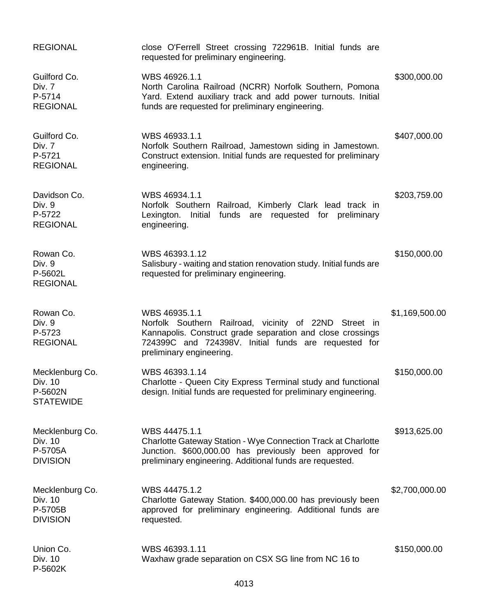| <b>REGIONAL</b>                                           | close O'Ferrell Street crossing 722961B. Initial funds are<br>requested for preliminary engineering.                                                                                                                     |                |
|-----------------------------------------------------------|--------------------------------------------------------------------------------------------------------------------------------------------------------------------------------------------------------------------------|----------------|
| Guilford Co.<br>Div. 7<br>P-5714<br><b>REGIONAL</b>       | WBS 46926.1.1<br>North Carolina Railroad (NCRR) Norfolk Southern, Pomona<br>Yard. Extend auxiliary track and add power turnouts. Initial<br>funds are requested for preliminary engineering.                             | \$300,000.00   |
| Guilford Co.<br>Div. 7<br>P-5721<br><b>REGIONAL</b>       | WBS 46933.1.1<br>Norfolk Southern Railroad, Jamestown siding in Jamestown.<br>Construct extension. Initial funds are requested for preliminary<br>engineering.                                                           | \$407,000.00   |
| Davidson Co.<br>Div. 9<br>P-5722<br><b>REGIONAL</b>       | WBS 46934.1.1<br>Norfolk Southern Railroad, Kimberly Clark lead track in<br>Initial funds are requested for preliminary<br>Lexington.<br>engineering.                                                                    | \$203,759.00   |
| Rowan Co.<br>Div. 9<br>P-5602L<br><b>REGIONAL</b>         | WBS 46393.1.12<br>Salisbury - waiting and station renovation study. Initial funds are<br>requested for preliminary engineering.                                                                                          | \$150,000.00   |
| Rowan Co.<br>Div. 9<br>P-5723<br><b>REGIONAL</b>          | WBS 46935.1.1<br>Norfolk Southern Railroad, vicinity of 22ND Street in<br>Kannapolis. Construct grade separation and close crossings<br>724399C and 724398V. Initial funds are requested for<br>preliminary engineering. | \$1,169,500.00 |
| Mecklenburg Co.<br>Div. 10<br>P-5602N<br><b>STATEWIDE</b> | WBS 46393.1.14<br>Charlotte - Queen City Express Terminal study and functional<br>design. Initial funds are requested for preliminary engineering.                                                                       | \$150,000.00   |
| Mecklenburg Co.<br>Div. 10<br>P-5705A<br><b>DIVISION</b>  | WBS 44475.1.1<br>Charlotte Gateway Station - Wye Connection Track at Charlotte<br>Junction. \$600,000.00 has previously been approved for<br>preliminary engineering. Additional funds are requested.                    | \$913,625.00   |
| Mecklenburg Co.<br>Div. 10<br>P-5705B<br><b>DIVISION</b>  | WBS 44475.1.2<br>Charlotte Gateway Station. \$400,000.00 has previously been<br>approved for preliminary engineering. Additional funds are<br>requested.                                                                 | \$2,700,000.00 |
| Union Co.<br>Div. 10<br>P-5602K                           | WBS 46393.1.11<br>Waxhaw grade separation on CSX SG line from NC 16 to                                                                                                                                                   | \$150,000.00   |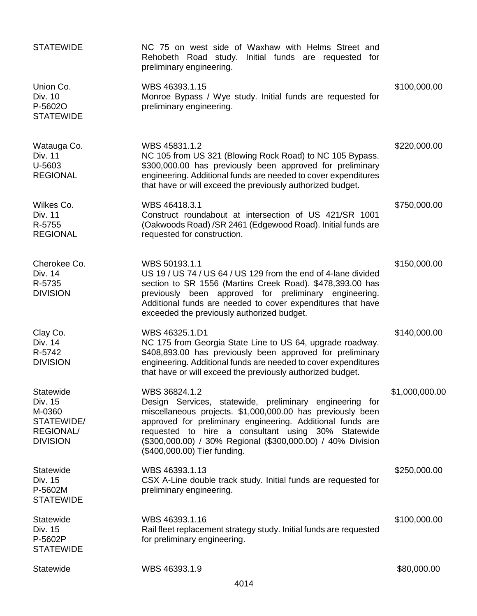| <b>STATEWIDE</b>                                                                    | NC 75 on west side of Waxhaw with Helms Street and<br>Rehobeth Road study. Initial funds are requested for<br>preliminary engineering.                                                                                                                                                                                                                    |                |
|-------------------------------------------------------------------------------------|-----------------------------------------------------------------------------------------------------------------------------------------------------------------------------------------------------------------------------------------------------------------------------------------------------------------------------------------------------------|----------------|
| Union Co.<br>Div. 10<br>P-5602O<br><b>STATEWIDE</b>                                 | WBS 46393.1.15<br>Monroe Bypass / Wye study. Initial funds are requested for<br>preliminary engineering.                                                                                                                                                                                                                                                  | \$100,000.00   |
| Watauga Co.<br>Div. 11<br>U-5603<br><b>REGIONAL</b>                                 | WBS 45831.1.2<br>NC 105 from US 321 (Blowing Rock Road) to NC 105 Bypass.<br>\$300,000.00 has previously been approved for preliminary<br>engineering. Additional funds are needed to cover expenditures<br>that have or will exceed the previously authorized budget.                                                                                    | \$220,000.00   |
| Wilkes Co.<br>Div. 11<br>R-5755<br><b>REGIONAL</b>                                  | WBS 46418.3.1<br>Construct roundabout at intersection of US 421/SR 1001<br>(Oakwoods Road) / SR 2461 (Edgewood Road). Initial funds are<br>requested for construction.                                                                                                                                                                                    | \$750,000.00   |
| Cherokee Co.<br>Div. 14<br>R-5735<br><b>DIVISION</b>                                | WBS 50193.1.1<br>US 19 / US 74 / US 64 / US 129 from the end of 4-lane divided<br>section to SR 1556 (Martins Creek Road). \$478,393.00 has<br>previously been approved for preliminary engineering.<br>Additional funds are needed to cover expenditures that have<br>exceeded the previously authorized budget.                                         | \$150,000.00   |
| Clay Co.<br>Div. 14<br>R-5742<br><b>DIVISION</b>                                    | WBS 46325.1.D1<br>NC 175 from Georgia State Line to US 64, upgrade roadway.<br>\$408,893.00 has previously been approved for preliminary<br>engineering. Additional funds are needed to cover expenditures<br>that have or will exceed the previously authorized budget.                                                                                  | \$140,000.00   |
| Statewide<br>Div. 15<br>M-0360<br>STATEWIDE/<br><b>REGIONAL/</b><br><b>DIVISION</b> | WBS 36824.1.2<br>Design Services, statewide, preliminary engineering for<br>miscellaneous projects. \$1,000,000.00 has previously been<br>approved for preliminary engineering. Additional funds are<br>requested to hire a consultant using 30% Statewide<br>(\$300,000.00) / 30% Regional (\$300,000.00) / 40% Division<br>(\$400,000.00) Tier funding. | \$1,000,000.00 |
| Statewide<br>Div. 15<br>P-5602M<br><b>STATEWIDE</b>                                 | WBS 46393.1.13<br>CSX A-Line double track study. Initial funds are requested for<br>preliminary engineering.                                                                                                                                                                                                                                              | \$250,000.00   |
| Statewide<br>Div. 15<br>P-5602P<br><b>STATEWIDE</b>                                 | WBS 46393.1.16<br>Rail fleet replacement strategy study. Initial funds are requested<br>for preliminary engineering.                                                                                                                                                                                                                                      | \$100,000.00   |
| Statewide                                                                           | WBS 46393.1.9                                                                                                                                                                                                                                                                                                                                             | \$80,000.00    |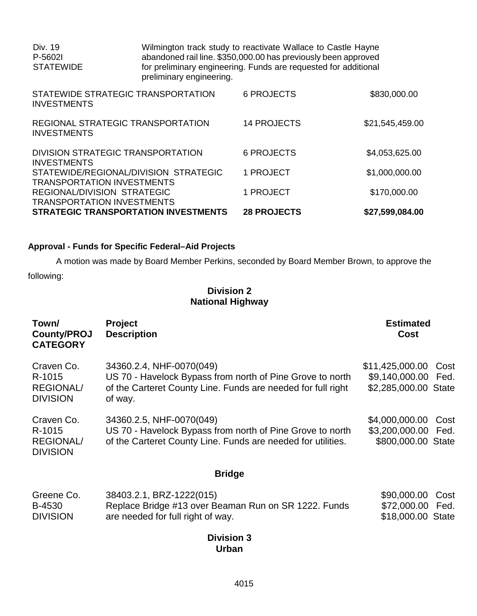| Div. 19<br>P-5602I<br><b>STATEWIDE</b>                           |                                             | Wilmington track study to reactivate Wallace to Castle Hayne<br>abandoned rail line. \$350,000.00 has previously been approved<br>for preliminary engineering. Funds are requested for additional<br>preliminary engineering. |                 |  |
|------------------------------------------------------------------|---------------------------------------------|-------------------------------------------------------------------------------------------------------------------------------------------------------------------------------------------------------------------------------|-----------------|--|
| <b>INVESTMENTS</b>                                               | STATEWIDE STRATEGIC TRANSPORTATION          | <b>6 PROJECTS</b>                                                                                                                                                                                                             | \$830,000.00    |  |
| <b>INVESTMENTS</b>                                               | REGIONAL STRATEGIC TRANSPORTATION           | <b>14 PROJECTS</b>                                                                                                                                                                                                            | \$21,545,459.00 |  |
| DIVISION STRATEGIC TRANSPORTATION<br><b>INVESTMENTS</b>          |                                             | <b>6 PROJECTS</b>                                                                                                                                                                                                             | \$4,053,625.00  |  |
| <b>TRANSPORTATION INVESTMENTS</b>                                | STATEWIDE/REGIONAL/DIVISION STRATEGIC       | 1 PROJECT                                                                                                                                                                                                                     | \$1,000,000.00  |  |
| REGIONAL/DIVISION STRATEGIC<br><b>TRANSPORTATION INVESTMENTS</b> |                                             | 1 PROJECT                                                                                                                                                                                                                     | \$170,000.00    |  |
|                                                                  | <b>STRATEGIC TRANSPORTATION INVESTMENTS</b> | <b>28 PROJECTS</b>                                                                                                                                                                                                            | \$27,599,084.00 |  |

# **Approval - Funds for Specific Federal–Aid Projects**

A motion was made by Board Member Perkins, seconded by Board Member Brown, to approve the following:

# **Division 2 National Highway**

| Town/<br><b>County/PROJ</b><br><b>CATEGORY</b>              | <b>Project</b><br><b>Description</b>                                                                                                                             | <b>Estimated</b><br><b>Cost</b>                           |              |
|-------------------------------------------------------------|------------------------------------------------------------------------------------------------------------------------------------------------------------------|-----------------------------------------------------------|--------------|
| Craven Co.<br>R-1015<br><b>REGIONAL/</b><br><b>DIVISION</b> | 34360.2.4, NHF-0070(049)<br>US 70 - Havelock Bypass from north of Pine Grove to north<br>of the Carteret County Line. Funds are needed for full right<br>of way. | \$11,425,000.00<br>\$9,140,000.00<br>\$2,285,000.00 State | Cost<br>Fed. |
| Craven Co.<br>R-1015<br><b>REGIONAL/</b><br><b>DIVISION</b> | 34360.2.5, NHF-0070(049)<br>US 70 - Havelock Bypass from north of Pine Grove to north<br>of the Carteret County Line. Funds are needed for utilities.            | \$4,000,000.00<br>\$3,200,000.00<br>\$800,000.00 State    | Cost<br>Fed. |
|                                                             | <b>Bridge</b>                                                                                                                                                    |                                                           |              |
| Greene Co.<br>B-4530<br><b>DIVISION</b>                     | 38403.2.1, BRZ-1222(015)<br>Replace Bridge #13 over Beaman Run on SR 1222. Funds<br>are needed for full right of way.                                            | \$90,000.00<br>\$72,000.00<br>\$18,000.00 State           | Cost<br>Fed. |
|                                                             | <b>Division 3</b><br>Urban                                                                                                                                       |                                                           |              |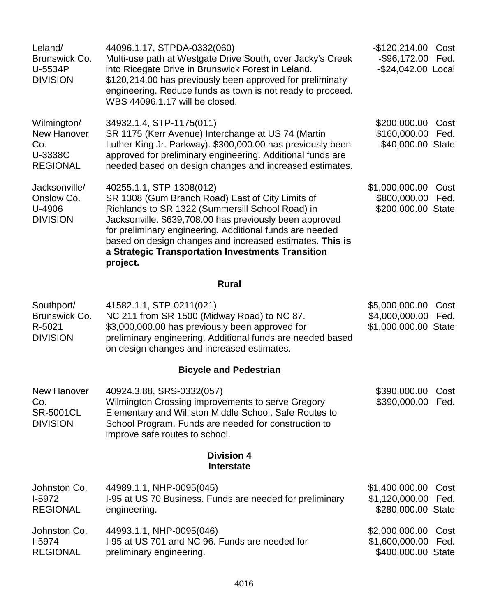| Leland/<br>Brunswick Co.<br>U-5534P<br><b>DIVISION</b>                 | 44096.1.17, STPDA-0332(060)<br>Multi-use path at Westgate Drive South, over Jacky's Creek<br>into Ricegate Drive in Brunswick Forest in Leland.<br>\$120,214.00 has previously been approved for preliminary<br>engineering. Reduce funds as town is not ready to proceed.<br>WBS 44096.1.17 will be closed.                                                                         | $-$120,214.00$<br>$-$ \$96,172.00<br>-\$24,042.00 Local  | Cost<br>Fed. |
|------------------------------------------------------------------------|--------------------------------------------------------------------------------------------------------------------------------------------------------------------------------------------------------------------------------------------------------------------------------------------------------------------------------------------------------------------------------------|----------------------------------------------------------|--------------|
| Wilmington/<br><b>New Hanover</b><br>Co.<br>U-3338C<br><b>REGIONAL</b> | 34932.1.4, STP-1175(011)<br>SR 1175 (Kerr Avenue) Interchange at US 74 (Martin<br>Luther King Jr. Parkway). \$300,000.00 has previously been<br>approved for preliminary engineering. Additional funds are<br>needed based on design changes and increased estimates.                                                                                                                | \$200,000.00<br>\$160,000.00<br>\$40,000.00 State        | Cost<br>Fed. |
| Jacksonville/<br>Onslow Co.<br>U-4906<br><b>DIVISION</b>               | 40255.1.1, STP-1308(012)<br>SR 1308 (Gum Branch Road) East of City Limits of<br>Richlands to SR 1322 (Summersill School Road) in<br>Jacksonville. \$639,708.00 has previously been approved<br>for preliminary engineering. Additional funds are needed<br>based on design changes and increased estimates. This is<br>a Strategic Transportation Investments Transition<br>project. | \$1,000,000.00<br>\$800,000.00<br>\$200,000.00 State     | Cost<br>Fed. |
|                                                                        | <b>Rural</b>                                                                                                                                                                                                                                                                                                                                                                         |                                                          |              |
| Southport/<br>Brunswick Co.<br>R-5021<br><b>DIVISION</b>               | 41582.1.1, STP-0211(021)<br>NC 211 from SR 1500 (Midway Road) to NC 87.<br>\$3,000,000.00 has previously been approved for<br>preliminary engineering. Additional funds are needed based<br>on design changes and increased estimates.                                                                                                                                               | \$5,000,000.00<br>\$4,000,000.00<br>\$1,000,000.00 State | Cost<br>Fed. |
|                                                                        | <b>Bicycle and Pedestrian</b>                                                                                                                                                                                                                                                                                                                                                        |                                                          |              |
| <b>New Hanover</b><br>Co.<br><b>SR-5001CL</b><br><b>DIVISION</b>       | 40924.3.88, SRS-0332(057)<br>Wilmington Crossing improvements to serve Gregory<br>Elementary and Williston Middle School, Safe Routes to<br>School Program. Funds are needed for construction to<br>improve safe routes to school.                                                                                                                                                   | \$390,000.00<br>\$390,000.00                             | Cost<br>Fed. |
|                                                                        | <b>Division 4</b><br><b>Interstate</b>                                                                                                                                                                                                                                                                                                                                               |                                                          |              |
| Johnston Co.<br>$I-5972$<br><b>REGIONAL</b>                            | 44989.1.1, NHP-0095(045)<br>I-95 at US 70 Business. Funds are needed for preliminary<br>engineering.                                                                                                                                                                                                                                                                                 | \$1,400,000.00<br>\$1,120,000.00<br>\$280,000.00 State   | Cost<br>Fed. |
| Johnston Co.<br>I-5974<br><b>REGIONAL</b>                              | 44993.1.1, NHP-0095(046)<br>I-95 at US 701 and NC 96. Funds are needed for<br>preliminary engineering.                                                                                                                                                                                                                                                                               | \$2,000,000.00<br>\$1,600,000.00<br>\$400,000.00 State   | Cost<br>Fed. |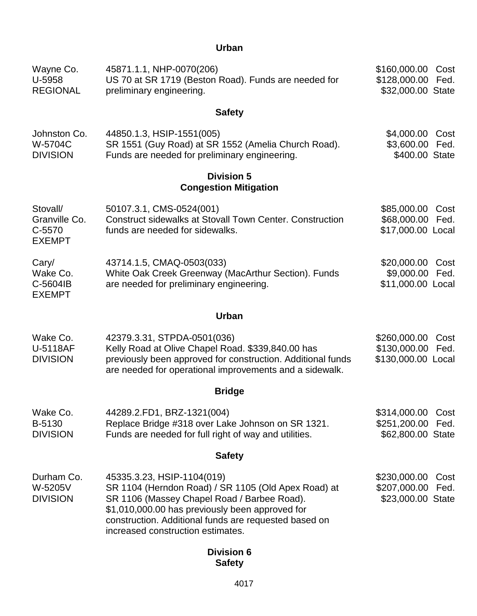# **Urban**

| Wayne Co.<br>U-5958<br><b>REGIONAL</b>               | 45871.1.1, NHP-0070(206)<br>US 70 at SR 1719 (Beston Road). Funds are needed for<br>preliminary engineering.                                                                                                                                                                      | \$160,000.00<br>\$128,000.00<br>\$32,000.00 State           | Cost<br>Fed. |
|------------------------------------------------------|-----------------------------------------------------------------------------------------------------------------------------------------------------------------------------------------------------------------------------------------------------------------------------------|-------------------------------------------------------------|--------------|
|                                                      | <b>Safety</b>                                                                                                                                                                                                                                                                     |                                                             |              |
| Johnston Co.<br>W-5704C<br><b>DIVISION</b>           | 44850.1.3, HSIP-1551(005)<br>SR 1551 (Guy Road) at SR 1552 (Amelia Church Road).<br>Funds are needed for preliminary engineering.                                                                                                                                                 | \$4,000.00<br>\$3,600.00<br>\$400.00 State                  | Cost<br>Fed. |
|                                                      | <b>Division 5</b><br><b>Congestion Mitigation</b>                                                                                                                                                                                                                                 |                                                             |              |
| Stovall/<br>Granville Co.<br>C-5570<br><b>EXEMPT</b> | 50107.3.1, CMS-0524(001)<br><b>Construct sidewalks at Stovall Town Center. Construction</b><br>funds are needed for sidewalks.                                                                                                                                                    | \$85,000.00<br>\$68,000.00<br>\$17,000.00 Local             | Cost<br>Fed. |
| Cary/<br>Wake Co.<br>C-5604IB<br><b>EXEMPT</b>       | 43714.1.5, CMAQ-0503(033)<br>White Oak Creek Greenway (MacArthur Section). Funds<br>are needed for preliminary engineering.                                                                                                                                                       | \$20,000.00<br>\$9,000.00<br>\$11,000.00 Local              | Cost<br>Fed. |
|                                                      | <b>Urban</b>                                                                                                                                                                                                                                                                      |                                                             |              |
| Wake Co.<br>U-5118AF<br><b>DIVISION</b>              | 42379.3.31, STPDA-0501(036)<br>Kelly Road at Olive Chapel Road. \$339,840.00 has<br>previously been approved for construction. Additional funds<br>are needed for operational improvements and a sidewalk.                                                                        | \$260,000.00<br>\$130,000.00<br>\$130,000.00 Local          | Cost<br>Fed. |
|                                                      | <b>Bridge</b>                                                                                                                                                                                                                                                                     |                                                             |              |
| Wake Co.<br>B-5130<br><b>DIVISION</b>                | 44289.2.FD1, BRZ-1321(004)<br>Replace Bridge #318 over Lake Johnson on SR 1321.<br>Funds are needed for full right of way and utilities.                                                                                                                                          | \$314,000.00 Cost<br>\$251,200.00 Fed.<br>\$62,800.00 State |              |
|                                                      | <b>Safety</b>                                                                                                                                                                                                                                                                     |                                                             |              |
| Durham Co.<br>W-5205V<br><b>DIVISION</b>             | 45335.3.23, HSIP-1104(019)<br>SR 1104 (Herndon Road) / SR 1105 (Old Apex Road) at<br>SR 1106 (Massey Chapel Road / Barbee Road).<br>\$1,010,000.00 has previously been approved for<br>construction. Additional funds are requested based on<br>increased construction estimates. | \$230,000.00<br>\$207,000.00<br>\$23,000.00 State           | Cost<br>Fed. |
|                                                      | <b>Division 6</b>                                                                                                                                                                                                                                                                 |                                                             |              |

# **Safety**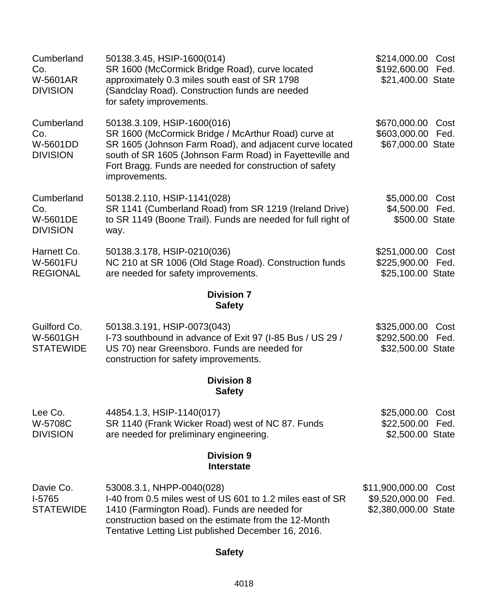| Cumberland<br>Co.<br>W-5601AR<br><b>DIVISION</b>        | 50138.3.45, HSIP-1600(014)<br>SR 1600 (McCormick Bridge Road), curve located<br>approximately 0.3 miles south east of SR 1798<br>(Sandclay Road). Construction funds are needed<br>for safety improvements.                                                                           | \$214,000.00<br>\$192,600.00<br>\$21,400.00 State         | Cost<br>Fed. |
|---------------------------------------------------------|---------------------------------------------------------------------------------------------------------------------------------------------------------------------------------------------------------------------------------------------------------------------------------------|-----------------------------------------------------------|--------------|
| Cumberland<br>Co.<br>W-5601DD<br><b>DIVISION</b>        | 50138.3.109, HSIP-1600(016)<br>SR 1600 (McCormick Bridge / McArthur Road) curve at<br>SR 1605 (Johnson Farm Road), and adjacent curve located<br>south of SR 1605 (Johnson Farm Road) in Fayetteville and<br>Fort Bragg. Funds are needed for construction of safety<br>improvements. | \$670,000.00<br>\$603,000.00<br>\$67,000.00 State         | Cost<br>Fed. |
| Cumberland<br>Co.<br><b>W-5601DE</b><br><b>DIVISION</b> | 50138.2.110, HSIP-1141(028)<br>SR 1141 (Cumberland Road) from SR 1219 (Ireland Drive)<br>to SR 1149 (Boone Trail). Funds are needed for full right of<br>way.                                                                                                                         | \$5,000.00<br>\$4,500.00<br>\$500.00 State                | Cost<br>Fed. |
| Harnett Co.<br><b>W-5601FU</b><br><b>REGIONAL</b>       | 50138.3.178, HSIP-0210(036)<br>NC 210 at SR 1006 (Old Stage Road). Construction funds<br>are needed for safety improvements.                                                                                                                                                          | \$251,000.00<br>\$225,900.00<br>\$25,100.00 State         | Cost<br>Fed. |
|                                                         | <b>Division 7</b><br><b>Safety</b>                                                                                                                                                                                                                                                    |                                                           |              |
| Guilford Co.<br>W-5601GH<br><b>STATEWIDE</b>            | 50138.3.191, HSIP-0073(043)<br>I-73 southbound in advance of Exit 97 (I-85 Bus / US 29 /<br>US 70) near Greensboro. Funds are needed for<br>construction for safety improvements.                                                                                                     | \$325,000.00<br>\$292,500.00<br>\$32,500.00 State         | Cost<br>Fed. |
|                                                         | <b>Division 8</b><br><b>Safety</b>                                                                                                                                                                                                                                                    |                                                           |              |
| Lee Co.<br>W-5708C<br><b>DIVISION</b>                   | 44854.1.3, HSIP-1140(017)<br>SR 1140 (Frank Wicker Road) west of NC 87. Funds<br>are needed for preliminary engineering.                                                                                                                                                              | \$25,000.00<br>\$22,500.00<br>\$2,500.00 State            | Cost<br>Fed. |
|                                                         | <b>Division 9</b><br><b>Interstate</b>                                                                                                                                                                                                                                                |                                                           |              |
| Davie Co.<br>I-5765<br><b>STATEWIDE</b>                 | 53008.3.1, NHPP-0040(028)<br>I-40 from 0.5 miles west of US 601 to 1.2 miles east of SR<br>1410 (Farmington Road). Funds are needed for<br>construction based on the estimate from the 12-Month<br>Tentative Letting List published December 16, 2016.                                | \$11,900,000.00<br>\$9,520,000.00<br>\$2,380,000.00 State | Cost<br>Fed. |

# **Safety**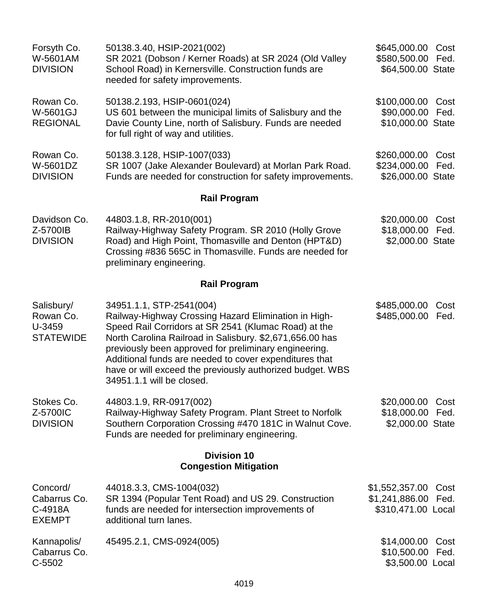| Forsyth Co.<br>W-5601AM<br><b>DIVISION</b>            | 50138.3.40, HSIP-2021(002)<br>SR 2021 (Dobson / Kerner Roads) at SR 2024 (Old Valley<br>School Road) in Kernersville. Construction funds are<br>needed for safety improvements.                                                                                                                                                                                                                                   | \$645,000.00<br>\$580,500.00<br>\$64,500.00 State      | Cost<br>Fed. |
|-------------------------------------------------------|-------------------------------------------------------------------------------------------------------------------------------------------------------------------------------------------------------------------------------------------------------------------------------------------------------------------------------------------------------------------------------------------------------------------|--------------------------------------------------------|--------------|
| Rowan Co.<br><b>W-5601GJ</b><br><b>REGIONAL</b>       | 50138.2.193, HSIP-0601(024)<br>US 601 between the municipal limits of Salisbury and the<br>Davie County Line, north of Salisbury. Funds are needed<br>for full right of way and utilities.                                                                                                                                                                                                                        | \$100,000.00<br>\$90,000.00<br>\$10,000.00 State       | Cost<br>Fed. |
| Rowan Co.<br>W-5601DZ<br><b>DIVISION</b>              | 50138.3.128, HSIP-1007(033)<br>SR 1007 (Jake Alexander Boulevard) at Morlan Park Road.<br>Funds are needed for construction for safety improvements.                                                                                                                                                                                                                                                              | \$260,000.00<br>\$234,000.00<br>\$26,000.00 State      | Cost<br>Fed. |
|                                                       | <b>Rail Program</b>                                                                                                                                                                                                                                                                                                                                                                                               |                                                        |              |
| Davidson Co.<br>Z-5700IB<br><b>DIVISION</b>           | 44803.1.8, RR-2010(001)<br>Railway-Highway Safety Program. SR 2010 (Holly Grove<br>Road) and High Point, Thomasville and Denton (HPT&D)<br>Crossing #836 565C in Thomasville. Funds are needed for<br>preliminary engineering.                                                                                                                                                                                    | \$20,000.00<br>\$18,000.00<br>\$2,000.00 State         | Cost<br>Fed. |
|                                                       | <b>Rail Program</b>                                                                                                                                                                                                                                                                                                                                                                                               |                                                        |              |
| Salisbury/<br>Rowan Co.<br>U-3459<br><b>STATEWIDE</b> | 34951.1.1, STP-2541(004)<br>Railway-Highway Crossing Hazard Elimination in High-<br>Speed Rail Corridors at SR 2541 (Klumac Road) at the<br>North Carolina Railroad in Salisbury. \$2,671,656.00 has<br>previously been approved for preliminary engineering.<br>Additional funds are needed to cover expenditures that<br>have or will exceed the previously authorized budget. WBS<br>34951.1.1 will be closed. | \$485,000.00<br>\$485,000.00                           | Cost<br>Fed. |
| Stokes Co.<br>Z-5700IC<br><b>DIVISION</b>             | 44803.1.9, RR-0917(002)<br>Railway-Highway Safety Program. Plant Street to Norfolk<br>Southern Corporation Crossing #470 181C in Walnut Cove.<br>Funds are needed for preliminary engineering.                                                                                                                                                                                                                    | \$20,000.00<br>\$18,000.00<br>\$2,000.00 State         | Cost<br>Fed. |
|                                                       | <b>Division 10</b><br><b>Congestion Mitigation</b>                                                                                                                                                                                                                                                                                                                                                                |                                                        |              |
| Concord/<br>Cabarrus Co.<br>C-4918A<br><b>EXEMPT</b>  | 44018.3.3, CMS-1004(032)<br>SR 1394 (Popular Tent Road) and US 29. Construction<br>funds are needed for intersection improvements of<br>additional turn lanes.                                                                                                                                                                                                                                                    | \$1,552,357.00<br>\$1,241,886.00<br>\$310,471.00 Local | Cost<br>Fed. |
| Kannapolis/<br>Cabarrus Co.<br>$C-5502$               | 45495.2.1, CMS-0924(005)                                                                                                                                                                                                                                                                                                                                                                                          | \$14,000.00<br>\$10,500.00<br>\$3,500.00 Local         | Cost<br>Fed. |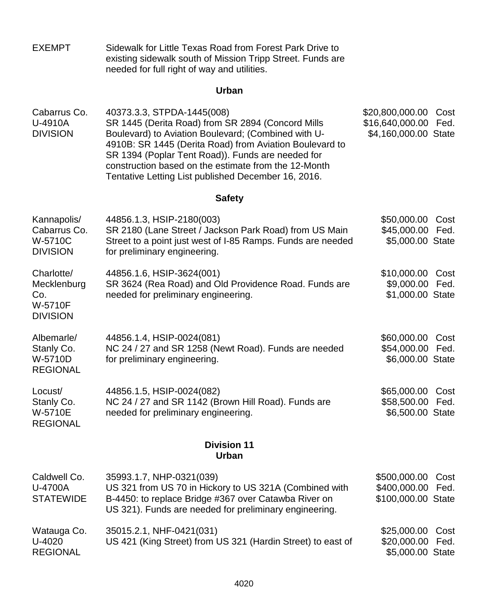| <b>EXEMPT</b> | Sidewalk for Little Texas Road from Forest Park Drive to   |
|---------------|------------------------------------------------------------|
|               | existing sidewalk south of Mission Tripp Street. Funds are |
|               | needed for full right of way and utilities.                |

# **Urban**

| Cabarrus Co.    | 40373.3.3, STPDA-1445(008)                              | \$20,800,000.00 Cost |  |
|-----------------|---------------------------------------------------------|----------------------|--|
| U-4910A         | SR 1445 (Derita Road) from SR 2894 (Concord Mills       | \$16,640,000.00 Fed. |  |
| <b>DIVISION</b> | Boulevard) to Aviation Boulevard; (Combined with U-     | \$4,160,000.00 State |  |
|                 | 4910B: SR 1445 (Derita Road) from Aviation Boulevard to |                      |  |
|                 | SR 1394 (Poplar Tent Road)). Funds are needed for       |                      |  |
|                 | construction based on the estimate from the 12-Month    |                      |  |
|                 | Tentative Letting List published December 16, 2016.     |                      |  |

# **Safety**

| Kannapolis/<br>Cabarrus Co.<br>W-5710C<br><b>DIVISION</b>             | 44856.1.3, HSIP-2180(003)<br>SR 2180 (Lane Street / Jackson Park Road) from US Main<br>Street to a point just west of I-85 Ramps. Funds are needed<br>for preliminary engineering.                   | \$50,000.00<br>\$45,000.00<br>\$5,000.00 State     | Cost<br>Fed. |
|-----------------------------------------------------------------------|------------------------------------------------------------------------------------------------------------------------------------------------------------------------------------------------------|----------------------------------------------------|--------------|
| Charlotte/<br>Mecklenburg<br>Co.<br><b>W-5710F</b><br><b>DIVISION</b> | 44856.1.6, HSIP-3624(001)<br>SR 3624 (Rea Road) and Old Providence Road. Funds are<br>needed for preliminary engineering.                                                                            | \$10,000.00<br>\$9,000.00<br>\$1,000.00 State      | Cost<br>Fed. |
| Albemarle/<br>Stanly Co.<br>W-5710D<br><b>REGIONAL</b>                | 44856.1.4, HSIP-0024(081)<br>NC 24 / 27 and SR 1258 (Newt Road). Funds are needed<br>for preliminary engineering.                                                                                    | \$60,000.00<br>\$54,000.00<br>\$6,000.00 State     | Cost<br>Fed. |
| Locust/<br>Stanly Co.<br>W-5710E<br><b>REGIONAL</b>                   | 44856.1.5, HSIP-0024(082)<br>NC 24 / 27 and SR 1142 (Brown Hill Road). Funds are<br>needed for preliminary engineering.                                                                              | \$65,000.00<br>\$58,500.00<br>\$6,500.00 State     | Cost<br>Fed. |
|                                                                       | <b>Division 11</b><br><b>Urban</b>                                                                                                                                                                   |                                                    |              |
| Caldwell Co.<br><b>U-4700A</b><br><b>STATEWIDE</b>                    | 35993.1.7, NHP-0321(039)<br>US 321 from US 70 in Hickory to US 321A (Combined with<br>B-4450: to replace Bridge #367 over Catawba River on<br>US 321). Funds are needed for preliminary engineering. | \$500,000.00<br>\$400,000.00<br>\$100,000.00 State | Cost<br>Fed. |
| Watauga Co.<br>U-4020<br><b>REGIONAL</b>                              | 35015.2.1, NHF-0421(031)<br>US 421 (King Street) from US 321 (Hardin Street) to east of                                                                                                              | \$25,000.00<br>\$20,000.00<br>\$5,000.00 State     | Cost<br>Fed. |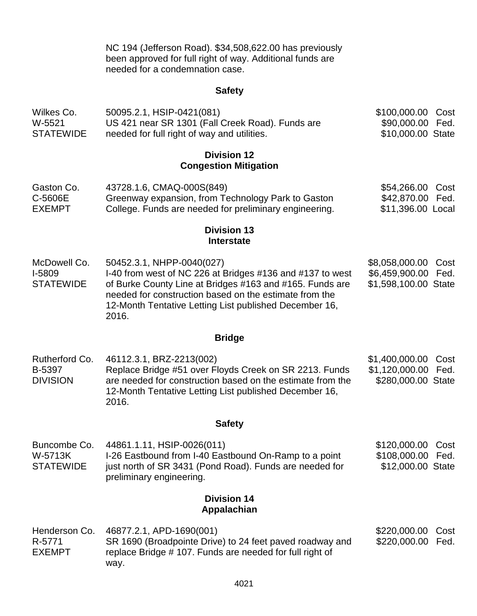NC 194 (Jefferson Road). \$34,508,622.00 has previously been approved for full right of way. Additional funds are needed for a condemnation case.

#### **Safety**

| Wilkes Co.       | 50095.2.1, HSIP-0421(081)                        | \$100,000.00 Cost |  |
|------------------|--------------------------------------------------|-------------------|--|
| W-5521           | US 421 near SR 1301 (Fall Creek Road). Funds are | \$90,000.00 Fed.  |  |
| <b>STATEWIDE</b> | needed for full right of way and utilities.      | \$10,000.00 State |  |

#### **Division 12 Congestion Mitigation**

| Gaston Co.    | 43728.1.6, CMAQ-000S(849)                              | \$54,266.00 Cost  |  |
|---------------|--------------------------------------------------------|-------------------|--|
| C-5606E       | Greenway expansion, from Technology Park to Gaston     | \$42,870.00 Fed.  |  |
| <b>EXEMPT</b> | College. Funds are needed for preliminary engineering. | \$11,396.00 Local |  |

#### **Division 13 Interstate**

McDowell Co. I-5809 **STATEWIDE** 50452.3.1, NHPP-0040(027) I-40 from west of NC 226 at Bridges #136 and #137 to west of Burke County Line at Bridges #163 and #165. Funds are needed for construction based on the estimate from the 12-Month Tentative Letting List published December 16, 2016. \$8,058,000.00 Cost \$6,459,900.00 Fed. \$1,598,100.00 State

#### **Bridge**

Rutherford Co. B-5397 **DIVISION** 46112.3.1, BRZ-2213(002) Replace Bridge #51 over Floyds Creek on SR 2213. Funds are needed for construction based on the estimate from the 12-Month Tentative Letting List published December 16, 2016. \$1,400,000.00 Cost \$1,120,000.00 Fed. \$280,000.00 State

#### **Safety**

| Buncombe Co.     | 44861.1.11, HSIP-0026(011)                              | \$120,000.00 Cost |  |
|------------------|---------------------------------------------------------|-------------------|--|
| W-5713K          | I-26 Eastbound from I-40 Eastbound On-Ramp to a point   | \$108,000.00 Fed. |  |
| <b>STATEWIDE</b> | just north of SR 3431 (Pond Road). Funds are needed for | \$12,000.00 State |  |
|                  | preliminary engineering.                                |                   |  |

# **Division 14 Appalachian**

| Henderson Co. | 46877.2.1, APD-1690(001)                                 | \$220,000.00 Cost |  |
|---------------|----------------------------------------------------------|-------------------|--|
| R-5771        | SR 1690 (Broadpointe Drive) to 24 feet paved roadway and | \$220,000.00 Fed. |  |
| <b>EXEMPT</b> | replace Bridge #107. Funds are needed for full right of  |                   |  |
|               | way.                                                     |                   |  |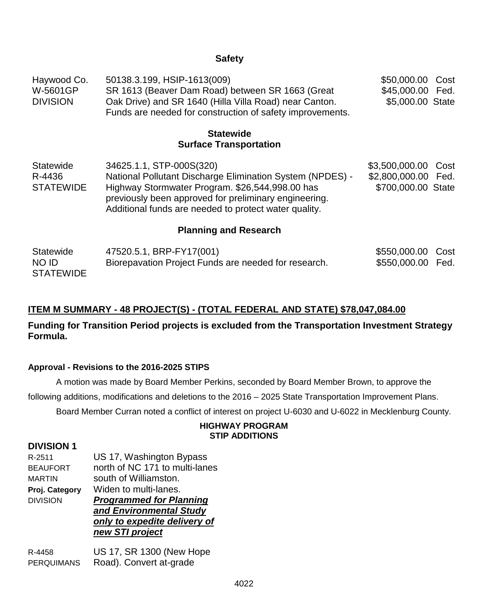### **Safety**

| Haywood Co.     | 50138.3.199, HSIP-1613(009)                               | \$50,000.00 Cost |  |
|-----------------|-----------------------------------------------------------|------------------|--|
| W-5601GP        | SR 1613 (Beaver Dam Road) between SR 1663 (Great          | \$45,000.00 Fed. |  |
| <b>DIVISION</b> | Oak Drive) and SR 1640 (Hilla Villa Road) near Canton.    | \$5,000.00 State |  |
|                 | Funds are needed for construction of safety improvements. |                  |  |

# **Statewide Surface Transportation**

| Statewide        | 34625.1.1, STP-000S(320)                                  | \$3,500,000.00 Cost |  |
|------------------|-----------------------------------------------------------|---------------------|--|
| R-4436           | National Pollutant Discharge Elimination System (NPDES) - | \$2,800,000.00 Fed. |  |
| <b>STATEWIDE</b> | Highway Stormwater Program. \$26,544,998.00 has           | \$700,000.00 State  |  |
|                  | previously been approved for preliminary engineering.     |                     |  |
|                  | Additional funds are needed to protect water quality.     |                     |  |

### **Planning and Research**

| Statewide        | 47520.5.1, BRP-FY17(001)                             | \$550,000.00 Cost |  |
|------------------|------------------------------------------------------|-------------------|--|
| NO ID            | Biorepavation Project Funds are needed for research. | \$550,000.00 Fed. |  |
| <b>STATEWIDE</b> |                                                      |                   |  |

# **ITEM M SUMMARY - 48 PROJECT(S) - (TOTAL FEDERAL AND STATE) \$78,047,084.00**

**Funding for Transition Period projects is excluded from the Transportation Investment Strategy Formula.**

#### **Approval - Revisions to the 2016-2025 STIPS**

A motion was made by Board Member Perkins, seconded by Board Member Brown, to approve the following additions, modifications and deletions to the 2016 – 2025 State Transportation Improvement Plans.

Board Member Curran noted a conflict of interest on project U-6030 and U-6022 in Mecklenburg County.

#### **HIGHWAY PROGRAM STIP ADDITIONS**

## **DIVISION 1**

| R-2511          | US 17, Washington Bypass       |
|-----------------|--------------------------------|
| <b>BEAUFORT</b> | north of NC 171 to multi-lanes |
| MARTIN          | south of Williamston.          |
| Proj. Category  | Widen to multi-lanes.          |
| <b>DIVISION</b> | <b>Programmed for Planning</b> |
|                 | and Environmental Study        |
|                 | only to expedite delivery of   |
|                 |                                |
|                 | new STI project                |

R-4458 US 17, SR 1300 (New Hope PERQUIMANS Road). Convert at-grade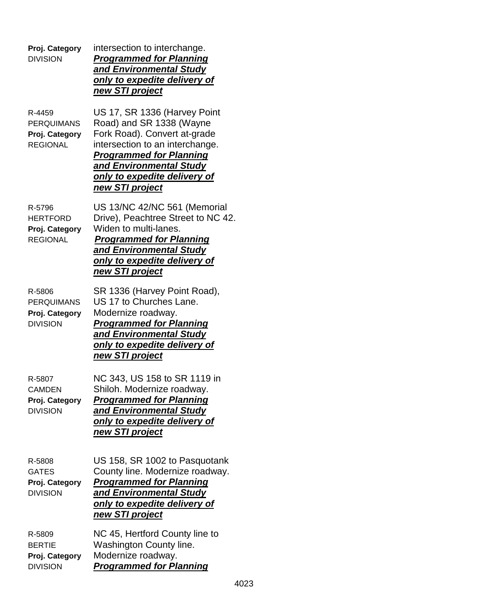| Proj. Category<br><b>DIVISION</b>                                | intersection to interchange.<br><b>Programmed for Planning</b><br>and Environmental Study<br>only to expedite delivery of<br><u>new STI project</u>                                                                                                |
|------------------------------------------------------------------|----------------------------------------------------------------------------------------------------------------------------------------------------------------------------------------------------------------------------------------------------|
| R-4459<br><b>PERQUIMANS</b><br>Proj. Category<br><b>REGIONAL</b> | US 17, SR 1336 (Harvey Point<br>Road) and SR 1338 (Wayne<br>Fork Road). Convert at-grade<br>intersection to an interchange.<br><b>Programmed for Planning</b><br>and Environmental Study<br><u>only to expedite delivery of</u><br>new STI project |
| R-5796<br><b>HERTFORD</b><br>Proj. Category<br><b>REGIONAL</b>   | US 13/NC 42/NC 561 (Memorial<br>Drive), Peachtree Street to NC 42.<br>Widen to multi-lanes.<br><b>Programmed for Planning</b><br>and Environmental Study<br><u>only to expedite delivery of</u><br>new STI project                                 |
| R-5806<br><b>PERQUIMANS</b><br>Proj. Category<br><b>DIVISION</b> | SR 1336 (Harvey Point Road),<br>US 17 to Churches Lane.<br>Modernize roadway.<br><b>Programmed for Planning</b><br>and Environmental Study<br>only to expedite delivery of<br>new STI project                                                      |
| R-5807<br><b>CAMDEN</b><br>Proj. Category<br><b>DIVISION</b>     | NC 343, US 158 to SR 1119 in<br>Shiloh. Modernize roadway.<br><b>Programmed for Planning</b><br>and Environmental Study<br><u>only to expedite delivery of</u><br>new STI project                                                                  |
| R-5808<br><b>GATES</b><br>Proj. Category<br><b>DIVISION</b>      | US 158, SR 1002 to Pasquotank<br>County line. Modernize roadway.<br><b>Programmed for Planning</b><br>and Environmental Study<br><u>only to expedite delivery of</u><br>new STI project                                                            |
| R-5809<br><b>BERTIE</b><br>Proj. Category<br><b>DIVISION</b>     | NC 45, Hertford County line to<br>Washington County line.<br>Modernize roadway.<br><b>Programmed for Planning</b>                                                                                                                                  |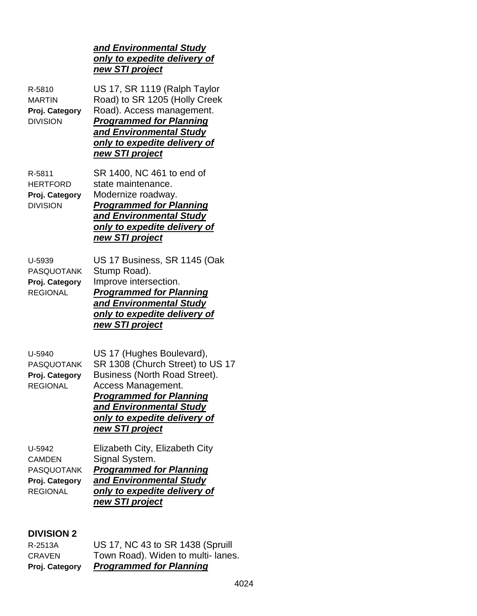# *and Environmental Study only to expedite delivery of new STI project*

| R-5810<br><b>MARTIN</b><br>Proj. Category<br><b>DIVISION</b>                      | US 17, SR 1119 (Ralph Taylor<br>Road) to SR 1205 (Holly Creek<br>Road). Access management.<br><b>Programmed for Planning</b><br>and Environmental Study<br>only to expedite delivery of<br>new STI project                           |
|-----------------------------------------------------------------------------------|--------------------------------------------------------------------------------------------------------------------------------------------------------------------------------------------------------------------------------------|
| R-5811<br><b>HERTFORD</b><br>Proj. Category<br><b>DIVISION</b>                    | SR 1400, NC 461 to end of<br>state maintenance.<br>Modernize roadway.<br><b>Programmed for Planning</b><br>and Environmental Study<br>only to expedite delivery of<br>new STI project                                                |
| U-5939<br><b>PASQUOTANK</b><br>Proj. Category<br><b>REGIONAL</b>                  | US 17 Business, SR 1145 (Oak<br>Stump Road).<br>Improve intersection.<br><b>Programmed for Planning</b><br>and Environmental Study<br>only to expedite delivery of<br>new STI project                                                |
| U-5940<br><b>PASQUOTANK</b><br>Proj. Category<br><b>REGIONAL</b>                  | US 17 (Hughes Boulevard),<br>SR 1308 (Church Street) to US 17<br>Business (North Road Street).<br>Access Management.<br><b>Programmed for Planning</b><br>and Environmental Study<br>only to expedite delivery of<br>new STI project |
| U-5942<br><b>CAMDEN</b><br><b>PASQUOTANK</b><br>Proj. Category<br><b>REGIONAL</b> | Elizabeth City, Elizabeth City<br>Signal System.<br><b>Programmed for Planning</b><br>and Environmental Study<br>only to expedite delivery of<br>new STI project                                                                     |

# **DIVISION 2**

| Proj. Category | <b>Programmed for Planning</b>    |
|----------------|-----------------------------------|
| <b>CRAVEN</b>  | Town Road). Widen to multi-lanes. |
| R-2513A        | US 17, NC 43 to SR 1438 (Spruill  |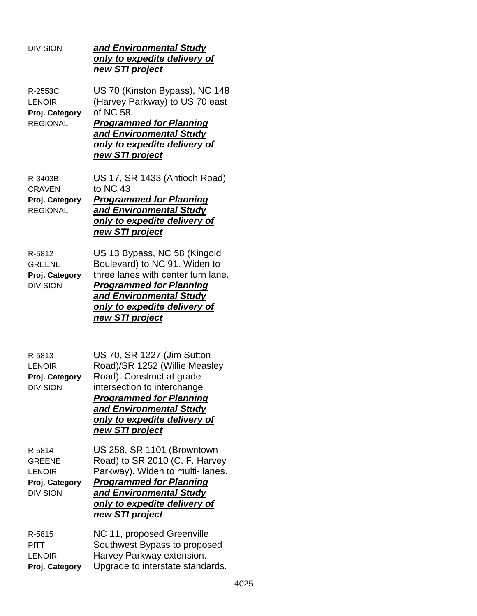| <b>DIVISION</b>                                                               | and Environmental Study<br>only to expedite delivery of<br>new STI project                                                                                                                                                              |
|-------------------------------------------------------------------------------|-----------------------------------------------------------------------------------------------------------------------------------------------------------------------------------------------------------------------------------------|
| R-2553C<br><b>LENOIR</b><br>Proj. Category<br><b>REGIONAL</b>                 | US 70 (Kinston Bypass), NC 148<br>(Harvey Parkway) to US 70 east<br>of NC 58.<br><b>Programmed for Planning</b><br>and Environmental Study<br>only to expedite delivery of<br>new STI project                                           |
| R-3403B<br><b>CRAVEN</b><br>Proj. Category<br><b>REGIONAL</b>                 | US 17, SR 1433 (Antioch Road)<br>to NC 43<br><b>Programmed for Planning</b><br>and Environmental Study<br>only to expedite delivery of<br>new STI project                                                                               |
| R-5812<br><b>GREENE</b><br>Proj. Category<br><b>DIVISION</b>                  | US 13 Bypass, NC 58 (Kingold<br>Boulevard) to NC 91. Widen to<br>three lanes with center turn lane.<br><b>Programmed for Planning</b><br>and Environmental Study<br><u>only to expedite delivery of</u><br><u>new STI project</u>       |
| R-5813<br><b>LENOIR</b><br>Proj. Category<br><b>DIVISION</b>                  | US 70, SR 1227 (Jim Sutton<br>Road)/SR 1252 (Willie Measley<br>Road). Construct at grade<br>intersection to interchange<br><b>Programmed for Planning</b><br>and Environmental Study<br>only to expedite delivery of<br>new STI project |
| R-5814<br><b>GREENE</b><br><b>LENOIR</b><br>Proj. Category<br><b>DIVISION</b> | US 258, SR 1101 (Browntown<br>Road) to SR 2010 (C. F. Harvey<br>Parkway). Widen to multi-lanes.<br><b>Programmed for Planning</b><br>and Environmental Study<br><u>only to expedite delivery of</u><br>new STI project                  |
| R-5815<br>PITT<br><b>LENOIR</b><br>Proj. Category                             | NC 11, proposed Greenville<br>Southwest Bypass to proposed<br>Harvey Parkway extension.<br>Upgrade to interstate standards.                                                                                                             |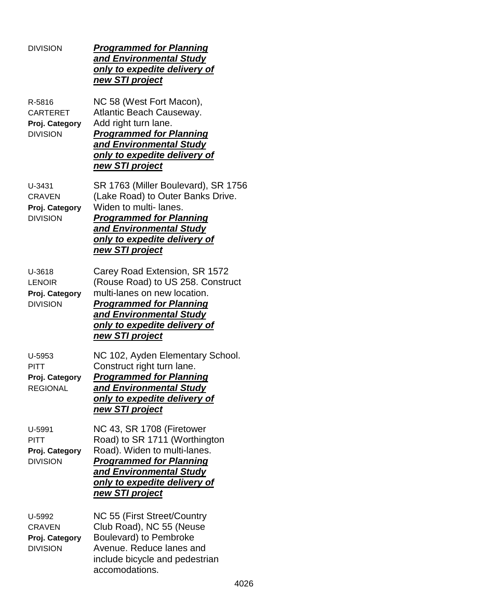| <b>DIVISION</b>                                                | <b>Programmed for Planning</b><br>and Environmental Study<br>only to expedite delivery of<br>new STI project                                                                                                              |
|----------------------------------------------------------------|---------------------------------------------------------------------------------------------------------------------------------------------------------------------------------------------------------------------------|
| R-5816<br><b>CARTERET</b><br>Proj. Category<br><b>DIVISION</b> | NC 58 (West Fort Macon),<br>Atlantic Beach Causeway.<br>Add right turn lane.<br><b>Programmed for Planning</b><br>and Environmental Study<br>only to expedite delivery of<br>new STI project                              |
| U-3431<br><b>CRAVEN</b><br>Proj. Category<br><b>DIVISION</b>   | SR 1763 (Miller Boulevard), SR 1756<br>(Lake Road) to Outer Banks Drive.<br>Widen to multi-lanes.<br><b>Programmed for Planning</b><br>and Environmental Study<br>only to expedite delivery of<br>new STI project         |
| U-3618<br><b>LENOIR</b><br>Proj. Category<br><b>DIVISION</b>   | Carey Road Extension, SR 1572<br>(Rouse Road) to US 258. Construct<br>multi-lanes on new location.<br><b>Programmed for Planning</b><br>and Environmental Study<br>only to expedite delivery of<br><u>new STI project</u> |
| U-5953<br><b>PITT</b><br>Proj. Category<br><b>REGIONAL</b>     | NC 102, Ayden Elementary School.<br>Construct right turn lane.<br><b>Programmed for Planning</b><br>and Environmental Study<br>only to expedite delivery of<br>new STI project                                            |
| U-5991<br>PITT<br>Proj. Category<br><b>DIVISION</b>            | NC 43, SR 1708 (Firetower<br>Road) to SR 1711 (Worthington<br>Road). Widen to multi-lanes.<br><b>Programmed for Planning</b><br>and Environmental Study<br>only to expedite delivery of<br>new STI project                |
| U-5992<br><b>CRAVEN</b><br>Proj. Category<br><b>DIVISION</b>   | NC 55 (First Street/Country<br>Club Road), NC 55 (Neuse<br>Boulevard) to Pembroke<br>Avenue. Reduce lanes and<br>include bicycle and pedestrian<br>accomodations.                                                         |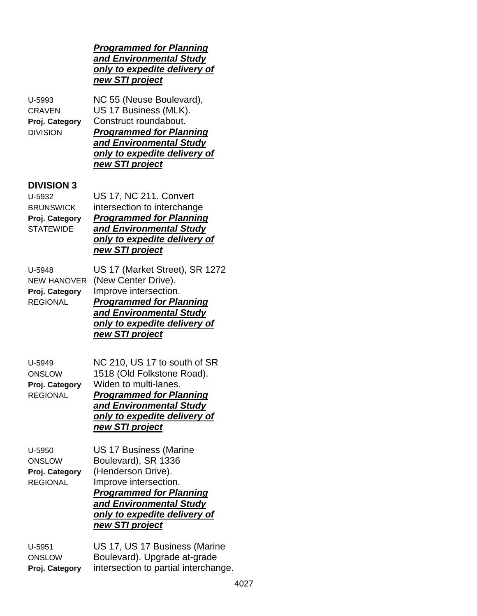# *Programmed for Planning and Environmental Study only to expedite delivery of new STI project*

U-5993 NC 55 (Neuse Boulevard), CRAVEN US 17 Business (MLK). **Proj. Category** Construct roundabout. DIVISION *Programmed for Planning and Environmental Study only to expedite delivery of new STI project*

# **DIVISION 3**

U-5932 US 17, NC 211. Convert BRUNSWICK intersection to interchange **Proj. Category** *Programmed for Planning* STATEWIDE *and Environmental Study only to expedite delivery of new STI project*

| U-5948          | US 17 (Market Street), SR 1272  |
|-----------------|---------------------------------|
|                 | NEW HANOVER (New Center Drive). |
| Proj. Category  | Improve intersection.           |
| <b>REGIONAL</b> | <b>Programmed for Planning</b>  |
|                 | and Environmental Study         |
|                 | only to expedite delivery of    |
|                 | new STI project                 |
|                 |                                 |

| U-5949          | NC 210, US 17 to south of SR   |
|-----------------|--------------------------------|
| <b>ONSLOW</b>   | 1518 (Old Folkstone Road).     |
| Proj. Category  | Widen to multi-lanes.          |
| <b>REGIONAL</b> | <b>Programmed for Planning</b> |
|                 | and <b>Environmental Study</b> |
|                 | only to expedite delivery of   |
|                 | new STI project                |
|                 |                                |

U-5950 US 17 Business (Marine ONSLOW Boulevard), SR 1336 **Proj. Category** (Henderson Drive). REGIONAL Improve intersection. *Programmed for Planning and Environmental Study only to expedite delivery of new STI project*

U-5951 US 17, US 17 Business (Marine ONSLOW Boulevard). Upgrade at-grade **Proj. Category** intersection to partial interchange.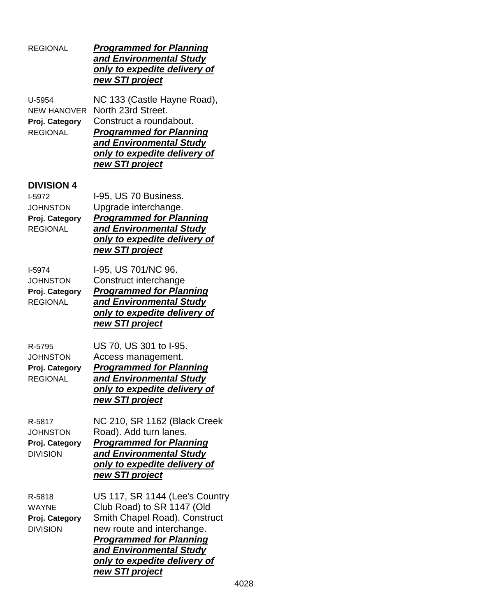| <b>REGIONAL</b>                                                                     | <u>Programmed for Planning</u><br>and Environmental Study<br>only to expedite delivery of<br><u>new STI project</u>                                                                                                                         |
|-------------------------------------------------------------------------------------|---------------------------------------------------------------------------------------------------------------------------------------------------------------------------------------------------------------------------------------------|
| U-5954<br><b>NEW HANOVER</b><br>Proj. Category<br><b>REGIONAL</b>                   | NC 133 (Castle Hayne Road),<br>North 23rd Street.<br>Construct a roundabout.<br><b>Programmed for Planning</b><br><u>and Environmental Study</u><br>only to expedite delivery of<br>new STI project                                         |
| <b>DIVISION 4</b><br>I-5972<br><b>JOHNSTON</b><br>Proj. Category<br><b>REGIONAL</b> | I-95, US 70 Business.<br>Upgrade interchange.<br><b>Programmed for Planning</b><br>and Environmental Study<br>only to expedite delivery of<br>new STI project                                                                               |
| <b>I-5974</b><br><b>JOHNSTON</b><br>Proj. Category<br><b>REGIONAL</b>               | I-95, US 701/NC 96.<br>Construct interchange<br><b>Programmed for Planning</b><br>and Environmental Study<br><u>only to expedite delivery of</u><br><u>new STI project</u>                                                                  |
| R-5795<br><b>JOHNSTON</b><br>Proj. Category<br><b>REGIONAL</b>                      | US 70, US 301 to I-95.<br>Access management.<br><b>Programmed for Planning</b><br>and Environmental Study<br>only to expedite delivery of<br>new STI project                                                                                |
| R-5817<br><b>JOHNSTON</b><br>Proj. Category<br><b>DIVISION</b>                      | NC 210, SR 1162 (Black Creek<br>Road). Add turn lanes.<br><b>Programmed for Planning</b><br>and Environmental Study<br><u>only to expedite delivery of</u><br>new STI project                                                               |
| R-5818<br><b>WAYNE</b><br>Proj. Category<br><b>DIVISION</b>                         | US 117, SR 1144 (Lee's Country<br>Club Road) to SR 1147 (Old<br>Smith Chapel Road). Construct<br>new route and interchange.<br><b>Programmed for Planning</b><br>and Environmental Study<br>only to expedite delivery of<br>new STI project |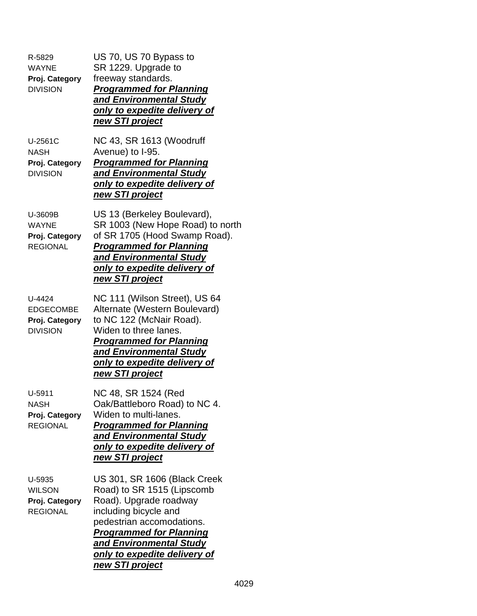| R-5829<br><b>WAYNE</b><br>Proj. Category<br><b>DIVISION</b>     | US 70, US 70 Bypass to<br>SR 1229. Upgrade to<br>freeway standards.<br><b>Programmed for Planning</b><br>and Environmental Study<br>only to expedite delivery of<br><u>new STI project</u>                                                                        |
|-----------------------------------------------------------------|-------------------------------------------------------------------------------------------------------------------------------------------------------------------------------------------------------------------------------------------------------------------|
| U-2561C<br><b>NASH</b><br>Proj. Category<br><b>DIVISION</b>     | NC 43, SR 1613 (Woodruff<br>Avenue) to I-95.<br><b>Programmed for Planning</b><br>and Environmental Study<br><u>only to expedite delivery of</u><br>new STI project                                                                                               |
| U-3609B<br><b>WAYNE</b><br>Proj. Category<br><b>REGIONAL</b>    | US 13 (Berkeley Boulevard),<br>SR 1003 (New Hope Road) to north<br>of SR 1705 (Hood Swamp Road).<br><b>Programmed for Planning</b><br>and Environmental Study<br><u>only to expedite delivery of</u><br>new STI project                                           |
| U-4424<br><b>EDGECOMBE</b><br>Proj. Category<br><b>DIVISION</b> | NC 111 (Wilson Street), US 64<br>Alternate (Western Boulevard)<br>to NC 122 (McNair Road).<br>Widen to three lanes.<br><b>Programmed for Planning</b><br><u>and Environmental Study</u><br><u>only to expedite delivery of</u><br><u>new STI project</u>          |
| U-5911<br>NASH<br>Proj. Category<br><b>REGIONAL</b>             | NC 48, SR 1524 (Red<br>Oak/Battleboro Road) to NC 4.<br>Widen to multi-lanes.<br><b>Programmed for Planning</b><br>and Environmental Study<br><u>only to expedite delivery of</u><br><u>new STI project</u>                                                       |
| U-5935<br><b>WILSON</b><br>Proj. Category<br><b>REGIONAL</b>    | US 301, SR 1606 (Black Creek<br>Road) to SR 1515 (Lipscomb<br>Road). Upgrade roadway<br>including bicycle and<br>pedestrian accomodations.<br><b>Programmed for Planning</b><br><u>and Environmental Study</u><br>only to expedite delivery of<br>new STI project |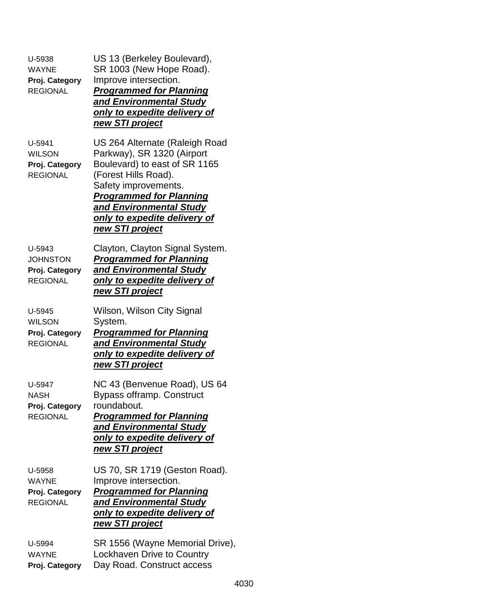| U-5938<br><b>WAYNE</b><br>Proj. Category<br><b>REGIONAL</b>    | US 13 (Berkeley Boulevard),<br>SR 1003 (New Hope Road).<br>Improve intersection.<br><b>Programmed for Planning</b><br>and Environmental Study<br>only to expedite delivery of<br><u>new STI project</u>                                                       |
|----------------------------------------------------------------|---------------------------------------------------------------------------------------------------------------------------------------------------------------------------------------------------------------------------------------------------------------|
| U-5941<br><b>WILSON</b><br>Proj. Category<br><b>REGIONAL</b>   | US 264 Alternate (Raleigh Road<br>Parkway), SR 1320 (Airport<br>Boulevard) to east of SR 1165<br>(Forest Hills Road).<br>Safety improvements.<br><b>Programmed for Planning</b><br>and Environmental Study<br>only to expedite delivery of<br>new STI project |
| U-5943<br><b>JOHNSTON</b><br>Proj. Category<br><b>REGIONAL</b> | Clayton, Clayton Signal System.<br><b>Programmed for Planning</b><br>and Environmental Study<br>only to expedite delivery of<br>new STI project                                                                                                               |
| U-5945<br><b>WILSON</b><br>Proj. Category<br><b>REGIONAL</b>   | Wilson, Wilson City Signal<br>System.<br><b>Programmed for Planning</b><br>and Environmental Study<br>only to expedite delivery of<br>new STI project                                                                                                         |
| U-5947<br><b>NASH</b><br>Proj. Category<br><b>REGIONAL</b>     | NC 43 (Benvenue Road), US 64<br>Bypass offramp. Construct<br>roundabout.<br><b>Programmed for Planning</b><br>and Environmental Study<br>only to expedite delivery of<br>new STI project                                                                      |
| U-5958<br><b>WAYNE</b><br>Proj. Category<br><b>REGIONAL</b>    | US 70, SR 1719 (Geston Road).<br>Improve intersection.<br><b>Programmed for Planning</b><br>and Environmental Study<br>only to expedite delivery of<br><u>new STI project</u>                                                                                 |
| U-5994<br><b>WAYNE</b><br>Proj. Category                       | SR 1556 (Wayne Memorial Drive),<br>Lockhaven Drive to Country<br>Day Road. Construct access                                                                                                                                                                   |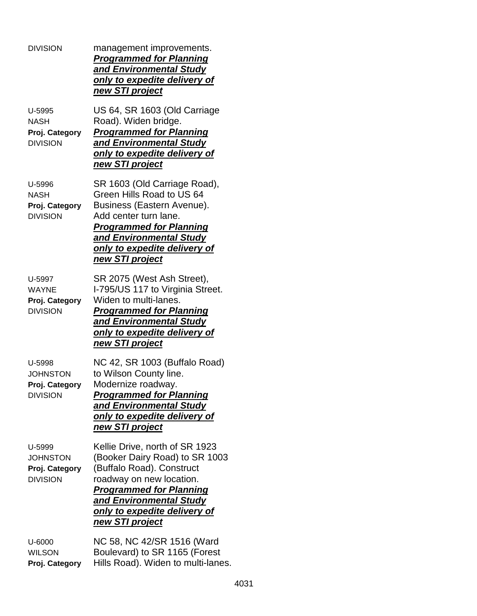| <b>DIVISION</b>                                                | management improvements.<br><b>Programmed for Planning</b><br>and Environmental Study<br>only to expedite delivery of<br>new STI project                                                                                                  |
|----------------------------------------------------------------|-------------------------------------------------------------------------------------------------------------------------------------------------------------------------------------------------------------------------------------------|
| U-5995<br><b>NASH</b><br>Proj. Category<br><b>DIVISION</b>     | US 64, SR 1603 (Old Carriage<br>Road). Widen bridge.<br><b>Programmed for Planning</b><br>and Environmental Study<br>only to expedite delivery of<br>new STI project                                                                      |
| U-5996<br><b>NASH</b><br>Proj. Category<br><b>DIVISION</b>     | SR 1603 (Old Carriage Road),<br>Green Hills Road to US 64<br>Business (Eastern Avenue).<br>Add center turn lane.<br><b>Programmed for Planning</b><br>and Environmental Study<br>only to expedite delivery of<br>new STI project          |
| U-5997<br><b>WAYNE</b><br>Proj. Category<br><b>DIVISION</b>    | SR 2075 (West Ash Street),<br>I-795/US 117 to Virginia Street.<br>Widen to multi-lanes.<br><b>Programmed for Planning</b><br>and Environmental Study<br>only to expedite delivery of<br>new STI project                                   |
| U-5998<br><b>JOHNSTON</b><br>Proj. Category<br><b>DIVISION</b> | NC 42, SR 1003 (Buffalo Road)<br>to Wilson County line.<br>Modernize roadway.<br><u>Programmed for Planning</u><br>and Environmental Study<br><u>only to expedite delivery of</u><br><u>new STI project</u>                               |
| U-5999<br><b>JOHNSTON</b><br>Proj. Category<br><b>DIVISION</b> | Kellie Drive, north of SR 1923<br>(Booker Dairy Road) to SR 1003<br>(Buffalo Road). Construct<br>roadway on new location.<br><b>Programmed for Planning</b><br>and Environmental Study<br>only to expedite delivery of<br>new STI project |
| U-6000<br><b>WILSON</b><br>Proj. Category                      | NC 58, NC 42/SR 1516 (Ward<br>Boulevard) to SR 1165 (Forest<br>Hills Road). Widen to multi-lanes.                                                                                                                                         |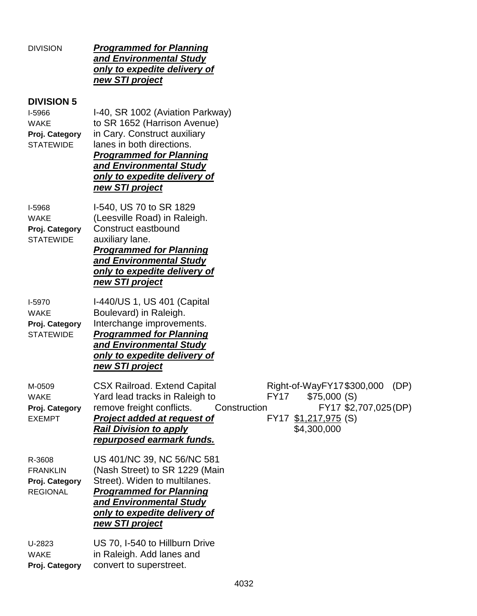| <b>DIVISION</b>                                                                         | <b>Programmed for Planning</b><br>and Environmental Study<br>only to expedite delivery of<br>new STI project                                                                                                                                                                                                                                                 |
|-----------------------------------------------------------------------------------------|--------------------------------------------------------------------------------------------------------------------------------------------------------------------------------------------------------------------------------------------------------------------------------------------------------------------------------------------------------------|
| <b>DIVISION 5</b><br><b>I-5966</b><br><b>WAKE</b><br>Proj. Category<br><b>STATEWIDE</b> | I-40, SR 1002 (Aviation Parkway)<br>to SR 1652 (Harrison Avenue)<br>in Cary. Construct auxiliary<br>lanes in both directions.<br><b>Programmed for Planning</b><br>and Environmental Study<br>only to expedite delivery of<br>new STI project                                                                                                                |
| I-5968<br><b>WAKE</b><br>Proj. Category<br><b>STATEWIDE</b>                             | I-540, US 70 to SR 1829<br>(Leesville Road) in Raleigh.<br>Construct eastbound<br>auxiliary lane.<br><b>Programmed for Planning</b><br>and Environmental Study<br>only to expedite delivery of<br>new STI project                                                                                                                                            |
| I-5970<br><b>WAKE</b><br>Proj. Category<br><b>STATEWIDE</b>                             | I-440/US 1, US 401 (Capital<br>Boulevard) in Raleigh.<br>Interchange improvements.<br><b>Programmed for Planning</b><br>and Environmental Study<br>only to expedite delivery of<br>new STI project                                                                                                                                                           |
| M-0509<br><b>WAKE</b><br>Proj. Category<br><b>EXEMPT</b>                                | Right-of-WayFY17\$300,000 (DP)<br><b>CSX Railroad. Extend Capital</b><br>Yard lead tracks in Raleigh to<br><b>FY17</b><br>\$75,000(S)<br>remove freight conflicts.<br>Construction<br>FY17 \$2,707,025(DP)<br><b>Project added at request of</b><br>FY17 \$1,217,975 (S)<br><b>Rail Division to apply</b><br>\$4,300,000<br><b>repurposed earmark funds.</b> |
| R-3608<br><b>FRANKLIN</b><br>Proj. Category<br><b>REGIONAL</b>                          | US 401/NC 39, NC 56/NC 581<br>(Nash Street) to SR 1229 (Main<br>Street). Widen to multilanes.<br><b>Programmed for Planning</b><br>and Environmental Study<br>only to expedite delivery of<br>new STI project                                                                                                                                                |
| U-2823<br><b>WAKE</b><br>Proj. Category                                                 | US 70, I-540 to Hillburn Drive<br>in Raleigh. Add lanes and<br>convert to superstreet.                                                                                                                                                                                                                                                                       |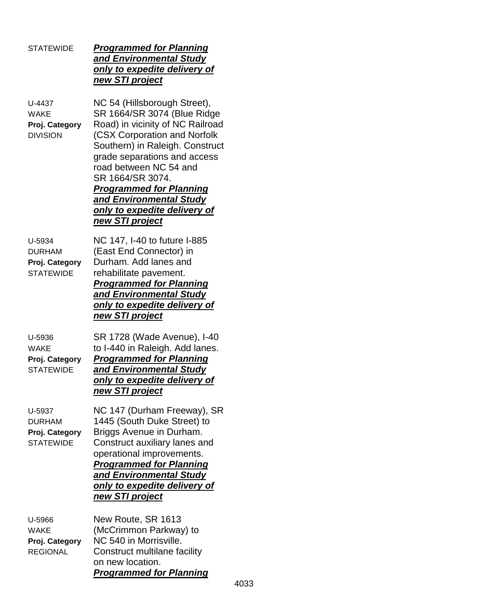### STATEWIDE *Programmed for Planning and Environmental Study only to expedite delivery of new STI project*

U-4437 NC 54 (Hillsborough Street), WAKE SR 1664/SR 3074 (Blue Ridge **Proj. Category** Road) in vicinity of NC Railroad DIVISION (CSX Corporation and Norfolk Southern) in Raleigh. Construct grade separations and access road between NC 54 and SR 1664/SR 3074. *Programmed for Planning and Environmental Study only to expedite delivery of new STI project*

U-5934 NC 147, I-40 to future I-885 DURHAM (East End Connector) in **Proj. Category** Durham. Add lanes and STATEWIDE rehabilitate pavement. *Programmed for Planning and Environmental Study only to expedite delivery of new STI project*

U-5936 SR 1728 (Wade Avenue), I-40 WAKE to I-440 in Raleigh. Add lanes. **Proj. Category** *Programmed for Planning* STATEWIDE *and Environmental Study only to expedite delivery of new STI project*

U-5937 NC 147 (Durham Freeway), SR DURHAM 1445 (South Duke Street) to **Proj. Category** Briggs Avenue in Durham. STATEWIDE Construct auxiliary lanes and operational improvements. *Programmed for Planning and Environmental Study only to expedite delivery of new STI project*

|                 | <b>Programmed for Planning</b> |
|-----------------|--------------------------------|
|                 | on new location.               |
| <b>REGIONAL</b> | Construct multilane facility   |
| Proj. Category  | NC 540 in Morrisville.         |
| <b>WAKE</b>     | (McCrimmon Parkway) to         |
| U-5966          | New Route, SR 1613             |
|                 |                                |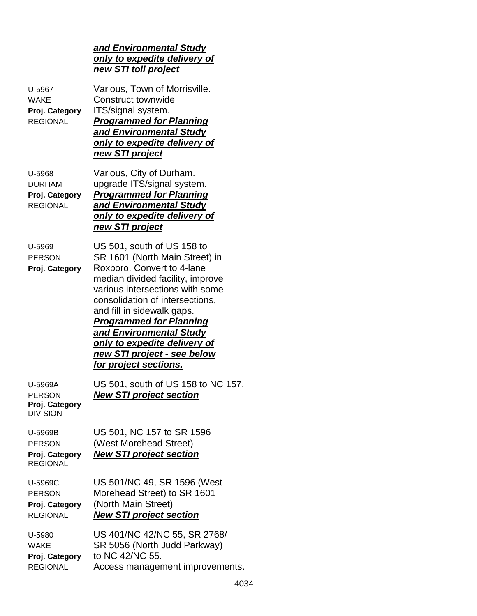### *and Environmental Study only to expedite delivery of new STI toll project*

| U-5967<br><b>WAKE</b><br>Proj. Category<br><b>REGIONAL</b>    | Various, Town of Morrisville.<br>Construct townwide<br>ITS/signal system.<br><b>Programmed for Planning</b><br>and Environmental Study<br>only to expedite delivery of<br>new STI project                                                                                                                                                                                                             |
|---------------------------------------------------------------|-------------------------------------------------------------------------------------------------------------------------------------------------------------------------------------------------------------------------------------------------------------------------------------------------------------------------------------------------------------------------------------------------------|
| U-5968<br><b>DURHAM</b><br>Proj. Category<br><b>REGIONAL</b>  | Various, City of Durham.<br>upgrade ITS/signal system.<br><b>Programmed for Planning</b><br>and Environmental Study<br>only to expedite delivery of<br>new STI project                                                                                                                                                                                                                                |
| U-5969<br><b>PERSON</b><br>Proj. Category                     | US 501, south of US 158 to<br>SR 1601 (North Main Street) in<br>Roxboro, Convert to 4-lane<br>median divided facility, improve<br>various intersections with some<br>consolidation of intersections,<br>and fill in sidewalk gaps.<br><b>Programmed for Planning</b><br>and <b>Environmental Study</b><br><u>only to expedite delivery of</u><br>new STI project - see below<br>for project sections. |
| U-5969A<br><b>PERSON</b><br>Proj. Category<br><b>DIVISION</b> | US 501, south of US 158 to NC 157.<br><b>New STI project section</b>                                                                                                                                                                                                                                                                                                                                  |
| U-5969B<br><b>PERSON</b><br>Proj. Category<br><b>REGIONAL</b> | US 501, NC 157 to SR 1596<br>(West Morehead Street)<br><b>New STI project section</b>                                                                                                                                                                                                                                                                                                                 |
| U-5969C<br><b>PERSON</b><br>Proj. Category<br><b>REGIONAL</b> | US 501/NC 49, SR 1596 (West<br>Morehead Street) to SR 1601<br>(North Main Street)<br><b>New STI project section</b>                                                                                                                                                                                                                                                                                   |
| U-5980<br><b>WAKE</b><br>Proj. Category<br><b>REGIONAL</b>    | US 401/NC 42/NC 55, SR 2768/<br>SR 5056 (North Judd Parkway)<br>to NC 42/NC 55.<br>Access management improvements.                                                                                                                                                                                                                                                                                    |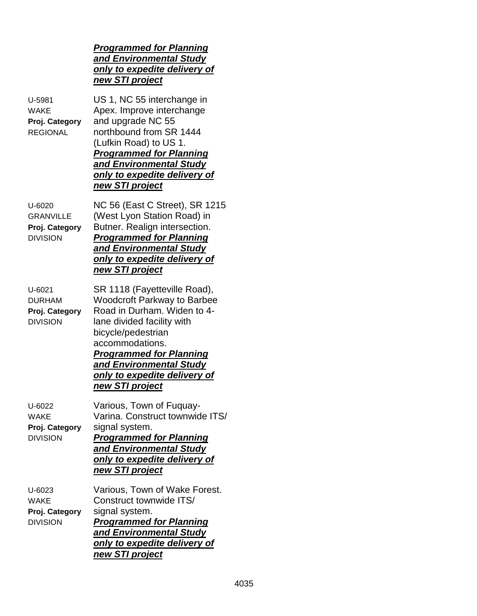| U-5981<br><b>WAKE</b><br>Proj. Category<br><b>REGIONAL</b>      | US 1, NC 55 interchange in<br>Apex. Improve interchange<br>and upgrade NC 55<br>northbound from SR 1444<br>(Lufkin Road) to US 1.<br><b>Programmed for Planning</b><br>and Environmental Study<br><u>only to expedite delivery of</u><br>new STI project                                        |      |
|-----------------------------------------------------------------|-------------------------------------------------------------------------------------------------------------------------------------------------------------------------------------------------------------------------------------------------------------------------------------------------|------|
| U-6020<br><b>GRANVILLE</b><br>Proj. Category<br><b>DIVISION</b> | NC 56 (East C Street), SR 1215<br>(West Lyon Station Road) in<br>Butner. Realign intersection.<br><b>Programmed for Planning</b><br>and Environmental Study<br><u>only to expedite delivery of</u><br>new STI project                                                                           |      |
| U-6021<br><b>DURHAM</b><br>Proj. Category<br><b>DIVISION</b>    | SR 1118 (Fayetteville Road),<br><b>Woodcroft Parkway to Barbee</b><br>Road in Durham. Widen to 4-<br>lane divided facility with<br>bicycle/pedestrian<br>accommodations.<br><b>Programmed for Planning</b><br>and Environmental Study<br><u>only to expedite delivery of</u><br>new STI project |      |
| $U - 6022$<br><b>WAKE</b><br>Proj. Category<br><b>DIVISION</b>  | Various, Town of Fuquay-<br>Varina. Construct townwide ITS/<br>signal system.<br><b>Programmed for Planning</b><br>and Environmental Study<br>only to expedite delivery of<br>new STI project                                                                                                   |      |
| U-6023<br><b>WAKE</b><br>Proj. Category<br><b>DIVISION</b>      | Various, Town of Wake Forest.<br>Construct townwide ITS/<br>signal system.<br><b>Programmed for Planning</b><br>and Environmental Study<br>only to expedite delivery of<br>new STI project                                                                                                      |      |
|                                                                 |                                                                                                                                                                                                                                                                                                 | 4035 |

*Programmed for Planning and Environmental Study only to expedite delivery of*

*new STI project*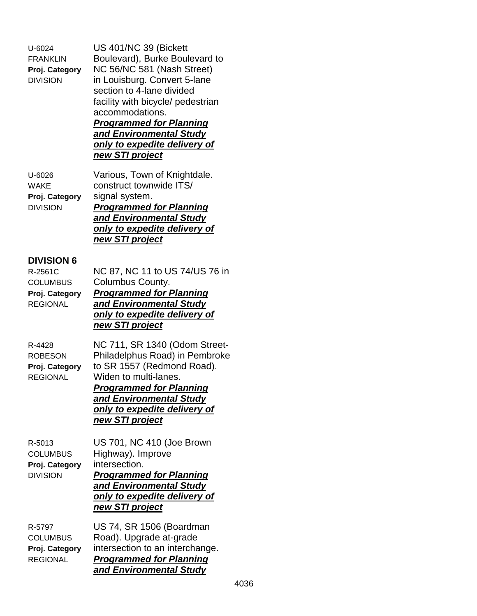U-6024 US 401/NC 39 (Bickett

FRANKLIN Boulevard), Burke Boulevard to **Proj. Category** NC 56/NC 581 (Nash Street) DIVISION in Louisburg. Convert 5-lane section to 4-lane divided facility with bicycle/ pedestrian accommodations. *Programmed for Planning*

#### *and Environmental Study only to expedite delivery of new STI project*

U-6026 Various, Town of Knightdale. WAKE construct townwide ITS/ **Proj. Category** signal system. DIVISION *Programmed for Planning and Environmental Study only to expedite delivery of new STI project*

## **DIVISION 6**

| NC 87, NC 11 to US 74/US 76 in                                  |
|-----------------------------------------------------------------|
| Columbus County.                                                |
| <b>Programmed for Planning</b>                                  |
| and Environmental Study                                         |
| only to expedite delivery of                                    |
| new STI project                                                 |
| NC 711, SR 1340 (Odom Street-<br>Philadelphus Road) in Pembroke |
| to SR 1557 (Redmond Road).                                      |
| Widen to multi-lanes.                                           |
| <b>Programmed for Planning</b>                                  |
| and Environmental Study                                         |
| only to expedite delivery of                                    |
|                                                                 |

*new STI project*

**Proj. Category** intersection.

R-5013 US 701, NC 410 (Joe Brown COLUMBUS Highway). Improve DIVISION *Programmed for Planning and Environmental Study only to expedite delivery of new STI project*

R-5797 US 74, SR 1506 (Boardman COLUMBUS Road). Upgrade at-grade **Proj. Category** intersection to an interchange. REGIONAL *Programmed for Planning and Environmental Study*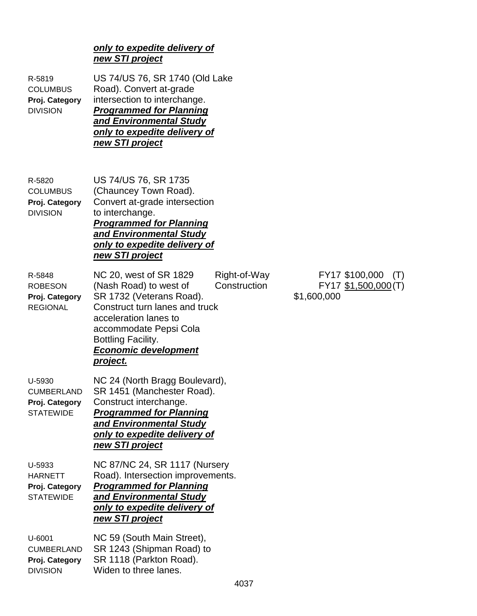#### *only to expedite delivery of new STI project*

| R-5819<br><b>COLUMBUS</b><br>Proj. Category<br><b>DIVISION</b>    | US 74/US 76, SR 1740 (Old Lake<br>Road). Convert at-grade<br>intersection to interchange.<br><b>Programmed for Planning</b><br>and Environmental Study<br>only to expedite delivery of<br>new STI project                          |                              |                                                              |
|-------------------------------------------------------------------|------------------------------------------------------------------------------------------------------------------------------------------------------------------------------------------------------------------------------------|------------------------------|--------------------------------------------------------------|
| R-5820<br><b>COLUMBUS</b><br>Proj. Category<br><b>DIVISION</b>    | US 74/US 76, SR 1735<br>(Chauncey Town Road).<br>Convert at-grade intersection<br>to interchange.<br><b>Programmed for Planning</b><br>and Environmental Study<br>only to expedite delivery of<br>new STI project                  |                              |                                                              |
| R-5848<br><b>ROBESON</b><br>Proj. Category<br><b>REGIONAL</b>     | NC 20, west of SR 1829<br>(Nash Road) to west of<br>SR 1732 (Veterans Road).<br>Construct turn lanes and truck<br>acceleration lanes to<br>accommodate Pepsi Cola<br>Bottling Facility.<br><b>Economic development</b><br>project. | Right-of-Way<br>Construction | FY17 \$100,000<br>(T)<br>FY17 \$1,500,000 (T)<br>\$1,600,000 |
| U-5930<br><b>CUMBERLAND</b><br>Proj. Category<br><b>STATEWIDE</b> | NC 24 (North Bragg Boulevard),<br>SR 1451 (Manchester Road).<br>Construct interchange.<br><b>Programmed for Planning</b><br><b>and Environmental Study</b><br><u>only to expedite delivery of</u><br>new STI project               |                              |                                                              |
| U-5933<br><b>HARNETT</b><br>Proj. Category<br><b>STATEWIDE</b>    | NC 87/NC 24, SR 1117 (Nursery<br>Road). Intersection improvements.<br><b>Programmed for Planning</b><br>and Environmental Study<br>only to expedite delivery of<br>new STI project                                                 |                              |                                                              |
| U-6001<br><b>CUMBERLAND</b><br>Proj Category                      | NC 59 (South Main Street),<br>SR 1243 (Shipman Road) to<br>SR 1118 (Parkton Road)                                                                                                                                                  |                              |                                                              |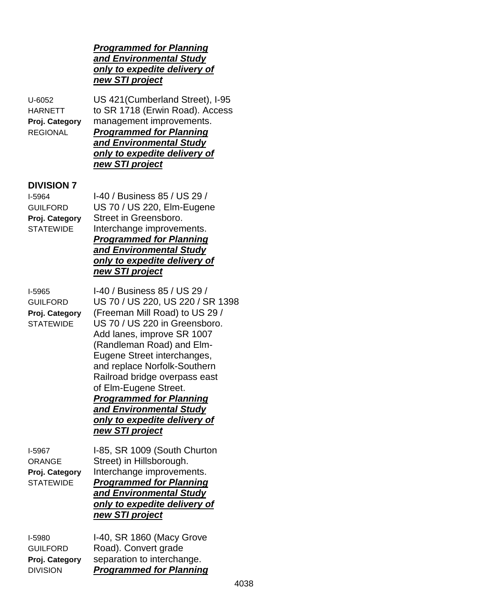#### *Programmed for Planning and Environmental Study only to expedite delivery of new STI project*

# U-6052 US 421(Cumberland Street), I-95 HARNETT to SR 1718 (Erwin Road). Access **Proj. Category** management improvements.

REGIONAL *Programmed for Planning and Environmental Study only to expedite delivery of new STI project*

## **DIVISION 7**

I-5964 I-40 / Business 85 / US 29 / GUILFORD US 70 / US 220, Elm-Eugene **Proj. Category** Street in Greensboro. STATEWIDE Interchange improvements. *Programmed for Planning and Environmental Study only to expedite delivery of new STI project*

I-5965 I-40 / Business 85 / US 29 / GUILFORD US 70 / US 220, US 220 / SR 1398 **Proj. Category** (Freeman Mill Road) to US 29 / STATEWIDE US 70 / US 220 in Greensboro. Add lanes, improve SR 1007 (Randleman Road) and Elm-Eugene Street interchanges, and replace Norfolk-Southern Railroad bridge overpass east of Elm-Eugene Street. *Programmed for Planning and Environmental Study only to expedite delivery of new STI project*

I-5967 I-85, SR 1009 (South Churton ORANGE Street) in Hillsborough. **Proj. Category** Interchange improvements. STATEWIDE *Programmed for Planning*

#### *and Environmental Study only to expedite delivery of new STI project*

| I-5980          | I-40, SR 1860 (Macy Grove      |
|-----------------|--------------------------------|
| <b>GUILFORD</b> | Road). Convert grade           |
| Proj. Category  | separation to interchange.     |
| <b>DIVISION</b> | <b>Programmed for Planning</b> |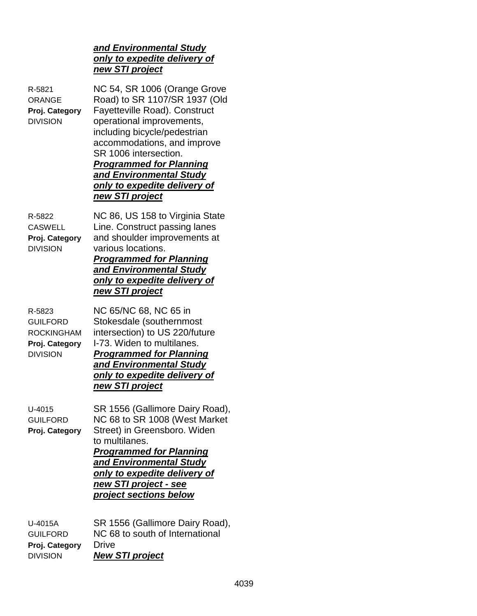#### *and Environmental Study only to expedite delivery of new STI project*

R-5821 NC 54, SR 1006 (Orange Grove ORANGE Road) to SR 1107/SR 1937 (Old **Proj. Category** Fayetteville Road). Construct DIVISION operational improvements, including bicycle/pedestrian accommodations, and improve SR 1006 intersection. *Programmed for Planning and Environmental Study only to expedite delivery of new STI project* R-5822 NC 86, US 158 to Virginia State CASWELL Line. Construct passing lanes **Proj. Category** and shoulder improvements at DIVISION various locations. *Programmed for Planning and Environmental Study only to expedite delivery of new STI project* R-5823 NC 65/NC 68, NC 65 in GUILFORD Stokesdale (southernmost ROCKINGHAM intersection) to US 220/future **Proj. Category** I-73. Widen to multilanes. DIVISION *Programmed for Planning and Environmental Study only to expedite delivery of new STI project* U-4015 SR 1556 (Gallimore Dairy Road), GUILFORD NC 68 to SR 1008 (West Market **Proj. Category** Street) in Greensboro. Widen to multilanes. *Programmed for Planning and Environmental Study only to expedite delivery of new STI project - see project sections below*

| SR 1556 (Gallimore Dairy Road), |
|---------------------------------|
| NC 68 to south of International |
|                                 |
|                                 |
|                                 |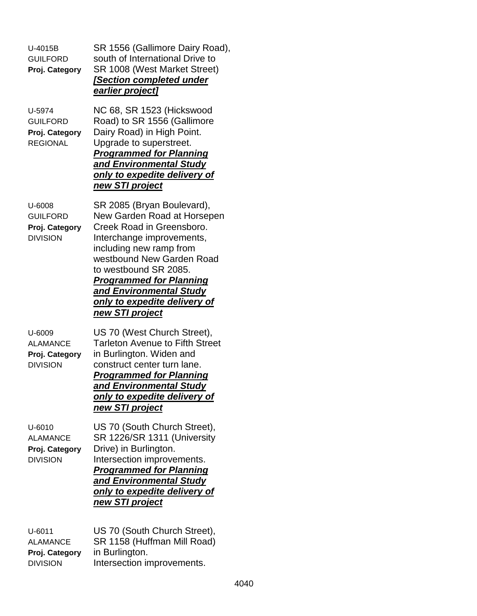| U-4015B<br><b>GUILFORD</b><br>Proj. Category                       | SR 1556 (Gallimore Dairy Road),<br>south of International Drive to<br>SR 1008 (West Market Street)<br>[Section completed under<br>earlier project]                                                                                                                                                                          |
|--------------------------------------------------------------------|-----------------------------------------------------------------------------------------------------------------------------------------------------------------------------------------------------------------------------------------------------------------------------------------------------------------------------|
| U-5974<br><b>GUILFORD</b><br>Proj. Category<br><b>REGIONAL</b>     | NC 68, SR 1523 (Hickswood<br>Road) to SR 1556 (Gallimore<br>Dairy Road) in High Point.<br>Upgrade to superstreet.<br><b>Programmed for Planning</b><br>and Environmental Study<br>only to expedite delivery of<br>new STI project                                                                                           |
| U-6008<br><b>GUILFORD</b><br>Proj. Category<br><b>DIVISION</b>     | SR 2085 (Bryan Boulevard),<br>New Garden Road at Horsepen<br>Creek Road in Greensboro.<br>Interchange improvements,<br>including new ramp from<br>westbound New Garden Road<br>to westbound SR 2085.<br><b>Programmed for Planning</b><br>and Environmental Study<br>only to expedite delivery of<br><u>new STI project</u> |
| U-6009<br><b>ALAMANCE</b><br>Proj. Category<br><b>DIVISION</b>     | US 70 (West Church Street),<br><b>Tarleton Avenue to Fifth Street</b><br>in Burlington. Widen and<br>construct center turn lane.<br><b>Programmed for Planning</b><br>and Environmental Study<br>only to expedite delivery of<br>new STI project                                                                            |
| $U - 6010$<br><b>ALAMANCE</b><br>Proj. Category<br><b>DIVISION</b> | US 70 (South Church Street),<br>SR 1226/SR 1311 (University<br>Drive) in Burlington.<br>Intersection improvements.<br><b>Programmed for Planning</b><br>and Environmental Study<br>only to expedite delivery of<br><u>new STI project</u>                                                                                   |
| U-6011<br><b>ALAMANCE</b><br>Proj. Category                        | US 70 (South Church Street),<br>SR 1158 (Huffman Mill Road)<br>in Burlington.                                                                                                                                                                                                                                               |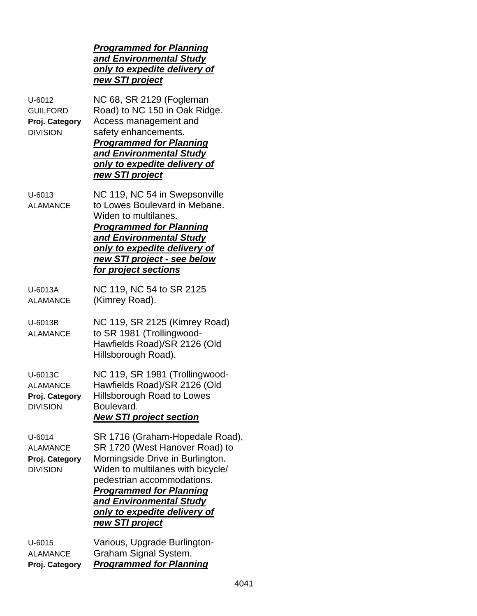|                                                                    | <b>Programmed for Planning</b><br>and Environmental Study<br>only to expedite delivery of<br>new STI project                                                                                                                                                                                    |
|--------------------------------------------------------------------|-------------------------------------------------------------------------------------------------------------------------------------------------------------------------------------------------------------------------------------------------------------------------------------------------|
| $U - 6012$<br><b>GUILFORD</b><br>Proj. Category<br><b>DIVISION</b> | NC 68, SR 2129 (Fogleman<br>Road) to NC 150 in Oak Ridge.<br>Access management and<br>safety enhancements.<br><b>Programmed for Planning</b><br>and Environmental Study<br><u>only to expedite delivery of</u><br>new STI project                                                               |
| U-6013<br><b>ALAMANCE</b>                                          | NC 119, NC 54 in Swepsonville<br>to Lowes Boulevard in Mebane.<br>Widen to multilanes.<br><b>Programmed for Planning</b><br>and Environmental Study<br>only to expedite delivery of<br>new STI project - see below<br>for project sections                                                      |
| U-6013A<br><b>ALAMANCE</b>                                         | NC 119, NC 54 to SR 2125<br>(Kimrey Road).                                                                                                                                                                                                                                                      |
| U-6013B<br><b>ALAMANCE</b>                                         | NC 119, SR 2125 (Kimrey Road)<br>to SR 1981 (Trollingwood-<br>Hawfields Road)/SR 2126 (Old<br>Hillsborough Road).                                                                                                                                                                               |
| U-6013C<br><b>ALAMANCE</b><br>Proj. Category<br><b>DIVISION</b>    | NC 119, SR 1981 (Trollingwood-<br>Hawfields Road)/SR 2126 (Old<br>Hillsborough Road to Lowes<br>Boulevard.<br><b>New STI project section</b>                                                                                                                                                    |
| U-6014<br><b>ALAMANCE</b><br>Proj. Category<br><b>DIVISION</b>     | SR 1716 (Graham-Hopedale Road),<br>SR 1720 (West Hanover Road) to<br>Morningside Drive in Burlington.<br>Widen to multilanes with bicycle/<br>pedestrian accommodations.<br><b>Programmed for Planning</b><br>and Environmental Study<br><u>only to expedite delivery of</u><br>new STI project |
| $U-6015$<br><b>ALAMANCE</b><br>Proj. Category                      | Various, Upgrade Burlington-<br>Graham Signal System.<br><b>Programmed for Planning</b>                                                                                                                                                                                                         |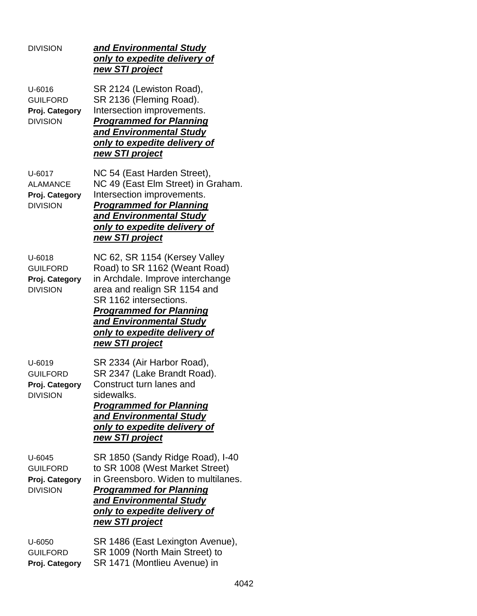| <b>DIVISION</b>                                                    | and Environmental Study<br>only to expedite delivery of<br>new STI project                                                                                                                                                                                                   |
|--------------------------------------------------------------------|------------------------------------------------------------------------------------------------------------------------------------------------------------------------------------------------------------------------------------------------------------------------------|
| $U - 6016$<br><b>GUILFORD</b><br>Proj. Category<br><b>DIVISION</b> | SR 2124 (Lewiston Road),<br>SR 2136 (Fleming Road).<br>Intersection improvements.<br><b>Programmed for Planning</b><br><b>and Environmental Study</b><br>only to expedite delivery of<br>new STI project                                                                     |
| U-6017<br><b>ALAMANCE</b><br>Proj. Category<br><b>DIVISION</b>     | NC 54 (East Harden Street),<br>NC 49 (East Elm Street) in Graham.<br>Intersection improvements.<br><b>Programmed for Planning</b><br>and Environmental Study<br>only to expedite delivery of<br>new STI project                                                              |
| $U - 6018$<br><b>GUILFORD</b><br>Proj. Category<br><b>DIVISION</b> | NC 62, SR 1154 (Kersey Valley<br>Road) to SR 1162 (Weant Road)<br>in Archdale. Improve interchange<br>area and realign SR 1154 and<br>SR 1162 intersections.<br><b>Programmed for Planning</b><br>and Environmental Study<br>only to expedite delivery of<br>new STI project |
| U-6019<br><b>GUILFORD</b><br>Proj. Category<br><b>DIVISION</b>     | SR 2334 (Air Harbor Road),<br>SR 2347 (Lake Brandt Road).<br>Construct turn lanes and<br>sidewalks.<br><b>Programmed for Planning</b><br>and <b>Environmental Study</b><br>only to expedite delivery of<br>new STI project                                                   |
| U-6045<br><b>GUILFORD</b><br>Proj. Category<br><b>DIVISION</b>     | SR 1850 (Sandy Ridge Road), I-40<br>to SR 1008 (West Market Street)<br>in Greensboro. Widen to multilanes.<br><b>Programmed for Planning</b><br><b>and Environmental Study</b><br>only to expedite delivery of<br>new STI project                                            |
| U-6050<br><b>GUILFORD</b><br>Proj. Category                        | SR 1486 (East Lexington Avenue),<br>SR 1009 (North Main Street) to<br>SR 1471 (Montlieu Avenue) in                                                                                                                                                                           |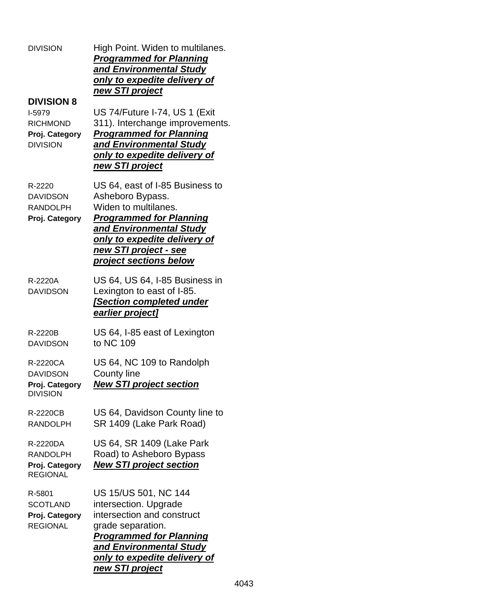| <b>DIVISION</b>                                                                     | High Point. Widen to multilanes.<br><b>Programmed for Planning</b><br>and Environmental Study<br>only to expedite delivery of<br>new STI project                                                                                          |  |  |  |
|-------------------------------------------------------------------------------------|-------------------------------------------------------------------------------------------------------------------------------------------------------------------------------------------------------------------------------------------|--|--|--|
| <b>DIVISION 8</b><br>I-5979<br><b>RICHMOND</b><br>Proj. Category<br><b>DIVISION</b> | US 74/Future I-74, US 1 (Exit<br>311). Interchange improvements.<br><b>Programmed for Planning</b><br>and Environmental Study<br>only to expedite delivery of<br>new STI project                                                          |  |  |  |
| R-2220<br><b>DAVIDSON</b><br><b>RANDOLPH</b><br>Proj. Category                      | US 64, east of I-85 Business to<br>Asheboro Bypass.<br>Widen to multilanes.<br><b>Programmed for Planning</b><br>and Environmental Study<br><u>only to expedite delivery of</u><br><u>new STI project - see</u><br>project sections below |  |  |  |
| R-2220A<br><b>DAVIDSON</b>                                                          | US 64, US 64, I-85 Business in<br>Lexington to east of I-85.<br><b>Section completed under</b><br>earlier project]                                                                                                                        |  |  |  |
| R-2220B<br><b>DAVIDSON</b>                                                          | US 64, I-85 east of Lexington<br>to NC 109                                                                                                                                                                                                |  |  |  |
| R-2220CA<br><b>DAVIDSON</b><br>Proj. Category<br>DIVISION                           | US 64, NC 109 to Randolph<br><b>County line</b><br><b>New STI project section</b>                                                                                                                                                         |  |  |  |
| R-2220CB<br><b>RANDOLPH</b>                                                         | US 64, Davidson County line to<br>SR 1409 (Lake Park Road)                                                                                                                                                                                |  |  |  |
| R-2220DA<br><b>RANDOLPH</b><br>Proj. Category<br><b>REGIONAL</b>                    | US 64, SR 1409 (Lake Park<br>Road) to Asheboro Bypass<br><b>New STI project section</b>                                                                                                                                                   |  |  |  |
| R-5801<br><b>SCOTLAND</b><br>Proj. Category<br><b>REGIONAL</b>                      | US 15/US 501, NC 144<br>intersection. Upgrade<br>intersection and construct<br>grade separation.<br><b>Programmed for Planning</b><br>and Environmental Study<br><u>only to expedite delivery of</u><br>new STI project                   |  |  |  |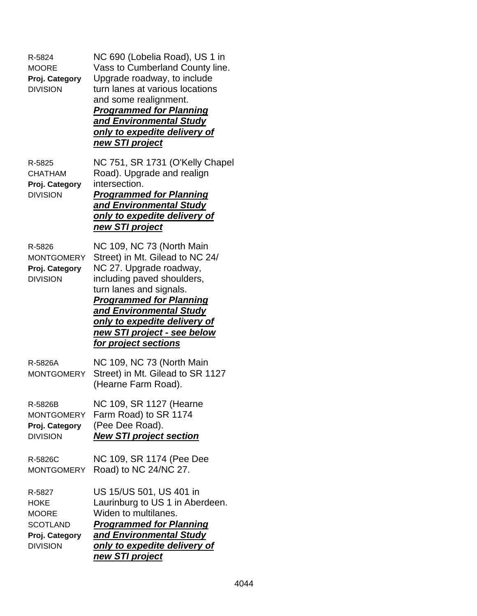| R-5824<br><b>MOORE</b><br>Proj. Category<br><b>DIVISION</b>                                   | NC 690 (Lobelia Road), US 1 in<br>Vass to Cumberland County line.<br>Upgrade roadway, to include<br>turn lanes at various locations<br>and some realignment.<br><b>Programmed for Planning</b><br>and Environmental Study<br>only to expedite delivery of<br><u>new STI project</u>                  |
|-----------------------------------------------------------------------------------------------|------------------------------------------------------------------------------------------------------------------------------------------------------------------------------------------------------------------------------------------------------------------------------------------------------|
| R-5825<br><b>CHATHAM</b><br>Proj. Category<br><b>DIVISION</b>                                 | NC 751, SR 1731 (O'Kelly Chapel<br>Road). Upgrade and realign<br>intersection.<br><b>Programmed for Planning</b><br>and Environmental Study<br>only to expedite delivery of<br>new STI project                                                                                                       |
| R-5826<br><b>MONTGOMERY</b><br>Proj. Category<br><b>DIVISION</b>                              | NC 109, NC 73 (North Main<br>Street) in Mt. Gilead to NC 24/<br>NC 27. Upgrade roadway,<br>including paved shoulders,<br>turn lanes and signals.<br><b>Programmed for Planning</b><br>and Environmental Study<br>only to expedite delivery of<br>new STI project - see below<br>for project sections |
| R-5826A<br><b>MONTGOMERY</b>                                                                  | NC 109, NC 73 (North Main<br>Street) in Mt. Gilead to SR 1127<br>(Hearne Farm Road).                                                                                                                                                                                                                 |
| R-5826B<br>MONTGOMERY<br>Proj. Category<br><b>DIVISION</b>                                    | NC 109, SR 1127 (Hearne<br>Farm Road) to SR 1174<br>(Pee Dee Road).<br><b>New STI project section</b>                                                                                                                                                                                                |
| R-5826C<br><b>MONTGOMERY</b>                                                                  | NC 109, SR 1174 (Pee Dee<br>Road) to NC 24/NC 27.                                                                                                                                                                                                                                                    |
| R-5827<br><b>HOKE</b><br><b>MOORE</b><br><b>SCOTLAND</b><br>Proj. Category<br><b>DIVISION</b> | US 15/US 501, US 401 in<br>Laurinburg to US 1 in Aberdeen.<br>Widen to multilanes.<br><b>Programmed for Planning</b><br>and Environmental Study<br>only to expedite delivery of<br>new STI project                                                                                                   |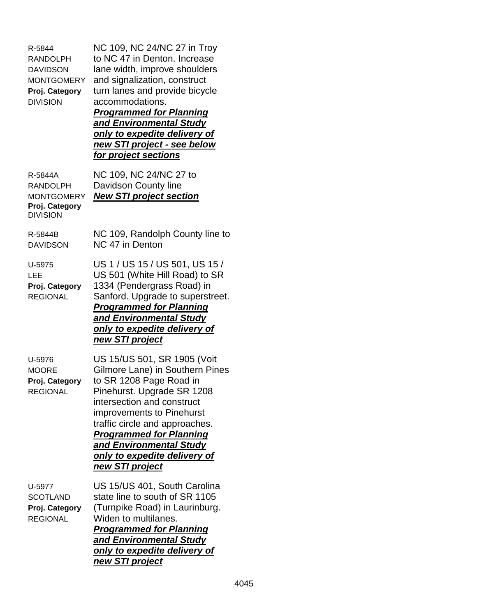| R-5844<br><b>RANDOLPH</b><br><b>DAVIDSON</b><br><b>MONTGOMERY</b><br>Proj. Category<br><b>DIVISION</b> | NC 109, NC 24/NC 27 in Troy<br>to NC 47 in Denton. Increase<br>lane width, improve shoulders<br>and signalization, construct<br>turn lanes and provide bicycle<br>accommodations.<br><b>Programmed for Planning</b><br>and Environmental Study<br>only to expedite delivery of<br>new STI project - see below<br><u>for project sections</u> |
|--------------------------------------------------------------------------------------------------------|----------------------------------------------------------------------------------------------------------------------------------------------------------------------------------------------------------------------------------------------------------------------------------------------------------------------------------------------|
| R-5844A<br><b>RANDOLPH</b><br><b>MONTGOMERY</b><br>Proj. Category<br><b>DIVISION</b>                   | NC 109, NC 24/NC 27 to<br>Davidson County line<br><b>New STI project section</b>                                                                                                                                                                                                                                                             |
| R-5844B<br><b>DAVIDSON</b>                                                                             | NC 109, Randolph County line to<br>NC 47 in Denton                                                                                                                                                                                                                                                                                           |
| U-5975<br>LEE<br>Proj. Category<br><b>REGIONAL</b>                                                     | US 1 / US 15 / US 501, US 15 /<br>US 501 (White Hill Road) to SR<br>1334 (Pendergrass Road) in<br>Sanford. Upgrade to superstreet.<br><b>Programmed for Planning</b><br>and Environmental Study<br><u>only to expedite delivery of</u><br><u>new STI project</u>                                                                             |
| U-5976<br><b>MOORE</b><br>Proj. Category<br><b>REGIONAL</b>                                            | US 15/US 501, SR 1905 (Voit<br>Gilmore Lane) in Southern Pines<br>to SR 1208 Page Road in<br>Pinehurst. Upgrade SR 1208<br>intersection and construct<br>improvements to Pinehurst<br>traffic circle and approaches.<br><b>Programmed for Planning</b><br>and Environmental Study<br>only to expedite delivery of<br>new STI project         |
| U-5977<br><b>SCOTLAND</b><br>Proj. Category<br><b>REGIONAL</b>                                         | US 15/US 401, South Carolina<br>state line to south of SR 1105<br>(Turnpike Road) in Laurinburg.<br>Widen to multilanes.<br><b>Programmed for Planning</b><br>and Environmental Study<br><u>only to expedite delivery of</u><br><u>new STI project</u>                                                                                       |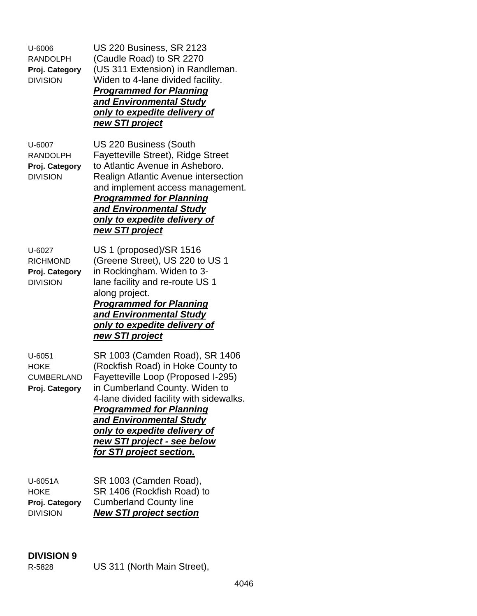U-6006 US 220 Business, SR 2123 RANDOLPH (Caudle Road) to SR 2270 **Proj. Category** (US 311 Extension) in Randleman. DIVISION Widen to 4-lane divided facility. *Programmed for Planning and Environmental Study only to expedite delivery of new STI project* U-6007 US 220 Business (South RANDOLPH Fayetteville Street), Ridge Street **Proj. Category** to Atlantic Avenue in Asheboro. DIVISION Realign Atlantic Avenue intersection and implement access management. *Programmed for Planning and Environmental Study only to expedite delivery of new STI project* U-6027 US 1 (proposed)/SR 1516 RICHMOND (Greene Street), US 220 to US 1 **Proj. Category** in Rockingham. Widen to 3- DIVISION lane facility and re-route US 1 along project. *Programmed for Planning and Environmental Study only to expedite delivery of new STI project* U-6051 SR 1003 (Camden Road), SR 1406 HOKE (Rockfish Road) in Hoke County to CUMBERLAND Fayetteville Loop (Proposed I-295) **Proj. Category** in Cumberland County. Widen to 4-lane divided facility with sidewalks. *Programmed for Planning and Environmental Study only to expedite delivery of new STI project - see below for STI project section.* U-6051A SR 1003 (Camden Road), HOKE SR 1406 (Rockfish Road) to **Proj. Category** Cumberland County line

DIVISION *New STI project section*

## **DIVISION 9**

R-5828 US 311 (North Main Street),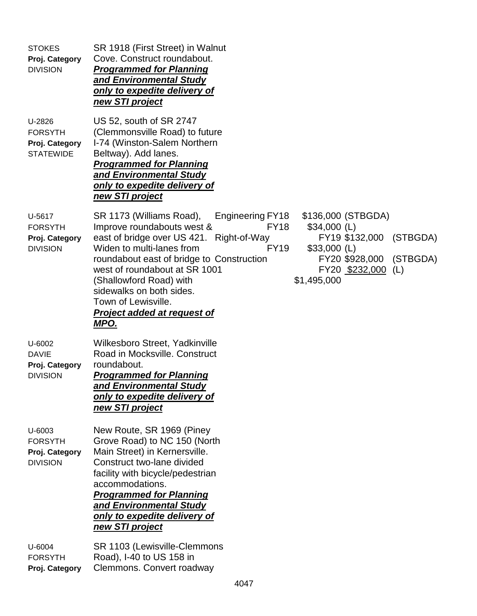| <b>STOKES</b><br>Proj. Category<br><b>DIVISION</b>             | SR 1918 (First Street) in Walnut<br>Cove. Construct roundabout.<br><b>Programmed for Planning</b><br>and Environmental Study<br>only to expedite delivery of<br>new STI project                                                                                                                                                                                                                                                                                                                                                                                |
|----------------------------------------------------------------|----------------------------------------------------------------------------------------------------------------------------------------------------------------------------------------------------------------------------------------------------------------------------------------------------------------------------------------------------------------------------------------------------------------------------------------------------------------------------------------------------------------------------------------------------------------|
| U-2826<br><b>FORSYTH</b><br>Proj. Category<br><b>STATEWIDE</b> | US 52, south of SR 2747<br>(Clemmonsville Road) to future<br>I-74 (Winston-Salem Northern<br>Beltway). Add lanes.<br><b>Programmed for Planning</b><br>and Environmental Study<br>only to expedite delivery of<br>new STI project                                                                                                                                                                                                                                                                                                                              |
| U-5617<br><b>FORSYTH</b><br>Proj. Category<br><b>DIVISION</b>  | SR 1173 (Williams Road),<br>\$136,000 (STBGDA)<br>Engineering FY18<br><b>FY18</b><br>Improve roundabouts west &<br>$$34,000$ (L)<br>east of bridge over US 421. Right-of-Way<br>FY19 \$132,000<br>(STBGDA)<br>Widen to multi-lanes from<br><b>FY19</b><br>$$33,000$ (L)<br>(STBGDA)<br>roundabout east of bridge to Construction<br>FY20 \$928,000<br>west of roundabout at SR 1001<br>FY20 \$232,000<br>(L)<br>\$1,495,000<br>(Shallowford Road) with<br>sidewalks on both sides.<br>Town of Lewisville.<br><b>Project added at request of</b><br><u>MPO.</u> |
| U-6002<br><b>DAVIE</b><br>Proj. Category<br><b>DIVISION</b>    | Wilkesboro Street, Yadkinville<br>Road in Mocksville. Construct<br>roundabout.<br><b>Programmed for Planning</b><br>and Environmental Study<br>only to expedite delivery of<br>new STI project                                                                                                                                                                                                                                                                                                                                                                 |
| U-6003<br><b>FORSYTH</b><br>Proj. Category<br><b>DIVISION</b>  | New Route, SR 1969 (Piney<br>Grove Road) to NC 150 (North<br>Main Street) in Kernersville.<br>Construct two-lane divided<br>facility with bicycle/pedestrian<br>accommodations.<br><b>Programmed for Planning</b><br>and Environmental Study<br>only to expedite delivery of<br>new STI project                                                                                                                                                                                                                                                                |
| U-6004<br><b>FORSYTH</b><br>Proj. Category                     | SR 1103 (Lewisville-Clemmons<br>Road), I-40 to US 158 in<br>Clemmons. Convert roadway                                                                                                                                                                                                                                                                                                                                                                                                                                                                          |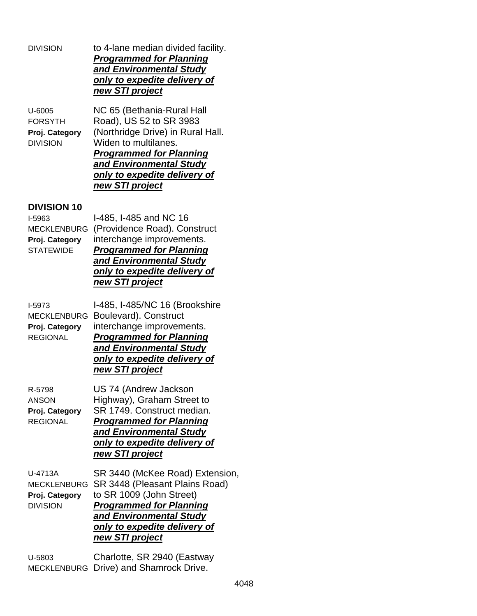DIVISION to 4-lane median divided facility. *Programmed for Planning and Environmental Study only to expedite delivery of new STI project*

U-6005 NC 65 (Bethania-Rural Hall FORSYTH Road), US 52 to SR 3983 **Proj. Category** (Northridge Drive) in Rural Hall. DIVISION Widen to multilanes. *Programmed for Planning and Environmental Study only to expedite delivery of new STI project*

## **DIVISION 10**

I-5963 I-485, I-485 and NC 16 MECKLENBURG (Providence Road). Construct **Proj. Category** interchange improvements. STATEWIDE *Programmed for Planning and Environmental Study only to expedite delivery of new STI project*

I-5973 I-485, I-485/NC 16 (Brookshire MECKLENBURG Boulevard). Construct **Proj. Category** interchange improvements. REGIONAL *Programmed for Planning and Environmental Study only to expedite delivery of new STI project* R-5798 US 74 (Andrew Jackson ANSON Highway), Graham Street to **Proj. Category** SR 1749. Construct median. REGIONAL *Programmed for Planning and Environmental Study*

*only to expedite delivery of new STI project*

U-4713A SR 3440 (McKee Road) Extension, MECKLENBURG SR 3448 (Pleasant Plains Road) **Proj. Category** to SR 1009 (John Street) DIVISION *Programmed for Planning and Environmental Study only to expedite delivery of new STI project*

U-5803 Charlotte, SR 2940 (Eastway MECKLENBURG Drive) and Shamrock Drive.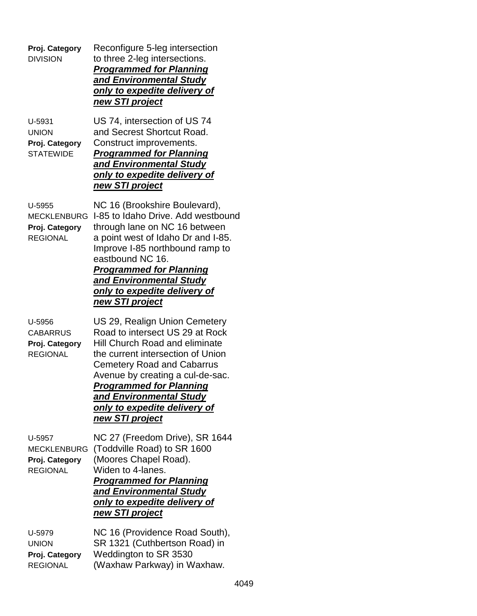| Proj. Category<br><b>DIVISION</b>                                 | Reconfigure 5-leg intersection<br>to three 2-leg intersections.<br><b>Programmed for Planning</b><br>and Environmental Study<br><u>only to expedite delivery of</u><br><u>new STI project</u>                                                                                                                                                  |
|-------------------------------------------------------------------|------------------------------------------------------------------------------------------------------------------------------------------------------------------------------------------------------------------------------------------------------------------------------------------------------------------------------------------------|
| U-5931<br><b>UNION</b><br>Proj. Category<br><b>STATEWIDE</b>      | US 74, intersection of US 74<br>and Secrest Shortcut Road.<br>Construct improvements.<br><b>Programmed for Planning</b><br>and Environmental Study<br><u>only to expedite delivery of</u><br><u>new STI project</u>                                                                                                                            |
| U-5955<br><b>MECKLENBURG</b><br>Proj. Category<br><b>REGIONAL</b> | NC 16 (Brookshire Boulevard),<br>I-85 to Idaho Drive, Add westbound<br>through lane on NC 16 between<br>a point west of Idaho Dr and I-85.<br>Improve I-85 northbound ramp to<br>eastbound NC 16.<br><b>Programmed for Planning</b><br>and Environmental Study<br><u>only to expedite delivery of</u><br>new STI project                       |
| U-5956<br><b>CABARRUS</b><br>Proj. Category<br><b>REGIONAL</b>    | US 29, Realign Union Cemetery<br>Road to intersect US 29 at Rock<br><b>Hill Church Road and eliminate</b><br>the current intersection of Union<br><b>Cemetery Road and Cabarrus</b><br>Avenue by creating a cul-de-sac.<br><b>Programmed for Planning</b><br>and Environmental Study<br>only to expedite delivery of<br><u>new STI project</u> |
| U-5957<br><b>MECKLENBURG</b><br>Proj. Category<br><b>REGIONAL</b> | NC 27 (Freedom Drive), SR 1644<br>(Toddville Road) to SR 1600<br>(Moores Chapel Road).<br>Widen to 4-lanes.<br><b>Programmed for Planning</b><br>and Environmental Study<br><u>only to expedite delivery of</u><br><u>new STI project</u>                                                                                                      |
| U-5979<br><b>UNION</b><br>Proj. Category<br><b>REGIONAL</b>       | NC 16 (Providence Road South),<br>SR 1321 (Cuthbertson Road) in<br>Weddington to SR 3530<br>(Waxhaw Parkway) in Waxhaw.                                                                                                                                                                                                                        |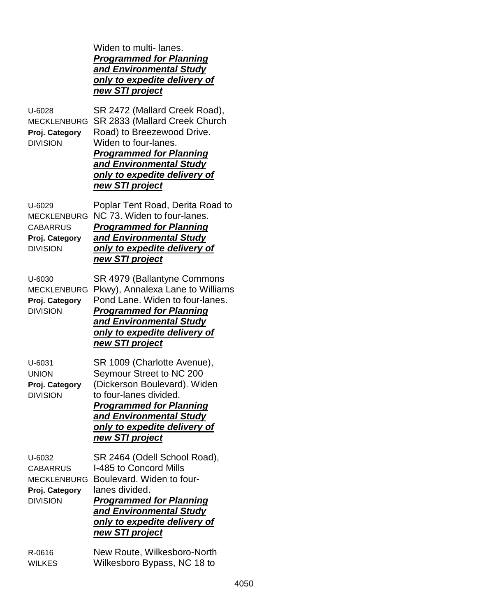Widen to multi- lanes. *Programmed for Planning and Environmental Study only to expedite delivery of new STI project* U-6028 SR 2472 (Mallard Creek Road), MECKLENBURG SR 2833 (Mallard Creek Church **Proj. Category** Road) to Breezewood Drive. DIVISION Widen to four-lanes. *Programmed for Planning and Environmental Study only to expedite delivery of new STI project* U-6029 Poplar Tent Road, Derita Road to MECKLENBURG NC 73. Widen to four-lanes. CABARRUS *Programmed for Planning* **Proj. Category** *and Environmental Study* DIVISION *only to expedite delivery of new STI project* U-6030 SR 4979 (Ballantyne Commons MECKLENBURG Pkwy), Annalexa Lane to Williams **Proj. Category** Pond Lane. Widen to four-lanes. DIVISION *Programmed for Planning and Environmental Study only to expedite delivery of new STI project* U-6031 SR 1009 (Charlotte Avenue), UNION Seymour Street to NC 200 **Proj. Category** (Dickerson Boulevard). Widen DIVISION to four-lanes divided. *Programmed for Planning and Environmental Study only to expedite delivery of new STI project* U-6032 SR 2464 (Odell School Road), CABARRUS 1-485 to Concord Mills MECKLENBURG Boulevard. Widen to four-**Proj. Category** lanes divided. DIVISION *Programmed for Planning and Environmental Study only to expedite delivery of new STI project* R-0616 New Route, Wilkesboro-North

WILKES Wilkesboro Bypass, NC 18 to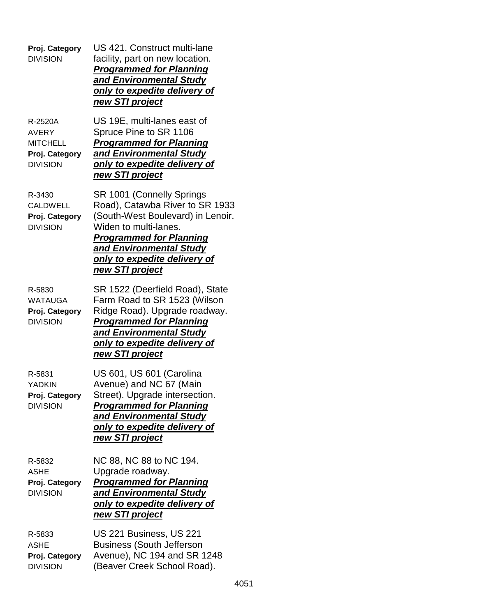| Proj. Category<br><b>DIVISION</b>                                               | US 421. Construct multi-lane<br>facility, part on new location.<br><b>Programmed for Planning</b><br>and Environmental Study<br>only to expedite delivery of<br>new STI project                                                            |
|---------------------------------------------------------------------------------|--------------------------------------------------------------------------------------------------------------------------------------------------------------------------------------------------------------------------------------------|
| R-2520A<br><b>AVERY</b><br><b>MITCHELL</b><br>Proj. Category<br><b>DIVISION</b> | US 19E, multi-lanes east of<br>Spruce Pine to SR 1106<br><b>Programmed for Planning</b><br>and Environmental Study<br>only to expedite delivery of<br>new STI project                                                                      |
| R-3430<br><b>CALDWELL</b><br>Proj. Category<br><b>DIVISION</b>                  | SR 1001 (Connelly Springs<br>Road), Catawba River to SR 1933<br>(South-West Boulevard) in Lenoir.<br>Widen to multi-lanes.<br><b>Programmed for Planning</b><br>and Environmental Study<br>only to expedite delivery of<br>new STI project |
| R-5830<br><b>WATAUGA</b><br>Proj. Category<br><b>DIVISION</b>                   | SR 1522 (Deerfield Road), State<br>Farm Road to SR 1523 (Wilson<br>Ridge Road). Upgrade roadway.<br><b>Programmed for Planning</b><br>and Environmental Study<br>only to expedite delivery of<br>new STI project                           |
| R-5831<br><b>YADKIN</b><br>Proj. Category<br><b>DIVISION</b>                    | US 601, US 601 (Carolina<br>Avenue) and NC 67 (Main<br>Street). Upgrade intersection.<br><b>Programmed for Planning</b><br>and Environmental Study<br><u>only to expedite delivery of</u><br>new STI project                               |
| R-5832<br><b>ASHE</b><br>Proj. Category<br><b>DIVISION</b>                      | NC 88, NC 88 to NC 194.<br>Upgrade roadway.<br><b>Programmed for Planning</b><br>and Environmental Study<br>only to expedite delivery of<br>new STI project                                                                                |
| R-5833<br><b>ASHE</b><br>Proj. Category<br><b>DIVISION</b>                      | US 221 Business, US 221<br><b>Business (South Jefferson</b><br>Avenue), NC 194 and SR 1248<br>(Beaver Creek School Road).                                                                                                                  |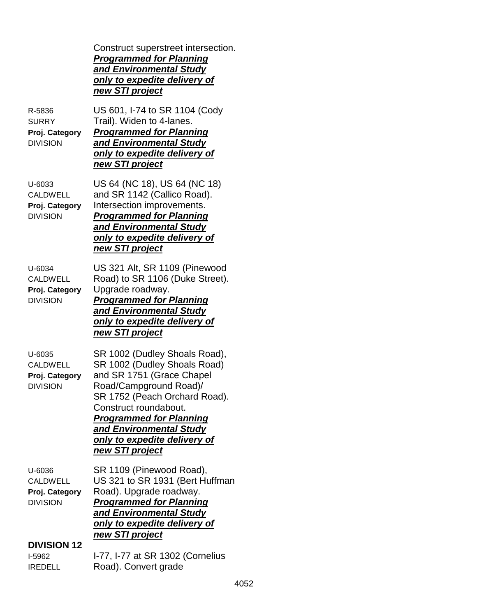|                                                                | Construct superstreet intersection.<br><b>Programmed for Planning</b><br>and Environmental Study<br>only to expedite delivery of<br>new STI project                                                                                                                                            |
|----------------------------------------------------------------|------------------------------------------------------------------------------------------------------------------------------------------------------------------------------------------------------------------------------------------------------------------------------------------------|
| R-5836<br><b>SURRY</b><br>Proj. Category<br><b>DIVISION</b>    | US 601, I-74 to SR 1104 (Cody<br>Trail). Widen to 4-lanes.<br><b>Programmed for Planning</b><br>and Environmental Study<br>only to expedite delivery of<br><u>new STI project</u>                                                                                                              |
| U-6033<br><b>CALDWELL</b><br>Proj. Category<br><b>DIVISION</b> | US 64 (NC 18), US 64 (NC 18)<br>and SR 1142 (Callico Road).<br>Intersection improvements.<br><b>Programmed for Planning</b><br>and Environmental Study<br>only to expedite delivery of<br><u>new STI project</u>                                                                               |
| U-6034<br><b>CALDWELL</b><br>Proj. Category<br><b>DIVISION</b> | US 321 Alt, SR 1109 (Pinewood<br>Road) to SR 1106 (Duke Street).<br>Upgrade roadway.<br><b>Programmed for Planning</b><br>and Environmental Study<br>only to expedite delivery of<br>new STI project                                                                                           |
| U-6035<br><b>CALDWELL</b><br>Proj. Category<br><b>DIVISION</b> | SR 1002 (Dudley Shoals Road),<br>SR 1002 (Dudley Shoals Road)<br>and SR 1751 (Grace Chapel<br>Road/Campground Road)/<br>SR 1752 (Peach Orchard Road).<br>Construct roundabout.<br><b>Programmed for Planning</b><br>and Environmental Study<br>only to expedite delivery of<br>new STI project |
| U-6036<br><b>CALDWELL</b><br>Proj. Category<br><b>DIVISION</b> | SR 1109 (Pinewood Road),<br>US 321 to SR 1931 (Bert Huffman<br>Road). Upgrade roadway.<br><b>Programmed for Planning</b><br>and Environmental Study<br>only to expedite delivery of<br>new STI project                                                                                         |
| <b>DIVISION 12</b><br>I-5962                                   | I-77, I-77 at SR 1302 (Cornelius                                                                                                                                                                                                                                                               |
| <b>IREDELL</b>                                                 | Road). Convert grade                                                                                                                                                                                                                                                                           |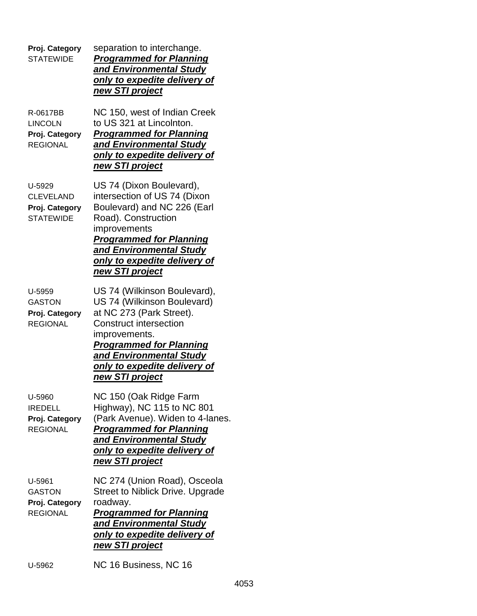| Proj. Category<br><b>STATEWIDE</b>                               | separation to interchange.<br><b>Programmed for Planning</b><br>and Environmental Study<br>only to expedite delivery of<br>new STI project                                                                                                                |
|------------------------------------------------------------------|-----------------------------------------------------------------------------------------------------------------------------------------------------------------------------------------------------------------------------------------------------------|
| R-0617BB<br><b>LINCOLN</b><br>Proj. Category<br><b>REGIONAL</b>  | NC 150, west of Indian Creek<br>to US 321 at Lincolnton.<br><b>Programmed for Planning</b><br>and Environmental Study<br>only to expedite delivery of<br>new STI project                                                                                  |
| U-5929<br><b>CLEVELAND</b><br>Proj. Category<br><b>STATEWIDE</b> | US 74 (Dixon Boulevard),<br>intersection of US 74 (Dixon<br>Boulevard) and NC 226 (Earl<br>Road). Construction<br>improvements<br><b>Programmed for Planning</b><br>and Environmental Study<br>only to expedite delivery of<br>new STI project            |
| U-5959<br><b>GASTON</b><br>Proj. Category<br><b>REGIONAL</b>     | US 74 (Wilkinson Boulevard),<br>US 74 (Wilkinson Boulevard)<br>at NC 273 (Park Street).<br><b>Construct intersection</b><br>improvements.<br><b>Programmed for Planning</b><br>and Environmental Study<br>only to expedite delivery of<br>new STI project |
| U-5960<br><b>IREDELL</b><br>Proj. Category<br><b>REGIONAL</b>    | NC 150 (Oak Ridge Farm<br>Highway), NC 115 to NC 801<br>(Park Avenue). Widen to 4-lanes.<br><b>Programmed for Planning</b><br>and Environmental Study<br>only to expedite delivery of<br>new STI project                                                  |
| U-5961<br><b>GASTON</b><br>Proj. Category<br><b>REGIONAL</b>     | NC 274 (Union Road), Osceola<br><b>Street to Niblick Drive. Upgrade</b><br>roadway.<br><b>Programmed for Planning</b><br>and Environmental Study<br>only to expedite delivery of<br>new STI project                                                       |
| U-5962                                                           | NC 16 Business, NC 16                                                                                                                                                                                                                                     |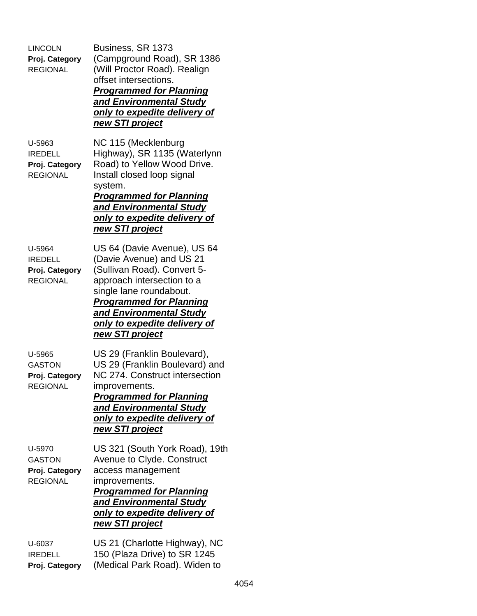| <b>LINCOLN</b><br>Proj. Category<br><b>REGIONAL</b>           | Business, SR 1373<br>(Campground Road), SR 1386<br>(Will Proctor Road). Realign<br>offset intersections.<br><b>Programmed for Planning</b><br>and Environmental Study<br><u>only to expedite delivery of</u><br><u>new STI project</u>                                 |
|---------------------------------------------------------------|------------------------------------------------------------------------------------------------------------------------------------------------------------------------------------------------------------------------------------------------------------------------|
| U-5963<br><b>IREDELL</b><br>Proj. Category<br><b>REGIONAL</b> | NC 115 (Mecklenburg<br>Highway), SR 1135 (Waterlynn<br>Road) to Yellow Wood Drive.<br>Install closed loop signal<br>system.<br><b>Programmed for Planning</b><br>and Environmental Study<br>only to expedite delivery of<br>new STI project                            |
| U-5964<br><b>IREDELL</b><br>Proj. Category<br><b>REGIONAL</b> | US 64 (Davie Avenue), US 64<br>(Davie Avenue) and US 21<br>(Sullivan Road). Convert 5-<br>approach intersection to a<br>single lane roundabout.<br><b>Programmed for Planning</b><br>and Environmental Study<br><u>only to expedite delivery of</u><br>new STI project |
| U-5965<br><b>GASTON</b><br>Proj. Category<br><b>REGIONAL</b>  | US 29 (Franklin Boulevard),<br>US 29 (Franklin Boulevard) and<br>NC 274. Construct intersection<br>improvements.<br><b>Programmed for Planning</b><br>and Environmental Study<br>only to expedite delivery of<br>new STI project                                       |
| U-5970<br><b>GASTON</b><br>Proj. Category<br><b>REGIONAL</b>  | US 321 (South York Road), 19th<br>Avenue to Clyde. Construct<br>access management<br>improvements.<br><u>Programmed for Planning</u><br>and Environmental Study<br>only to expedite delivery of<br>new STI project                                                     |
| U-6037<br><b>IREDELL</b><br>Proj. Category                    | US 21 (Charlotte Highway), NC<br>150 (Plaza Drive) to SR 1245<br>(Medical Park Road). Widen to                                                                                                                                                                         |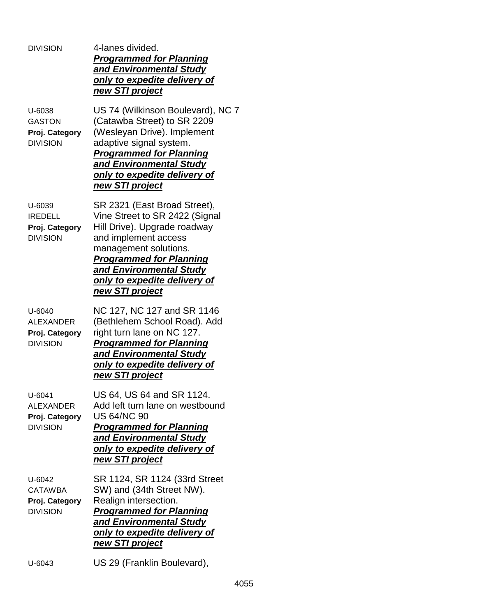| <b>DIVISION</b>                                                     | 4-lanes divided.<br><b>Programmed for Planning</b><br>and Environmental Study<br>only to expedite delivery of<br>new STI project                                                                                                                                              |
|---------------------------------------------------------------------|-------------------------------------------------------------------------------------------------------------------------------------------------------------------------------------------------------------------------------------------------------------------------------|
| U-6038<br><b>GASTON</b><br>Proj. Category<br><b>DIVISION</b>        | US 74 (Wilkinson Boulevard), NC 7<br>(Catawba Street) to SR 2209<br>(Wesleyan Drive). Implement<br>adaptive signal system.<br><b>Programmed for Planning</b><br>and Environmental Study<br>only to expedite delivery of<br>new STI project                                    |
| U-6039<br><b>IREDELL</b><br>Proj. Category<br><b>DIVISION</b>       | SR 2321 (East Broad Street),<br>Vine Street to SR 2422 (Signal<br>Hill Drive). Upgrade roadway<br>and implement access<br>management solutions.<br><b>Programmed for Planning</b><br>and Environmental Study<br><u>only to expedite delivery of</u><br><u>new STI project</u> |
| $U - 6040$<br><b>ALEXANDER</b><br>Proj. Category<br><b>DIVISION</b> | NC 127, NC 127 and SR 1146<br>(Bethlehem School Road). Add<br>right turn lane on NC 127.<br><b>Programmed for Planning</b><br>and Environmental Study<br>only to expedite delivery of<br>new STI project                                                                      |
| U-6041<br><b>ALEXANDER</b><br>Proj. Category<br><b>DIVISION</b>     | US 64, US 64 and SR 1124.<br>Add left turn lane on westbound<br><b>US 64/NC 90</b><br><b>Programmed for Planning</b><br>and Environmental Study<br>only to expedite delivery of<br>new STI project                                                                            |
| U-6042<br><b>CATAWBA</b><br>Proj. Category<br><b>DIVISION</b>       | SR 1124, SR 1124 (33rd Street<br>SW) and (34th Street NW).<br>Realign intersection.<br><b>Programmed for Planning</b><br>and Environmental Study<br>only to expedite delivery of<br>new STI project                                                                           |
| U-6043                                                              | US 29 (Franklin Boulevard),                                                                                                                                                                                                                                                   |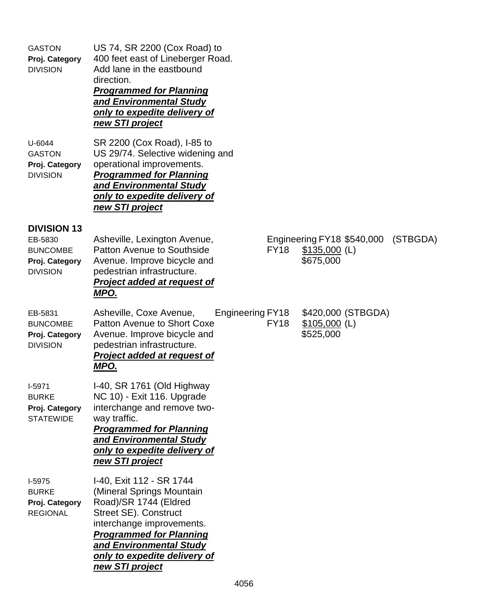| <b>GASTON</b><br>Proj. Category<br><b>DIVISION</b>                                    | US 74, SR 2200 (Cox Road) to<br>400 feet east of Lineberger Road.<br>Add lane in the eastbound<br>direction.<br><b>Programmed for Planning</b><br>and Environmental Study<br>only to expedite delivery of<br>new STI project                         |                         |             |                             |                            |          |
|---------------------------------------------------------------------------------------|------------------------------------------------------------------------------------------------------------------------------------------------------------------------------------------------------------------------------------------------------|-------------------------|-------------|-----------------------------|----------------------------|----------|
| U-6044<br><b>GASTON</b><br>Proj. Category<br><b>DIVISION</b>                          | SR 2200 (Cox Road), I-85 to<br>US 29/74. Selective widening and<br>operational improvements.<br><b>Programmed for Planning</b><br>and Environmental Study<br>only to expedite delivery of<br>new STI project                                         |                         |             |                             |                            |          |
| <b>DIVISION 13</b><br>EB-5830<br><b>BUNCOMBE</b><br>Proj. Category<br><b>DIVISION</b> | Asheville, Lexington Avenue,<br><b>Patton Avenue to Southside</b><br>Avenue. Improve bicycle and<br>pedestrian infrastructure.<br><b>Project added at request of</b><br>MPO.                                                                         |                         | <b>FY18</b> | $$135,000$ (L)<br>\$675,000 | Engineering FY18 \$540,000 | (STBGDA) |
| EB-5831<br><b>BUNCOMBE</b><br>Proj. Category<br><b>DIVISION</b>                       | Asheville, Coxe Avenue,<br>Patton Avenue to Short Coxe<br>Avenue. Improve bicycle and<br>pedestrian infrastructure.<br>Project added at request of<br><u>MPO.</u>                                                                                    | <b>Engineering FY18</b> | <b>FY18</b> | $$105,000$ (L)<br>\$525,000 | \$420,000 (STBGDA)         |          |
| $I-5971$<br><b>BURKE</b><br>Proj. Category<br><b>STATEWIDE</b>                        | I-40, SR 1761 (Old Highway<br>NC 10) - Exit 116. Upgrade<br>interchange and remove two-<br>way traffic.<br><b>Programmed for Planning</b><br>and Environmental Study<br>only to expedite delivery of<br>new STI project                              |                         |             |                             |                            |          |
| I-5975<br><b>BURKE</b><br>Proj. Category<br><b>REGIONAL</b>                           | I-40, Exit 112 - SR 1744<br>(Mineral Springs Mountain<br>Road)/SR 1744 (Eldred<br>Street SE). Construct<br>interchange improvements.<br><b>Programmed for Planning</b><br>and Environmental Study<br>only to expedite delivery of<br>new STI project |                         |             |                             |                            |          |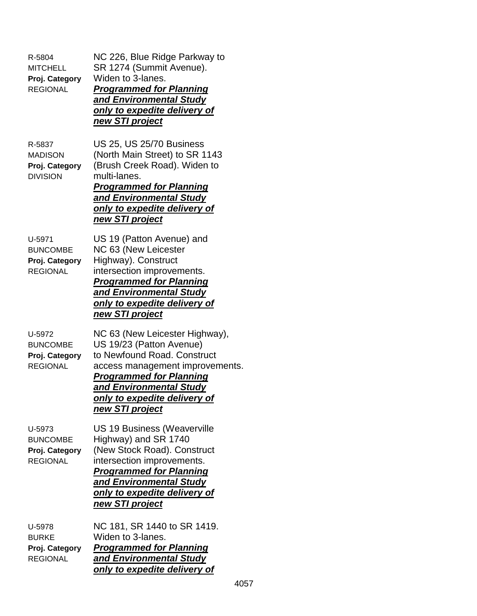| R-5804<br><b>MITCHELL</b><br>Proj. Category<br><b>REGIONAL</b> | NC 226, Blue Ridge Parkway to<br>SR 1274 (Summit Avenue).<br>Widen to 3-lanes.<br><b>Programmed for Planning</b><br>and Environmental Study<br>only to expedite delivery of<br><u>new STI project</u>                                        |
|----------------------------------------------------------------|----------------------------------------------------------------------------------------------------------------------------------------------------------------------------------------------------------------------------------------------|
| R-5837<br><b>MADISON</b><br>Proj. Category<br><b>DIVISION</b>  | <b>US 25, US 25/70 Business</b><br>(North Main Street) to SR 1143<br>(Brush Creek Road). Widen to<br>multi-lanes.<br><b>Programmed for Planning</b><br>and Environmental Study<br>only to expedite delivery of<br>new STI project            |
| U-5971<br><b>BUNCOMBE</b><br>Proj. Category<br><b>REGIONAL</b> | US 19 (Patton Avenue) and<br>NC 63 (New Leicester<br>Highway). Construct<br>intersection improvements.<br><b>Programmed for Planning</b><br>and Environmental Study<br><u>only to expedite delivery of</u><br>new STI project                |
| U-5972<br><b>BUNCOMBE</b><br>Proj. Category<br><b>REGIONAL</b> | NC 63 (New Leicester Highway),<br>US 19/23 (Patton Avenue)<br>to Newfound Road. Construct<br>access management improvements.<br><b>Programmed for Planning</b><br>and Environmental Study<br>only to expedite delivery of<br>new STI project |
| U-5973<br><b>BUNCOMBE</b><br>Proj. Category<br><b>REGIONAL</b> | US 19 Business (Weaverville<br>Highway) and SR 1740<br>(New Stock Road). Construct<br>intersection improvements.<br><b>Programmed for Planning</b><br>and Environmental Study<br>only to expedite delivery of<br>new STI project             |
| U-5978<br><b>BURKE</b><br>Proj. Category<br><b>REGIONAL</b>    | NC 181, SR 1440 to SR 1419.<br>Widen to 3-lanes.<br><b>Programmed for Planning</b><br>and Environmental Study<br><u>only to expedite delivery of</u>                                                                                         |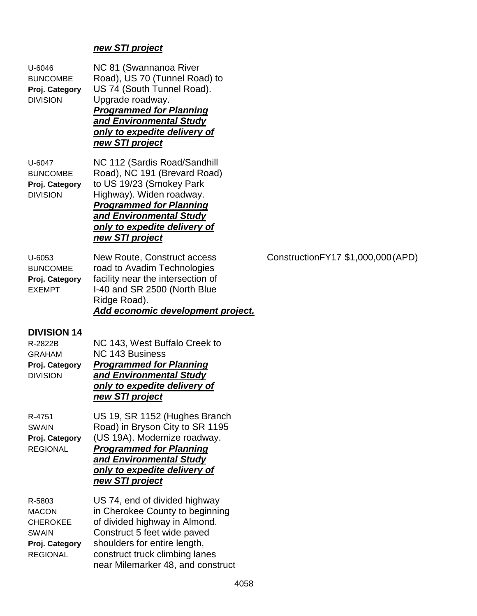# *new STI project*

| $U - 6046$<br><b>BUNCOMBE</b><br>Proj. Category<br><b>DIVISION</b>                             | NC 81 (Swannanoa River<br>Road), US 70 (Tunnel Road) to<br>US 74 (South Tunnel Road).<br>Upgrade roadway.<br><b>Programmed for Planning</b><br>and Environmental Study<br>only to expedite delivery of<br>new STI project               |                                     |
|------------------------------------------------------------------------------------------------|-----------------------------------------------------------------------------------------------------------------------------------------------------------------------------------------------------------------------------------------|-------------------------------------|
| U-6047<br><b>BUNCOMBE</b><br>Proj. Category<br><b>DIVISION</b>                                 | NC 112 (Sardis Road/Sandhill<br>Road), NC 191 (Brevard Road)<br>to US 19/23 (Smokey Park<br>Highway). Widen roadway.<br><b>Programmed for Planning</b><br>and Environmental Study<br>only to expedite delivery of<br>new STI project    |                                     |
| U-6053<br><b>BUNCOMBE</b><br>Proj. Category<br><b>EXEMPT</b>                                   | New Route, Construct access<br>road to Avadim Technologies<br>facility near the intersection of<br>I-40 and SR 2500 (North Blue<br>Ridge Road).<br>Add economic development project.                                                    | Construction FY17 \$1,000,000 (APD) |
| <b>DIVISION 14</b><br>R-2822B<br><b>GRAHAM</b><br>Proj. Category<br><b>DIVISION</b>            | NC 143, West Buffalo Creek to<br><b>NC 143 Business</b><br><b>Programmed for Planning</b><br>and Environmental Study<br>only to expedite delivery of<br>new STI project                                                                 |                                     |
| R-4751<br><b>SWAIN</b><br>Proj. Category<br><b>REGIONAL</b>                                    | US 19, SR 1152 (Hughes Branch<br>Road) in Bryson City to SR 1195<br>(US 19A). Modernize roadway.<br><b>Programmed for Planning</b><br>and Environmental Study<br>only to expedite delivery of<br>new STI project                        |                                     |
| R-5803<br><b>MACON</b><br><b>CHEROKEE</b><br><b>SWAIN</b><br>Proj. Category<br><b>REGIONAL</b> | US 74, end of divided highway<br>in Cherokee County to beginning<br>of divided highway in Almond.<br>Construct 5 feet wide paved<br>shoulders for entire length,<br>construct truck climbing lanes<br>near Milemarker 48, and construct |                                     |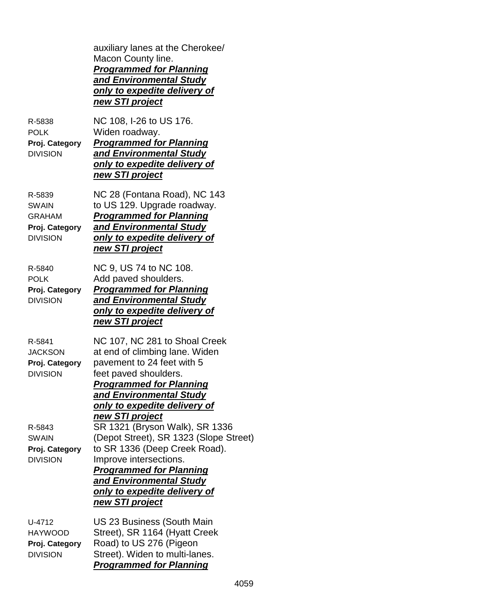|                                                                              | auxiliary lanes at the Cherokee/<br>Macon County line.<br><b>Programmed for Planning</b><br>and Environmental Study<br><u>only to expedite delivery of</u><br>new STI project                                                                                                               |
|------------------------------------------------------------------------------|---------------------------------------------------------------------------------------------------------------------------------------------------------------------------------------------------------------------------------------------------------------------------------------------|
| R-5838<br><b>POLK</b><br>Proj. Category<br><b>DIVISION</b>                   | NC 108, I-26 to US 176.<br>Widen roadway.<br><b>Programmed for Planning</b><br>and Environmental Study<br>only to expedite delivery of<br>new STI project                                                                                                                                   |
| R-5839<br><b>SWAIN</b><br><b>GRAHAM</b><br>Proj. Category<br><b>DIVISION</b> | NC 28 (Fontana Road), NC 143<br>to US 129. Upgrade roadway.<br><b>Programmed for Planning</b><br><b>and Environmental Study</b><br>only to expedite delivery of<br>new STI project                                                                                                          |
| R-5840<br><b>POLK</b><br>Proj. Category<br><b>DIVISION</b>                   | NC 9, US 74 to NC 108.<br>Add paved shoulders.<br><b>Programmed for Planning</b><br>and Environmental Study<br>only to expedite delivery of<br>new STI project                                                                                                                              |
| R-5841<br><b>JACKSON</b><br>Proj. Category<br><b>DIVISION</b>                | NC 107, NC 281 to Shoal Creek<br>at end of climbing lane. Widen<br>pavement to 24 feet with 5<br>feet paved shoulders.<br><b>Programmed for Planning</b><br>and Environmental Study<br>only to expedite delivery of                                                                         |
| R-5843<br><b>SWAIN</b><br>Proj. Category<br><b>DIVISION</b>                  | <u>new STI project</u><br>SR 1321 (Bryson Walk), SR 1336<br>(Depot Street), SR 1323 (Slope Street)<br>to SR 1336 (Deep Creek Road).<br>Improve intersections.<br><b>Programmed for Planning</b><br>and Environmental Study<br><u>only to expedite delivery of</u><br><u>new STI project</u> |
| U-4712<br><b>HAYWOOD</b><br>Proj. Category<br><b>DIVISION</b>                | US 23 Business (South Main<br>Street), SR 1164 (Hyatt Creek<br>Road) to US 276 (Pigeon<br>Street). Widen to multi-lanes.<br><b>Programmed for Planning</b>                                                                                                                                  |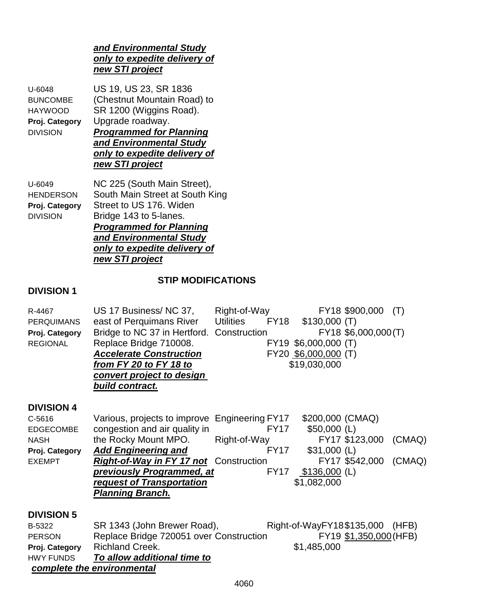#### *and Environmental Study only to expedite delivery of new STI project*

U-6048 US 19, US 23, SR 1836 BUNCOMBE (Chestnut Mountain Road) to HAYWOOD SR 1200 (Wiggins Road). **Proj. Category** Upgrade roadway. DIVISION *Programmed for Planning and Environmental Study only to expedite delivery of*

*new STI project*

U-6049 NC 225 (South Main Street), HENDERSON South Main Street at South King **Proj. Category** Street to US 176. Widen DIVISION Bridge 143 to 5-lanes. *Programmed for Planning and Environmental Study only to expedite delivery of new STI project*

# **STIP MODIFICATIONS**

### **DIVISION 1**

| R-4467<br><b>PERQUIMANS</b><br>Proj. Category<br><b>REGIONAL</b>                                      | US 17 Business/NC 37,<br>east of Perquimans River<br>Bridge to NC 37 in Hertford. Construction<br>Replace Bridge 710008.<br><b>Accelerate Construction</b><br>from FY 20 to FY 18 to<br>convert project to design<br>build contract.                                             | Right-of-Way<br><b>Utilities</b><br>FY18  | \$130,000(T)<br>FY19 \$6,000,000 (T)<br>FY20 \$6,000,000 (T)<br>\$19,030,000        | FY18 \$900,000<br>FY18 \$6,000,000(T)   | (T)    |
|-------------------------------------------------------------------------------------------------------|----------------------------------------------------------------------------------------------------------------------------------------------------------------------------------------------------------------------------------------------------------------------------------|-------------------------------------------|-------------------------------------------------------------------------------------|-----------------------------------------|--------|
| <b>DIVISION 4</b><br>$C - 5616$<br><b>EDGECOMBE</b><br><b>NASH</b><br>Proj. Category<br><b>EXEMPT</b> | Various, projects to improve Engineering FY17<br>congestion and air quality in<br>the Rocky Mount MPO. Right-of-Way<br><b>Add Engineering and</b><br>Right-of-Way in FY 17 not Construction<br>previously Programmed, at<br>request of Transportation<br><b>Planning Branch.</b> | <b>FY17</b><br><b>FY17</b><br><b>FY17</b> | \$200,000 (CMAQ)<br>$$50,000$ (L)<br>$$31,000$ (L)<br>$$136,000$ (L)<br>\$1,082,000 | FY17 \$123,000 (CMAQ)<br>FY17 \$542,000 | (CMAQ) |
| <b>DIVISION 5</b><br>B-5322<br><b>PERSON</b><br>Proj. Category<br><b>HWY FUNDS</b>                    | SR 1343 (John Brewer Road),<br>Replace Bridge 720051 over Construction<br><b>Richland Creek.</b><br><u>To allow additional time to</u><br>complete the environmental                                                                                                             |                                           | Right-of-WayFY18\$135,000<br>\$1,485,000                                            | FY19 \$1,350,000 (HFB)                  | (HFB)  |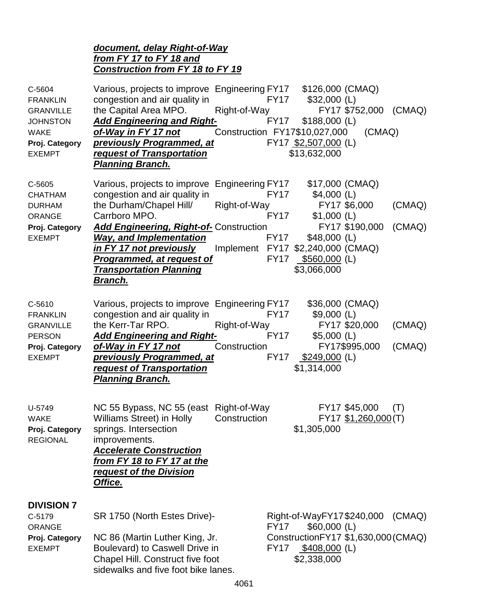#### *document, delay Right-of-Way from FY 17 to FY 18 and Construction from FY 18 to FY 19*

| C-5604<br><b>FRANKLIN</b><br><b>GRANVILLE</b><br><b>JOHNSTON</b><br><b>WAKE</b><br>Proj. Category<br><b>EXEMPT</b> | Various, projects to improve Engineering FY17 \$126,000 (CMAQ)<br>congestion and air quality in<br>the Capital Area MPO. Right-of-Way<br><b>Add Engineering and Right-</b><br><u>of-Way in FY 17 not</u><br><b>previously Programmed, at</b><br>request of Transportation<br><b>Planning Branch.</b>                                      | Construction FY17\$10,027,000                     | FY17<br>FY17                                             | $$32,000$ (L)<br>$$188,000$ (L)<br>FY17 \$2,507,000 (L)<br>\$13,632,000                          | FY17 \$752,000 (CMAQ)<br>(CMAQ)                                   |                  |
|--------------------------------------------------------------------------------------------------------------------|-------------------------------------------------------------------------------------------------------------------------------------------------------------------------------------------------------------------------------------------------------------------------------------------------------------------------------------------|---------------------------------------------------|----------------------------------------------------------|--------------------------------------------------------------------------------------------------|-------------------------------------------------------------------|------------------|
| C-5605<br><b>CHATHAM</b><br><b>DURHAM</b><br><b>ORANGE</b><br>Proj. Category<br><b>EXEMPT</b>                      | Various, projects to improve Engineering FY17<br>congestion and air quality in<br>the Durham/Chapel Hill/<br>Carrboro MPO.<br><b>Add Engineering, Right-of-</b> Construction<br><b>Way, and Implementation</b><br><u>in FY 17 not previously</u><br><u>Programmed, at request of </u><br><b>Transportation Planning</b><br><u>Branch.</u> | Right-of-Way<br>Implement FY17 \$2,240,000 (CMAQ) | <b>FY17</b><br><b>FY17</b><br><b>FY17</b><br><b>FY17</b> | \$17,000 (CMAQ)<br>$$4,000$ (L)<br>$$1,000$ (L)<br>$$48,000$ (L)<br>\$560,000 (L)<br>\$3,066,000 | FY17 \$6,000<br>FY17 \$190,000                                    | (CMAQ)<br>(CMAQ) |
| C-5610<br><b>FRANKLIN</b><br><b>GRANVILLE</b><br><b>PERSON</b><br>Proj. Category<br><b>EXEMPT</b>                  | Various, projects to improve Engineering FY17<br>congestion and air quality in<br>the Kerr-Tar RPO.<br><b>Add Engineering and Right-</b><br>of-Way in FY 17 not<br><b>previously Programmed, at</b><br><b>request of Transportation</b><br>Planning Branch.                                                                               | Right-of-Way<br>Construction                      | <b>FY17</b><br><b>FY17</b><br><b>FY17</b>                | \$36,000 (CMAQ)<br>$$9,000$ (L)<br>$$5,000$ (L)<br>$$249,000$ (L)<br>\$1,314,000                 | FY17 \$20,000<br>FY17\$995,000                                    | (CMAQ)<br>(CMAQ) |
| U-5749<br><b>WAKE</b><br>Proj. Category<br><b>REGIONAL</b>                                                         | NC 55 Bypass, NC 55 (east Right-of-Way<br>Williams Street) in Holly<br>springs. Intersection<br>improvements.<br><b>Accelerate Construction</b><br>from FY 18 to FY 17 at the<br>request of the Division<br>Office.                                                                                                                       | Construction                                      |                                                          | \$1,305,000                                                                                      | FY17 \$45,000<br>FY17 \$1,260,000 (T)                             | (T)              |
| <b>DIVISION 7</b><br>C-5179<br><b>ORANGE</b><br>Proj. Category<br><b>EXEMPT</b>                                    | SR 1750 (North Estes Drive)-<br>NC 86 (Martin Luther King, Jr.<br>Boulevard) to Caswell Drive in<br>Chapel Hill. Construct five foot<br>sidewalks and five foot bike lanes.                                                                                                                                                               |                                                   | <b>FY17</b><br><b>FY17</b>                               | $$60,000$ (L)<br>\$408,000 (L)<br>\$2,338,000                                                    | Right-of-WayFY17\$240,000<br>Construction FY17 \$1,630,000 (CMAQ) | (CMAQ)           |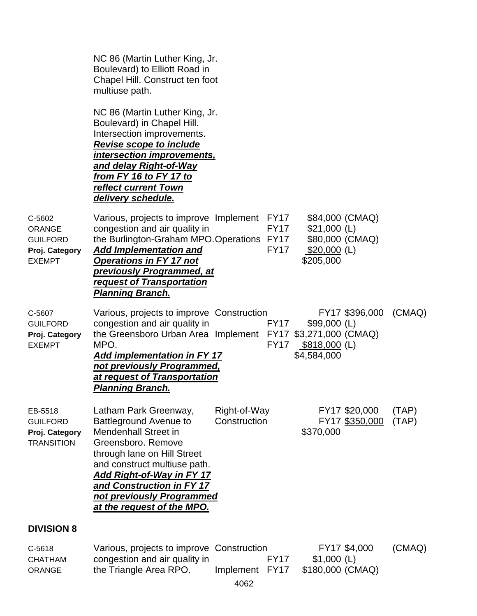|                                                                               | NC 86 (Martin Luther King, Jr.<br>Boulevard) to Elliott Road in<br>Chapel Hill. Construct ten foot<br>multiuse path.                                                                                                                                                                                   |                              |                            |                                                                                  |                                 |                |
|-------------------------------------------------------------------------------|--------------------------------------------------------------------------------------------------------------------------------------------------------------------------------------------------------------------------------------------------------------------------------------------------------|------------------------------|----------------------------|----------------------------------------------------------------------------------|---------------------------------|----------------|
|                                                                               | NC 86 (Martin Luther King, Jr.<br>Boulevard) in Chapel Hill.<br>Intersection improvements.<br><b>Revise scope to include</b><br><u>intersection improvements,</u><br>and delay Right-of-Way<br><u>from FY 16 to FY 17 to</u><br>reflect current Town<br>delivery schedule.                             |                              |                            |                                                                                  |                                 |                |
| C-5602<br><b>ORANGE</b><br><b>GUILFORD</b><br>Proj. Category<br><b>EXEMPT</b> | Various, projects to improve Implement FY17<br>congestion and air quality in<br>the Burlington-Graham MPO.Operations FY17<br><b>Add Implementation and</b><br><b>Operations in FY 17 not</b><br>previously Programmed, at<br><b>request of Transportation</b><br><u> Planning Branch.</u>              |                              | <b>FY17</b><br><b>FY17</b> | \$84,000 (CMAQ)<br>$$21,000$ (L)<br>\$80,000 (CMAQ)<br>\$20,000 (L)<br>\$205,000 |                                 |                |
| C-5607<br><b>GUILFORD</b><br>Proj. Category<br><b>EXEMPT</b>                  | Various, projects to improve Construction<br>congestion and air quality in<br>the Greensboro Urban Area Implement FY17 \$3,271,000 (CMAQ)<br>MPO.<br><b>Add implementation in FY 17</b><br>not previously Programmed,<br>at request of Transportation<br><b>Planning Branch.</b>                       |                              | <b>FY17</b><br><b>FY17</b> | $$99,000$ (L)<br>$$818,000$ (L)<br>\$4,584,000                                   | FY17 \$396,000                  | (CMAQ)         |
| EB-5518<br><b>GUILFORD</b><br>Proj. Category<br><b>TRANSITION</b>             | Latham Park Greenway,<br><b>Battleground Avenue to</b><br><b>Mendenhall Street in</b><br>Greensboro, Remove<br>through lane on Hill Street<br>and construct multiuse path.<br><b>Add Right-of-Way in FY 17</b><br>and Construction in FY 17<br>not previously Programmed<br>at the request of the MPO. | Right-of-Way<br>Construction |                            | \$370,000                                                                        | FY17 \$20,000<br>FY17 \$350,000 | (TAP)<br>(TAP) |
| <b>DIVISION 8</b>                                                             |                                                                                                                                                                                                                                                                                                        |                              |                            |                                                                                  |                                 |                |
| C-5618<br><b>CHATHAM</b><br><b>ORANGE</b>                                     | Various, projects to improve Construction<br>congestion and air quality in<br>the Triangle Area RPO.                                                                                                                                                                                                   | Implement                    | <b>FY17</b><br><b>FY17</b> | $$1,000$ (L)<br>\$180,000 (CMAQ)                                                 | FY17 \$4,000                    | (CMAQ)         |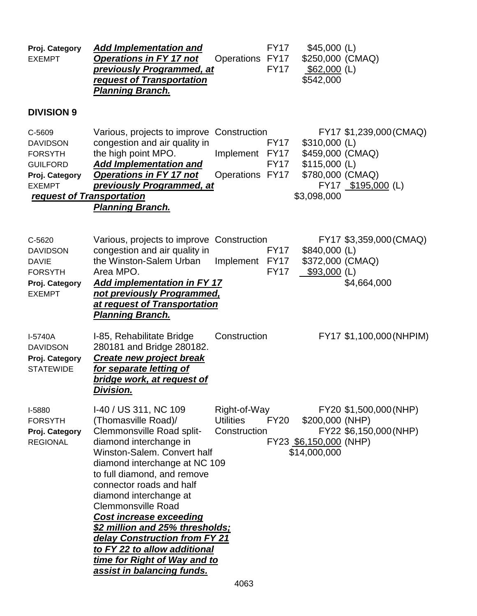| Proj. Category<br><b>EXEMPT</b>                                                                                                | <u>Add Implementation and </u><br><b>Operations in FY 17 not</b><br><b>previously Programmed, at</b><br>request of Transportation<br><b>Planning Branch.</b>                                                                                                                                                                                                                                                                                                                                            | Operations FY17                                  | <b>FY17</b><br><b>FY17</b>                | $$45,000$ (L)<br>\$250,000 (CMAQ)<br>$$62,000$ (L)<br>\$542,000                         |                                                  |
|--------------------------------------------------------------------------------------------------------------------------------|---------------------------------------------------------------------------------------------------------------------------------------------------------------------------------------------------------------------------------------------------------------------------------------------------------------------------------------------------------------------------------------------------------------------------------------------------------------------------------------------------------|--------------------------------------------------|-------------------------------------------|-----------------------------------------------------------------------------------------|--------------------------------------------------|
| <b>DIVISION 9</b>                                                                                                              |                                                                                                                                                                                                                                                                                                                                                                                                                                                                                                         |                                                  |                                           |                                                                                         |                                                  |
| C-5609<br><b>DAVIDSON</b><br><b>FORSYTH</b><br><b>GUILFORD</b><br>Proj. Category<br><b>EXEMPT</b><br>request of Transportation | Various, projects to improve Construction<br>congestion and air quality in<br>the high point MPO.<br><b>Add Implementation and</b><br><b>Operations in FY 17 not</b><br><b>previously Programmed, at</b><br><b>Planning Branch.</b>                                                                                                                                                                                                                                                                     | Implement<br>Operations FY17                     | <b>FY17</b><br><b>FY17</b><br><b>FY17</b> | $$310,000$ (L)<br>\$459,000 (CMAQ)<br>$$115,000$ (L)<br>\$780,000 (CMAQ)<br>\$3,098,000 | FY17 \$1,239,000 (CMAQ)<br>FY17 \$195,000 (L)    |
| C-5620<br><b>DAVIDSON</b><br><b>DAVIE</b><br><b>FORSYTH</b><br>Proj. Category<br><b>EXEMPT</b>                                 | Various, projects to improve Construction<br>congestion and air quality in<br>the Winston-Salem Urban<br>Area MPO.<br><b>Add implementation in FY 17</b><br>not previously Programmed,<br>at request of Transportation<br><u>Planning Branch.</u>                                                                                                                                                                                                                                                       | Implement FY17                                   | <b>FY17</b><br><b>FY17</b>                | \$840,000 (L)<br>\$372,000 (CMAQ)<br>$$93,000$ (L)                                      | FY17 \$3,359,000 (CMAQ)<br>\$4,664,000           |
| I-5740A<br><b>DAVIDSON</b><br>Proj. Category<br><b>STATEWIDE</b>                                                               | I-85, Rehabilitate Bridge<br>280181 and Bridge 280182.<br><b>Create new project break</b><br>for separate letting of<br><u>bridge work, at request of </u><br>Division.                                                                                                                                                                                                                                                                                                                                 | Construction                                     |                                           |                                                                                         | FY17 \$1,100,000 (NHPIM)                         |
| I-5880<br><b>FORSYTH</b><br>Proj. Category<br><b>REGIONAL</b>                                                                  | I-40 / US 311, NC 109<br>(Thomasville Road)/<br>Clemmonsville Road split-<br>diamond interchange in<br>Winston-Salem, Convert half<br>diamond interchange at NC 109<br>to full diamond, and remove<br>connector roads and half<br>diamond interchange at<br><b>Clemmonsville Road</b><br><b>Cost increase exceeding</b><br><u>\$2 million and 25% thresholds;</u><br>delay Construction from FY 21<br>to FY 22 to allow additional<br>time for Right of Way and to<br><u>assist in balancing funds.</u> | Right-of-Way<br><b>Utilities</b><br>Construction | <b>FY20</b>                               | \$200,000 (NHP)<br>FY23 \$6,150,000 (NHP)<br>\$14,000,000                               | FY20 \$1,500,000 (NHP)<br>FY22 \$6,150,000 (NHP) |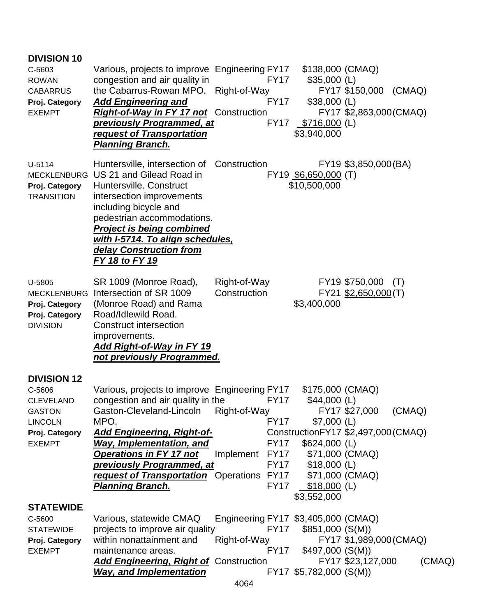| <b>DIVISION 10</b><br>C-5603<br><b>ROWAN</b><br><b>CABARRUS</b><br>Proj. Category<br><b>EXEMPT</b>                     | Various, projects to improve Engineering FY17 \$138,000 (CMAQ)<br>congestion and air quality in<br>the Cabarrus-Rowan MPO. Right-of-Way<br><b>Add Engineering and</b><br><b>Right-of-Way in FY 17 not</b> Construction<br><b>previously Programmed, at</b><br>request of Transportation<br><b>Planning Branch.</b>                                                        | <b>FY17</b><br>FY17                                                          | $$35,000$ (L)<br>$$38,000$ (L)<br>FY17 \$716,000 (L)<br>\$3,940,000                                      | FY17 \$150,000 (CMAQ)<br>FY17 \$2,863,000 (CMAQ)                |        |
|------------------------------------------------------------------------------------------------------------------------|---------------------------------------------------------------------------------------------------------------------------------------------------------------------------------------------------------------------------------------------------------------------------------------------------------------------------------------------------------------------------|------------------------------------------------------------------------------|----------------------------------------------------------------------------------------------------------|-----------------------------------------------------------------|--------|
| U-5114<br>MECKLENBURG<br>Proj. Category<br><b>TRANSITION</b>                                                           | Huntersville, intersection of Construction<br>US 21 and Gilead Road in<br>Huntersville. Construct<br>intersection improvements<br>including bicycle and<br>pedestrian accommodations.<br><b>Project is being combined</b><br>with I-5714. To align schedules,<br>delay Construction from<br>FY 18 to FY 19                                                                |                                                                              | FY19 \$6,650,000 (T)<br>\$10,500,000                                                                     | FY19 \$3,850,000 (BA)                                           |        |
| U-5805<br>MECKLENBURG<br>Proj. Category<br>Proj. Category<br><b>DIVISION</b>                                           | SR 1009 (Monroe Road),<br>Intersection of SR 1009<br>(Monroe Road) and Rama<br>Road/Idlewild Road.<br><b>Construct intersection</b><br>improvements.<br><b>Add Right-of-Way in FY 19</b><br>not previously Programmed.                                                                                                                                                    | Right-of-Way<br>Construction                                                 | \$3,400,000                                                                                              | FY19 \$750,000<br>(T)<br>FY21 \$2,650,000 (T)                   |        |
| <b>DIVISION 12</b><br>C-5606<br><b>CLEVELAND</b><br><b>GASTON</b><br><b>LINCOLN</b><br>Proj. Category<br><b>EXEMPT</b> | Various, projects to improve Engineering FY17<br>congestion and air quality in the<br>Gaston-Cleveland-Lincoln Right-of-Way<br>MPO.<br><b>Add Engineering, Right-of-</b><br><b>Way, Implementation, and</b><br><b>Operations in FY 17 not</b><br><b>previously Programmed, at</b><br>request of Transportation Operations FY17 \$71,000 (CMAQ)<br><b>Planning Branch.</b> | <b>FY17</b><br>FY17<br>FY17<br>Implement FY17 \$71,000 (CMAQ)<br><b>FY17</b> | \$175,000 (CMAQ)<br>\$44,000 (L)<br>$$7,000$ (L)<br>$$624,000$ (L)<br>$$18,000$ (L)<br>FY17 \$18,000 (L) | FY17 \$27,000<br>(CMAQ)<br>Construction FY17 \$2,497,000 (CMAQ) |        |
| <b>STATEWIDE</b><br>C-5600<br><b>STATEWIDE</b><br>Proj. Category<br><b>EXEMPT</b>                                      | Various, statewide CMAQ<br>projects to improve air quality<br>within nonattainment and<br>maintenance areas.<br><b>Add Engineering, Right of Construction</b><br><b>Way, and Implementation</b>                                                                                                                                                                           | Engineering FY17 \$3,405,000 (CMAQ)<br>Right-of-Way                          | \$3,552,000<br>FY17 \$851,000 (S(M))<br>FY17 \$497,000 (S(M))<br>FY17 \$5,782,000 (S(M))                 | FY17 \$1,989,000 (CMAQ)<br>FY17 \$23,127,000                    | (CMAQ) |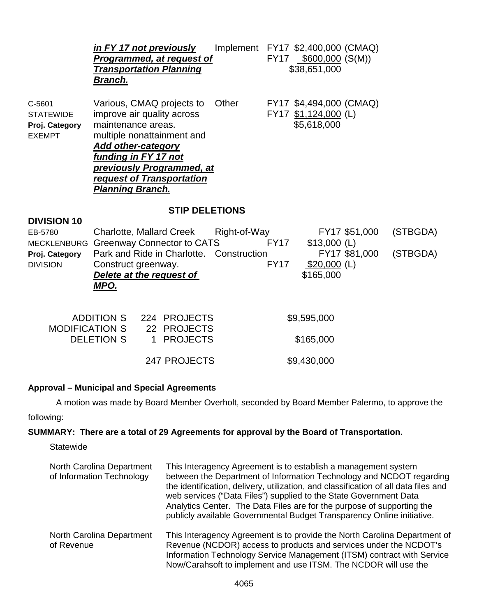|                                                               | in FY 17 not previously<br><b>Programmed, at request of</b><br><b>Transportation Planning</b><br><u>Branch.</u>                                                                                                                                                     |                                                |              |             | Implement FY17 \$2,400,000 (CMAQ)<br>FY17 \$600,000 (S(M))<br>\$38,651,000 |               |          |
|---------------------------------------------------------------|---------------------------------------------------------------------------------------------------------------------------------------------------------------------------------------------------------------------------------------------------------------------|------------------------------------------------|--------------|-------------|----------------------------------------------------------------------------|---------------|----------|
| C-5601<br><b>STATEWIDE</b><br>Proj. Category<br><b>EXEMPT</b> | Various, CMAQ projects to<br>improve air quality across<br>maintenance areas.<br>multiple nonattainment and<br><b>Add other-category</b><br><b>funding in FY 17 not</b><br><u>previously Programmed, at</u><br>request of Transportation<br><b>Planning Branch.</b> |                                                | Other        |             | FY17 \$4,494,000 (CMAQ)<br>FY17 \$1,124,000 (L)<br>\$5,618,000             |               |          |
| <b>DIVISION 10</b>                                            |                                                                                                                                                                                                                                                                     | <b>STIP DELETIONS</b>                          |              |             |                                                                            |               |          |
| EB-5780<br><b>MECKLENBURG</b>                                 | <b>Charlotte, Mallard Creek</b><br><b>Greenway Connector to CATS</b>                                                                                                                                                                                                |                                                | Right-of-Way | <b>FY17</b> | $$13,000$ (L)                                                              | FY17 \$51,000 | (STBGDA) |
| Proj. Category<br><b>DIVISION</b>                             | Park and Ride in Charlotte.<br>Construct greenway.<br><b>Delete at the request of</b><br>MPO.                                                                                                                                                                       |                                                | Construction | <b>FY17</b> | $$20,000$ (L)<br>\$165,000                                                 | FY17 \$81,000 | (STBGDA) |
| <b>MODIFICATION S</b>                                         | <b>ADDITION S</b><br><b>DELETION S</b><br>1                                                                                                                                                                                                                         | 224 PROJECTS<br>22 PROJECTS<br><b>PROJECTS</b> |              |             | \$9,595,000<br>\$165,000                                                   |               |          |
|                                                               |                                                                                                                                                                                                                                                                     | 247 PROJECTS                                   |              |             | \$9,430,000                                                                |               |          |

# **Approval – Municipal and Special Agreements**

A motion was made by Board Member Overholt, seconded by Board Member Palermo, to approve the following:

#### **SUMMARY: There are a total of 29 Agreements for approval by the Board of Transportation.**

**Statewide** 

| North Carolina Department<br>of Information Technology | This Interagency Agreement is to establish a management system<br>between the Department of Information Technology and NCDOT regarding<br>the identification, delivery, utilization, and classification of all data files and<br>web services ("Data Files") supplied to the State Government Data<br>Analytics Center. The Data Files are for the purpose of supporting the<br>publicly available Governmental Budget Transparency Online initiative. |
|--------------------------------------------------------|--------------------------------------------------------------------------------------------------------------------------------------------------------------------------------------------------------------------------------------------------------------------------------------------------------------------------------------------------------------------------------------------------------------------------------------------------------|
| North Carolina Department<br>of Revenue                | This Interagency Agreement is to provide the North Carolina Department of<br>Revenue (NCDOR) access to products and services under the NCDOT's<br>Information Technology Service Management (ITSM) contract with Service<br>Now/Carahsoft to implement and use ITSM. The NCDOR will use the                                                                                                                                                            |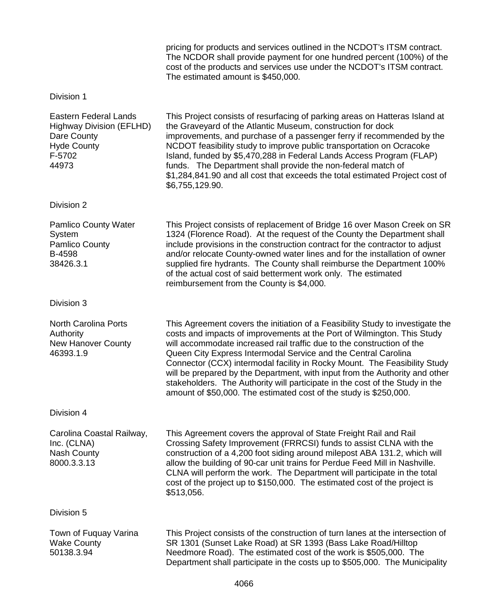|                                                                                                                         | pricing for products and services outlined in the NCDOT's ITSM contract.<br>The NCDOR shall provide payment for one hundred percent (100%) of the<br>cost of the products and services use under the NCDOT's ITSM contract.<br>The estimated amount is \$450,000.                                                                                                                                                                                                                                                                                                                                                      |
|-------------------------------------------------------------------------------------------------------------------------|------------------------------------------------------------------------------------------------------------------------------------------------------------------------------------------------------------------------------------------------------------------------------------------------------------------------------------------------------------------------------------------------------------------------------------------------------------------------------------------------------------------------------------------------------------------------------------------------------------------------|
| Division 1                                                                                                              |                                                                                                                                                                                                                                                                                                                                                                                                                                                                                                                                                                                                                        |
| <b>Eastern Federal Lands</b><br><b>Highway Division (EFLHD)</b><br>Dare County<br><b>Hyde County</b><br>F-5702<br>44973 | This Project consists of resurfacing of parking areas on Hatteras Island at<br>the Graveyard of the Atlantic Museum, construction for dock<br>improvements, and purchase of a passenger ferry if recommended by the<br>NCDOT feasibility study to improve public transportation on Ocracoke<br>Island, funded by \$5,470,288 in Federal Lands Access Program (FLAP)<br>funds. The Department shall provide the non-federal match of<br>\$1,284,841.90 and all cost that exceeds the total estimated Project cost of<br>\$6,755,129.90.                                                                                 |
| Division 2                                                                                                              |                                                                                                                                                                                                                                                                                                                                                                                                                                                                                                                                                                                                                        |
| <b>Pamlico County Water</b><br>System<br>Pamlico County<br><b>B-4598</b><br>38426.3.1                                   | This Project consists of replacement of Bridge 16 over Mason Creek on SR<br>1324 (Florence Road). At the request of the County the Department shall<br>include provisions in the construction contract for the contractor to adjust<br>and/or relocate County-owned water lines and for the installation of owner<br>supplied fire hydrants. The County shall reimburse the Department 100%<br>of the actual cost of said betterment work only. The estimated<br>reimbursement from the County is \$4,000.                                                                                                             |
| Division 3                                                                                                              |                                                                                                                                                                                                                                                                                                                                                                                                                                                                                                                                                                                                                        |
| <b>North Carolina Ports</b><br>Authority<br><b>New Hanover County</b><br>46393.1.9                                      | This Agreement covers the initiation of a Feasibility Study to investigate the<br>costs and impacts of improvements at the Port of Wilmington. This Study<br>will accommodate increased rail traffic due to the construction of the<br>Queen City Express Intermodal Service and the Central Carolina<br>Connector (CCX) intermodal facility in Rocky Mount. The Feasibility Study<br>will be prepared by the Department, with input from the Authority and other<br>stakeholders. The Authority will participate in the cost of the Study in the<br>amount of \$50,000. The estimated cost of the study is \$250,000. |
| Division 4                                                                                                              |                                                                                                                                                                                                                                                                                                                                                                                                                                                                                                                                                                                                                        |
| Carolina Coastal Railway,<br>Inc. (CLNA)<br><b>Nash County</b><br>8000.3.3.13                                           | This Agreement covers the approval of State Freight Rail and Rail<br>Crossing Safety Improvement (FRRCSI) funds to assist CLNA with the<br>construction of a 4,200 foot siding around milepost ABA 131.2, which will<br>allow the building of 90-car unit trains for Perdue Feed Mill in Nashville.<br>CLNA will perform the work. The Department will participate in the total<br>cost of the project up to \$150,000. The estimated cost of the project is<br>\$513,056.                                                                                                                                             |
| Division 5                                                                                                              |                                                                                                                                                                                                                                                                                                                                                                                                                                                                                                                                                                                                                        |
| Town of Fuquay Varina<br><b>Wake County</b><br>50138.3.94                                                               | This Project consists of the construction of turn lanes at the intersection of<br>SR 1301 (Sunset Lake Road) at SR 1393 (Bass Lake Road/Hilltop<br>Needmore Road). The estimated cost of the work is \$505,000. The<br>Department shall participate in the costs up to \$505,000. The Municipality                                                                                                                                                                                                                                                                                                                     |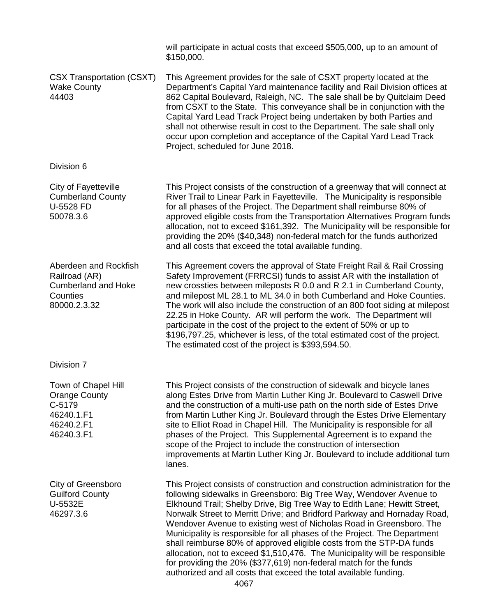will participate in actual costs that exceed \$505,000, up to an amount of \$150,000. CSX Transportation (CSXT) Wake County 44403 This Agreement provides for the sale of CSXT property located at the Department's Capital Yard maintenance facility and Rail Division offices at 862 Capital Boulevard, Raleigh, NC. The sale shall be by Quitclaim Deed from CSXT to the State. This conveyance shall be in conjunction with the Capital Yard Lead Track Project being undertaken by both Parties and shall not otherwise result in cost to the Department. The sale shall only occur upon completion and acceptance of the Capital Yard Lead Track Project, scheduled for June 2018. Division 6 City of Fayetteville Cumberland County U-5528 FD 50078.3.6 This Project consists of the construction of a greenway that will connect at River Trail to Linear Park in Fayetteville. The Municipality is responsible for all phases of the Project. The Department shall reimburse 80% of approved eligible costs from the Transportation Alternatives Program funds allocation, not to exceed \$161,392. The Municipality will be responsible for providing the 20% (\$40,348) non-federal match for the funds authorized and all costs that exceed the total available funding. Aberdeen and Rockfish Railroad (AR) Cumberland and Hoke **Counties** 80000.2.3.32 This Agreement covers the approval of State Freight Rail & Rail Crossing Safety Improvement (FRRCSI) funds to assist AR with the installation of new crossties between mileposts R 0.0 and R 2.1 in Cumberland County, and milepost ML 28.1 to ML 34.0 in both Cumberland and Hoke Counties. The work will also include the construction of an 800 foot siding at milepost 22.25 in Hoke County. AR will perform the work. The Department will participate in the cost of the project to the extent of 50% or up to \$196,797.25, whichever is less, of the total estimated cost of the project. The estimated cost of the project is \$393,594.50. Division 7 Town of Chapel Hill Orange County C-5179 46240.1.F1 46240.2.F1 46240.3.F1 This Project consists of the construction of sidewalk and bicycle lanes along Estes Drive from Martin Luther King Jr. Boulevard to Caswell Drive and the construction of a multi-use path on the north side of Estes Drive from Martin Luther King Jr. Boulevard through the Estes Drive Elementary site to Elliot Road in Chapel Hill. The Municipality is responsible for all phases of the Project. This Supplemental Agreement is to expand the scope of the Project to include the construction of intersection improvements at Martin Luther King Jr. Boulevard to include additional turn lanes. City of Greensboro Guilford County U-5532E 46297.3.6 This Project consists of construction and construction administration for the following sidewalks in Greensboro: Big Tree Way, Wendover Avenue to Elkhound Trail; Shelby Drive, Big Tree Way to Edith Lane; Hewitt Street, Norwalk Street to Merritt Drive; and Bridford Parkway and Hornaday Road, Wendover Avenue to existing west of Nicholas Road in Greensboro. The Municipality is responsible for all phases of the Project. The Department shall reimburse 80% of approved eligible costs from the STP-DA funds allocation, not to exceed \$1,510,476. The Municipality will be responsible for providing the 20% (\$377,619) non-federal match for the funds

4067

authorized and all costs that exceed the total available funding.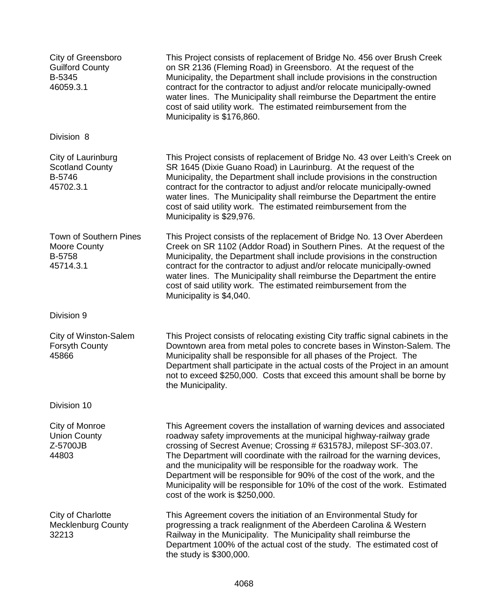| City of Greensboro<br><b>Guilford County</b><br>B-5345<br>46059.3.1         | This Project consists of replacement of Bridge No. 456 over Brush Creek<br>on SR 2136 (Fleming Road) in Greensboro. At the request of the<br>Municipality, the Department shall include provisions in the construction<br>contract for the contractor to adjust and/or relocate municipally-owned<br>water lines. The Municipality shall reimburse the Department the entire<br>cost of said utility work. The estimated reimbursement from the<br>Municipality is \$176,860.                                                                                        |
|-----------------------------------------------------------------------------|----------------------------------------------------------------------------------------------------------------------------------------------------------------------------------------------------------------------------------------------------------------------------------------------------------------------------------------------------------------------------------------------------------------------------------------------------------------------------------------------------------------------------------------------------------------------|
| Division 8                                                                  |                                                                                                                                                                                                                                                                                                                                                                                                                                                                                                                                                                      |
| City of Laurinburg<br><b>Scotland County</b><br>B-5746<br>45702.3.1         | This Project consists of replacement of Bridge No. 43 over Leith's Creek on<br>SR 1645 (Dixie Guano Road) in Laurinburg. At the request of the<br>Municipality, the Department shall include provisions in the construction<br>contract for the contractor to adjust and/or relocate municipally-owned<br>water lines. The Municipality shall reimburse the Department the entire<br>cost of said utility work. The estimated reimbursement from the<br>Municipality is \$29,976.                                                                                    |
| <b>Town of Southern Pines</b><br><b>Moore County</b><br>B-5758<br>45714.3.1 | This Project consists of the replacement of Bridge No. 13 Over Aberdeen<br>Creek on SR 1102 (Addor Road) in Southern Pines. At the request of the<br>Municipality, the Department shall include provisions in the construction<br>contract for the contractor to adjust and/or relocate municipally-owned<br>water lines. The Municipality shall reimburse the Department the entire<br>cost of said utility work. The estimated reimbursement from the<br>Municipality is \$4,040.                                                                                  |
| Division 9                                                                  |                                                                                                                                                                                                                                                                                                                                                                                                                                                                                                                                                                      |
| City of Winston-Salem<br><b>Forsyth County</b><br>45866                     | This Project consists of relocating existing City traffic signal cabinets in the<br>Downtown area from metal poles to concrete bases in Winston-Salem. The<br>Municipality shall be responsible for all phases of the Project. The<br>Department shall participate in the actual costs of the Project in an amount<br>not to exceed \$250,000. Costs that exceed this amount shall be borne by<br>the Municipality.                                                                                                                                                  |
| Division 10                                                                 |                                                                                                                                                                                                                                                                                                                                                                                                                                                                                                                                                                      |
| City of Monroe<br><b>Union County</b><br>Z-5700JB<br>44803                  | This Agreement covers the installation of warning devices and associated<br>roadway safety improvements at the municipal highway-railway grade<br>crossing of Secrest Avenue; Crossing # 631578J, milepost SF-303.07.<br>The Department will coordinate with the railroad for the warning devices,<br>and the municipality will be responsible for the roadway work. The<br>Department will be responsible for 90% of the cost of the work, and the<br>Municipality will be responsible for 10% of the cost of the work. Estimated<br>cost of the work is \$250,000. |
| City of Charlotte<br><b>Mecklenburg County</b><br>32213                     | This Agreement covers the initiation of an Environmental Study for<br>progressing a track realignment of the Aberdeen Carolina & Western<br>Railway in the Municipality. The Municipality shall reimburse the<br>Department 100% of the actual cost of the study. The estimated cost of<br>the study is \$300,000.                                                                                                                                                                                                                                                   |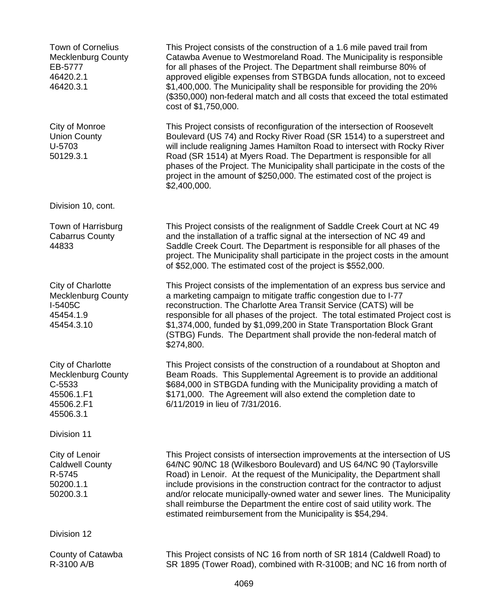Town of Cornelius Mecklenburg County EB-5777 46420.2.1 46420.3.1 This Project consists of the construction of a 1.6 mile paved trail from Catawba Avenue to Westmoreland Road. The Municipality is responsible for all phases of the Project. The Department shall reimburse 80% of approved eligible expenses from STBGDA funds allocation, not to exceed \$1,400,000. The Municipality shall be responsible for providing the 20% (\$350,000) non-federal match and all costs that exceed the total estimated cost of \$1,750,000. City of Monroe Union County U-5703 50129.3.1 This Project consists of reconfiguration of the intersection of Roosevelt Boulevard (US 74) and Rocky River Road (SR 1514) to a superstreet and will include realigning James Hamilton Road to intersect with Rocky River Road (SR 1514) at Myers Road. The Department is responsible for all phases of the Project. The Municipality shall participate in the costs of the project in the amount of \$250,000. The estimated cost of the project is \$2,400,000. Division 10, cont. Town of Harrisburg Cabarrus County 44833 This Project consists of the realignment of Saddle Creek Court at NC 49 and the installation of a traffic signal at the intersection of NC 49 and Saddle Creek Court. The Department is responsible for all phases of the project. The Municipality shall participate in the project costs in the amount of \$52,000. The estimated cost of the project is \$552,000. City of Charlotte Mecklenburg County I-5405C 45454.1.9 45454.3.10 This Project consists of the implementation of an express bus service and a marketing campaign to mitigate traffic congestion due to I-77 reconstruction. The Charlotte Area Transit Service (CATS) will be responsible for all phases of the project. The total estimated Project cost is \$1,374,000, funded by \$1,099,200 in State Transportation Block Grant (STBG) Funds. The Department shall provide the non-federal match of \$274,800. City of Charlotte Mecklenburg County C-5533 45506.1.F1 45506.2.F1 45506.3.1 This Project consists of the construction of a roundabout at Shopton and Beam Roads. This Supplemental Agreement is to provide an additional \$684,000 in STBGDA funding with the Municipality providing a match of \$171,000. The Agreement will also extend the completion date to 6/11/2019 in lieu of 7/31/2016. Division 11 City of Lenoir Caldwell County R-5745 50200.1.1 50200.3.1 This Project consists of intersection improvements at the intersection of US 64/NC 90/NC 18 (Wilkesboro Boulevard) and US 64/NC 90 (Taylorsville Road) in Lenoir. At the request of the Municipality, the Department shall include provisions in the construction contract for the contractor to adjust and/or relocate municipally-owned water and sewer lines. The Municipality shall reimburse the Department the entire cost of said utility work. The estimated reimbursement from the Municipality is \$54,294. Division 12 County of Catawba R-3100 A/B This Project consists of NC 16 from north of SR 1814 (Caldwell Road) to SR 1895 (Tower Road), combined with R-3100B; and NC 16 from north of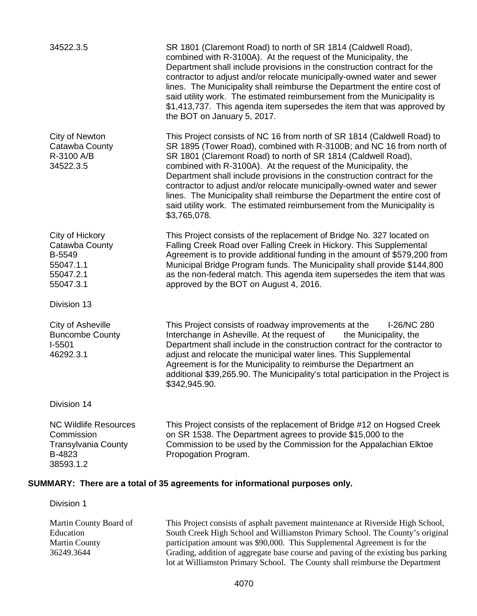| SR 1801 (Claremont Road) to north of SR 1814 (Caldwell Road),<br>combined with R-3100A). At the request of the Municipality, the<br>Department shall include provisions in the construction contract for the<br>contractor to adjust and/or relocate municipally-owned water and sewer<br>lines. The Municipality shall reimburse the Department the entire cost of<br>said utility work. The estimated reimbursement from the Municipality is<br>\$1,413,737. This agenda item supersedes the item that was approved by<br>the BOT on January 5, 2017.                                                           |
|-------------------------------------------------------------------------------------------------------------------------------------------------------------------------------------------------------------------------------------------------------------------------------------------------------------------------------------------------------------------------------------------------------------------------------------------------------------------------------------------------------------------------------------------------------------------------------------------------------------------|
| This Project consists of NC 16 from north of SR 1814 (Caldwell Road) to<br>SR 1895 (Tower Road), combined with R-3100B; and NC 16 from north of<br>SR 1801 (Claremont Road) to north of SR 1814 (Caldwell Road),<br>combined with R-3100A). At the request of the Municipality, the<br>Department shall include provisions in the construction contract for the<br>contractor to adjust and/or relocate municipally-owned water and sewer<br>lines. The Municipality shall reimburse the Department the entire cost of<br>said utility work. The estimated reimbursement from the Municipality is<br>\$3,765,078. |
| This Project consists of the replacement of Bridge No. 327 located on<br>Falling Creek Road over Falling Creek in Hickory. This Supplemental<br>Agreement is to provide additional funding in the amount of \$579,200 from<br>Municipal Bridge Program funds. The Municipality shall provide \$144,800<br>as the non-federal match. This agenda item supersedes the item that was<br>approved by the BOT on August 4, 2016.                                                                                                                                                                                       |
|                                                                                                                                                                                                                                                                                                                                                                                                                                                                                                                                                                                                                   |
| This Project consists of roadway improvements at the<br>I-26/NC 280<br>Interchange in Asheville. At the request of<br>the Municipality, the<br>Department shall include in the construction contract for the contractor to<br>adjust and relocate the municipal water lines. This Supplemental<br>Agreement is for the Municipality to reimburse the Department an<br>additional \$39,265.90. The Municipality's total participation in the Project is<br>\$342,945.90.                                                                                                                                           |
|                                                                                                                                                                                                                                                                                                                                                                                                                                                                                                                                                                                                                   |
| This Project consists of the replacement of Bridge #12 on Hogsed Creek<br>on SR 1538. The Department agrees to provide \$15,000 to the<br>Commission to be used by the Commission for the Appalachian Elktoe<br>Propogation Program.                                                                                                                                                                                                                                                                                                                                                                              |
|                                                                                                                                                                                                                                                                                                                                                                                                                                                                                                                                                                                                                   |

# **SUMMARY: There are a total of 35 agreements for informational purposes only.**

Division 1

Martin County Board of Education Martin County 36249.3644 This Project consists of asphalt pavement maintenance at Riverside High School, South Creek High School and Williamston Primary School. The County's original participation amount was \$90,000. This Supplemental Agreement is for the Grading, addition of aggregate base course and paving of the existing bus parking lot at Williamston Primary School. The County shall reimburse the Department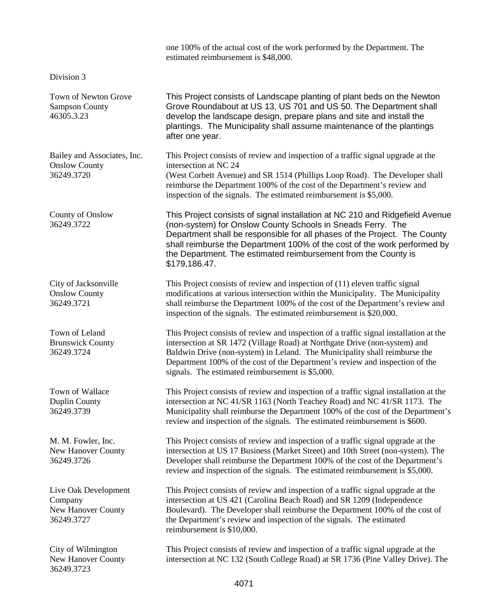|                                                                            | one 100% of the actual cost of the work performed by the Department. The<br>estimated reimbursement is \$48,000.                                                                                                                                                                                                                                                                        |
|----------------------------------------------------------------------------|-----------------------------------------------------------------------------------------------------------------------------------------------------------------------------------------------------------------------------------------------------------------------------------------------------------------------------------------------------------------------------------------|
| Division 3                                                                 |                                                                                                                                                                                                                                                                                                                                                                                         |
| <b>Town of Newton Grove</b><br><b>Sampson County</b><br>46305.3.23         | This Project consists of Landscape planting of plant beds on the Newton<br>Grove Roundabout at US 13, US 701 and US 50. The Department shall<br>develop the landscape design, prepare plans and site and install the<br>plantings. The Municipality shall assume maintenance of the plantings<br>after one year.                                                                        |
| Bailey and Associates, Inc.<br><b>Onslow County</b><br>36249.3720          | This Project consists of review and inspection of a traffic signal upgrade at the<br>intersection at NC 24<br>(West Corbett Avenue) and SR 1514 (Phillips Loop Road). The Developer shall<br>reimburse the Department 100% of the cost of the Department's review and<br>inspection of the signals. The estimated reimbursement is \$5,000.                                             |
| County of Onslow<br>36249.3722                                             | This Project consists of signal installation at NC 210 and Ridgefield Avenue<br>(non-system) for Onslow County Schools in Sneads Ferry. The<br>Department shall be responsible for all phases of the Project. The County<br>shall reimburse the Department 100% of the cost of the work performed by<br>the Department. The estimated reimbursement from the County is<br>\$179,186.47. |
| City of Jacksonville<br><b>Onslow County</b><br>36249.3721                 | This Project consists of review and inspection of (11) eleven traffic signal<br>modifications at various intersection within the Municipality. The Municipality<br>shall reimburse the Department 100% of the cost of the Department's review and<br>inspection of the signals. The estimated reimbursement is \$20,000.                                                                |
| Town of Leland<br><b>Brunswick County</b><br>36249.3724                    | This Project consists of review and inspection of a traffic signal installation at the<br>intersection at SR 1472 (Village Road) at Northgate Drive (non-system) and<br>Baldwin Drive (non-system) in Leland. The Municipality shall reimburse the<br>Department 100% of the cost of the Department's review and inspection of the<br>signals. The estimated reimbursement is \$5,000.  |
| Town of Wallace<br><b>Duplin County</b><br>36249.3739                      | This Project consists of review and inspection of a traffic signal installation at the<br>intersection at NC 41/SR 1163 (North Teachey Road) and NC 41/SR 1173. The<br>Municipality shall reimburse the Department 100% of the cost of the Department's<br>review and inspection of the signals. The estimated reimbursement is \$600.                                                  |
| M. M. Fowler, Inc.<br><b>New Hanover County</b><br>36249.3726              | This Project consists of review and inspection of a traffic signal upgrade at the<br>intersection at US 17 Business (Market Street) and 10th Street (non-system). The<br>Developer shall reimburse the Department 100% of the cost of the Department's<br>review and inspection of the signals. The estimated reimbursement is \$5,000.                                                 |
| Live Oak Development<br>Company<br><b>New Hanover County</b><br>36249.3727 | This Project consists of review and inspection of a traffic signal upgrade at the<br>intersection at US 421 (Carolina Beach Road) and SR 1209 (Independence<br>Boulevard). The Developer shall reimburse the Department 100% of the cost of<br>the Department's review and inspection of the signals. The estimated<br>reimbursement is \$10,000.                                       |
| City of Wilmington<br>New Hanover County<br>36249.3723                     | This Project consists of review and inspection of a traffic signal upgrade at the<br>intersection at NC 132 (South College Road) at SR 1736 (Pine Valley Drive). The                                                                                                                                                                                                                    |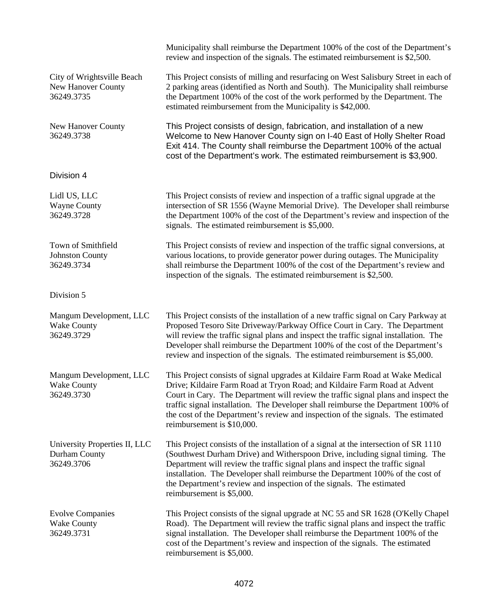|                                                                | Municipality shall reimburse the Department 100% of the cost of the Department's<br>review and inspection of the signals. The estimated reimbursement is \$2,500.                                                                                                                                                                                                                                                                                        |
|----------------------------------------------------------------|----------------------------------------------------------------------------------------------------------------------------------------------------------------------------------------------------------------------------------------------------------------------------------------------------------------------------------------------------------------------------------------------------------------------------------------------------------|
| City of Wrightsville Beach<br>New Hanover County<br>36249.3735 | This Project consists of milling and resurfacing on West Salisbury Street in each of<br>2 parking areas (identified as North and South). The Municipality shall reimburse<br>the Department 100% of the cost of the work performed by the Department. The<br>estimated reimbursement from the Municipality is \$42,000.                                                                                                                                  |
| New Hanover County<br>36249.3738                               | This Project consists of design, fabrication, and installation of a new<br>Welcome to New Hanover County sign on I-40 East of Holly Shelter Road<br>Exit 414. The County shall reimburse the Department 100% of the actual<br>cost of the Department's work. The estimated reimbursement is \$3,900.                                                                                                                                                     |
| Division 4                                                     |                                                                                                                                                                                                                                                                                                                                                                                                                                                          |
| Lidl US, LLC<br><b>Wayne County</b><br>36249.3728              | This Project consists of review and inspection of a traffic signal upgrade at the<br>intersection of SR 1556 (Wayne Memorial Drive). The Developer shall reimburse<br>the Department 100% of the cost of the Department's review and inspection of the<br>signals. The estimated reimbursement is \$5,000.                                                                                                                                               |
| Town of Smithfield<br><b>Johnston County</b><br>36249.3734     | This Project consists of review and inspection of the traffic signal conversions, at<br>various locations, to provide generator power during outages. The Municipality<br>shall reimburse the Department 100% of the cost of the Department's review and<br>inspection of the signals. The estimated reimbursement is \$2,500.                                                                                                                           |
| Division 5                                                     |                                                                                                                                                                                                                                                                                                                                                                                                                                                          |
| Mangum Development, LLC<br><b>Wake County</b><br>36249.3729    | This Project consists of the installation of a new traffic signal on Cary Parkway at<br>Proposed Tesoro Site Driveway/Parkway Office Court in Cary. The Department<br>will review the traffic signal plans and inspect the traffic signal installation. The<br>Developer shall reimburse the Department 100% of the cost of the Department's<br>review and inspection of the signals. The estimated reimbursement is \$5,000.                            |
| Mangum Development, LLC<br><b>Wake County</b><br>36249.3730    | This Project consists of signal upgrades at Kildaire Farm Road at Wake Medical<br>Drive; Kildaire Farm Road at Tryon Road; and Kildaire Farm Road at Advent<br>Court in Cary. The Department will review the traffic signal plans and inspect the<br>traffic signal installation. The Developer shall reimburse the Department 100% of<br>the cost of the Department's review and inspection of the signals. The estimated<br>reimbursement is \$10,000. |
| University Properties II, LLC<br>Durham County<br>36249.3706   | This Project consists of the installation of a signal at the intersection of SR 1110<br>(Southwest Durham Drive) and Witherspoon Drive, including signal timing. The<br>Department will review the traffic signal plans and inspect the traffic signal<br>installation. The Developer shall reimburse the Department 100% of the cost of<br>the Department's review and inspection of the signals. The estimated<br>reimbursement is \$5,000.            |
| <b>Evolve Companies</b><br><b>Wake County</b><br>36249.3731    | This Project consists of the signal upgrade at NC 55 and SR 1628 (O'Kelly Chapel<br>Road). The Department will review the traffic signal plans and inspect the traffic<br>signal installation. The Developer shall reimburse the Department 100% of the<br>cost of the Department's review and inspection of the signals. The estimated<br>reimbursement is \$5,000.                                                                                     |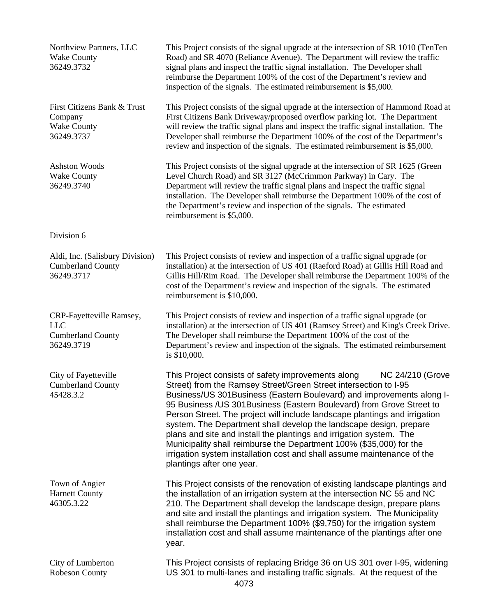| Northview Partners, LLC<br><b>Wake County</b><br>36249.3732                      | This Project consists of the signal upgrade at the intersection of SR 1010 (TenTen<br>Road) and SR 4070 (Reliance Avenue). The Department will review the traffic<br>signal plans and inspect the traffic signal installation. The Developer shall<br>reimburse the Department 100% of the cost of the Department's review and<br>inspection of the signals. The estimated reimbursement is \$5,000.                                                                                                                                                                                                                                                                                                    |
|----------------------------------------------------------------------------------|---------------------------------------------------------------------------------------------------------------------------------------------------------------------------------------------------------------------------------------------------------------------------------------------------------------------------------------------------------------------------------------------------------------------------------------------------------------------------------------------------------------------------------------------------------------------------------------------------------------------------------------------------------------------------------------------------------|
| First Citizens Bank & Trust<br>Company<br><b>Wake County</b><br>36249.3737       | This Project consists of the signal upgrade at the intersection of Hammond Road at<br>First Citizens Bank Driveway/proposed overflow parking lot. The Department<br>will review the traffic signal plans and inspect the traffic signal installation. The<br>Developer shall reimburse the Department 100% of the cost of the Department's<br>review and inspection of the signals. The estimated reimbursement is \$5,000.                                                                                                                                                                                                                                                                             |
| <b>Ashston Woods</b><br><b>Wake County</b><br>36249.3740                         | This Project consists of the signal upgrade at the intersection of SR 1625 (Green<br>Level Church Road) and SR 3127 (McCrimmon Parkway) in Cary. The<br>Department will review the traffic signal plans and inspect the traffic signal<br>installation. The Developer shall reimburse the Department 100% of the cost of<br>the Department's review and inspection of the signals. The estimated<br>reimbursement is \$5,000.                                                                                                                                                                                                                                                                           |
| Division 6                                                                       |                                                                                                                                                                                                                                                                                                                                                                                                                                                                                                                                                                                                                                                                                                         |
| Aldi, Inc. (Salisbury Division)<br><b>Cumberland County</b><br>36249.3717        | This Project consists of review and inspection of a traffic signal upgrade (or<br>installation) at the intersection of US 401 (Raeford Road) at Gillis Hill Road and<br>Gillis Hill/Rim Road. The Developer shall reimburse the Department 100% of the<br>cost of the Department's review and inspection of the signals. The estimated<br>reimbursement is \$10,000.                                                                                                                                                                                                                                                                                                                                    |
| CRP-Fayetteville Ramsey,<br><b>LLC</b><br><b>Cumberland County</b><br>36249.3719 | This Project consists of review and inspection of a traffic signal upgrade (or<br>installation) at the intersection of US 401 (Ramsey Street) and King's Creek Drive.<br>The Developer shall reimburse the Department 100% of the cost of the<br>Department's review and inspection of the signals. The estimated reimbursement<br>is \$10,000.                                                                                                                                                                                                                                                                                                                                                         |
| City of Fayetteville<br><b>Cumberland County</b><br>45428.3.2                    | This Project consists of safety improvements along<br>NC 24/210 (Grove<br>Street) from the Ramsey Street/Green Street intersection to I-95<br>Business/US 301Business (Eastern Boulevard) and improvements along I-<br>95 Business / US 301 Business (Eastern Boulevard) from Grove Street to<br>Person Street. The project will include landscape plantings and irrigation<br>system. The Department shall develop the landscape design, prepare<br>plans and site and install the plantings and irrigation system. The<br>Municipality shall reimburse the Department 100% (\$35,000) for the<br>irrigation system installation cost and shall assume maintenance of the<br>plantings after one year. |
| Town of Angier<br><b>Harnett County</b><br>46305.3.22                            | This Project consists of the renovation of existing landscape plantings and<br>the installation of an irrigation system at the intersection NC 55 and NC<br>210. The Department shall develop the landscape design, prepare plans<br>and site and install the plantings and irrigation system. The Municipality<br>shall reimburse the Department 100% (\$9,750) for the irrigation system<br>installation cost and shall assume maintenance of the plantings after one<br>year.                                                                                                                                                                                                                        |
| City of Lumberton<br>Robeson County                                              | This Project consists of replacing Bridge 36 on US 301 over I-95, widening<br>US 301 to multi-lanes and installing traffic signals. At the request of the                                                                                                                                                                                                                                                                                                                                                                                                                                                                                                                                               |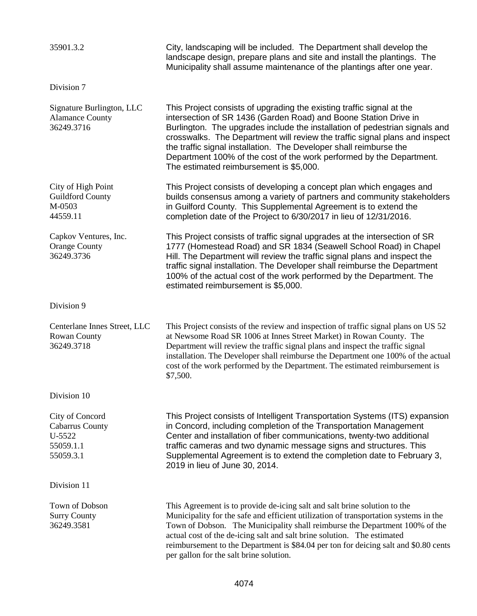| 35901.3.2                                                                     | City, landscaping will be included. The Department shall develop the<br>landscape design, prepare plans and site and install the plantings. The<br>Municipality shall assume maintenance of the plantings after one year.                                                                                                                                                                                                                                                                        |
|-------------------------------------------------------------------------------|--------------------------------------------------------------------------------------------------------------------------------------------------------------------------------------------------------------------------------------------------------------------------------------------------------------------------------------------------------------------------------------------------------------------------------------------------------------------------------------------------|
| Division 7                                                                    |                                                                                                                                                                                                                                                                                                                                                                                                                                                                                                  |
| Signature Burlington, LLC<br><b>Alamance County</b><br>36249.3716             | This Project consists of upgrading the existing traffic signal at the<br>intersection of SR 1436 (Garden Road) and Boone Station Drive in<br>Burlington. The upgrades include the installation of pedestrian signals and<br>crosswalks. The Department will review the traffic signal plans and inspect<br>the traffic signal installation. The Developer shall reimburse the<br>Department 100% of the cost of the work performed by the Department.<br>The estimated reimbursement is \$5,000. |
| City of High Point<br><b>Guildford County</b><br>M-0503<br>44559.11           | This Project consists of developing a concept plan which engages and<br>builds consensus among a variety of partners and community stakeholders<br>in Guilford County. This Supplemental Agreement is to extend the<br>completion date of the Project to 6/30/2017 in lieu of 12/31/2016.                                                                                                                                                                                                        |
| Capkov Ventures, Inc.<br><b>Orange County</b><br>36249.3736                   | This Project consists of traffic signal upgrades at the intersection of SR<br>1777 (Homestead Road) and SR 1834 (Seawell School Road) in Chapel<br>Hill. The Department will review the traffic signal plans and inspect the<br>traffic signal installation. The Developer shall reimburse the Department<br>100% of the actual cost of the work performed by the Department. The<br>estimated reimbursement is \$5,000.                                                                         |
| Division 9                                                                    |                                                                                                                                                                                                                                                                                                                                                                                                                                                                                                  |
| Centerlane Innes Street, LLC<br><b>Rowan County</b><br>36249.3718             | This Project consists of the review and inspection of traffic signal plans on US 52<br>at Newsome Road SR 1006 at Innes Street Market) in Rowan County. The<br>Department will review the traffic signal plans and inspect the traffic signal<br>installation. The Developer shall reimburse the Department one 100% of the actual<br>cost of the work performed by the Department. The estimated reimbursement is<br>\$7,500.                                                                   |
| Division 10                                                                   |                                                                                                                                                                                                                                                                                                                                                                                                                                                                                                  |
| City of Concord<br><b>Cabarrus County</b><br>U-5522<br>55059.1.1<br>55059.3.1 | This Project consists of Intelligent Transportation Systems (ITS) expansion<br>in Concord, including completion of the Transportation Management<br>Center and installation of fiber communications, twenty-two additional<br>traffic cameras and two dynamic message signs and structures. This<br>Supplemental Agreement is to extend the completion date to February 3,<br>2019 in lieu of June 30, 2014.                                                                                     |
| Division 11                                                                   |                                                                                                                                                                                                                                                                                                                                                                                                                                                                                                  |
| Town of Dobson<br><b>Surry County</b><br>36249.3581                           | This Agreement is to provide de-icing salt and salt brine solution to the<br>Municipality for the safe and efficient utilization of transportation systems in the<br>Town of Dobson. The Municipality shall reimburse the Department 100% of the<br>actual cost of the de-icing salt and salt brine solution. The estimated<br>reimbursement to the Department is \$84.04 per ton for deicing salt and \$0.80 cents<br>per gallon for the salt brine solution.                                   |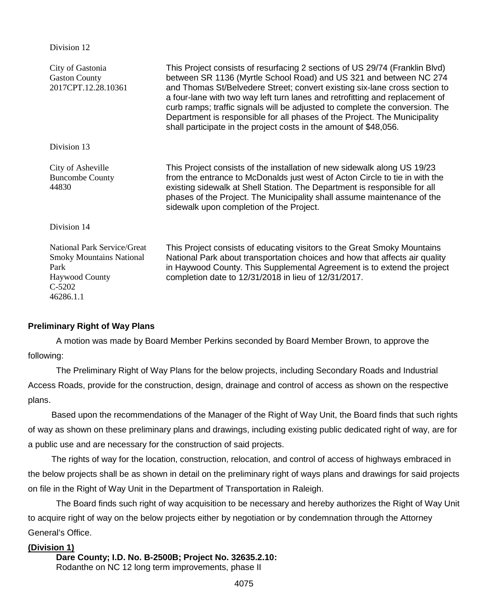## Division 12

| City of Gastonia<br><b>Gaston County</b><br>2017CPT.12.28.10361                                                                 | This Project consists of resurfacing 2 sections of US 29/74 (Franklin Blvd)<br>between SR 1136 (Myrtle School Road) and US 321 and between NC 274<br>and Thomas St/Belvedere Street; convert existing six-lane cross section to<br>a four-lane with two way left turn lanes and retrofitting and replacement of<br>curb ramps; traffic signals will be adjusted to complete the conversion. The<br>Department is responsible for all phases of the Project. The Municipality<br>shall participate in the project costs in the amount of \$48,056. |
|---------------------------------------------------------------------------------------------------------------------------------|---------------------------------------------------------------------------------------------------------------------------------------------------------------------------------------------------------------------------------------------------------------------------------------------------------------------------------------------------------------------------------------------------------------------------------------------------------------------------------------------------------------------------------------------------|
| Division 13                                                                                                                     |                                                                                                                                                                                                                                                                                                                                                                                                                                                                                                                                                   |
| City of Asheville<br><b>Buncombe County</b><br>44830                                                                            | This Project consists of the installation of new sidewalk along US 19/23<br>from the entrance to McDonalds just west of Acton Circle to tie in with the<br>existing sidewalk at Shell Station. The Department is responsible for all<br>phases of the Project. The Municipality shall assume maintenance of the<br>sidewalk upon completion of the Project.                                                                                                                                                                                       |
| Division 14                                                                                                                     |                                                                                                                                                                                                                                                                                                                                                                                                                                                                                                                                                   |
| <b>National Park Service/Great</b><br><b>Smoky Mountains National</b><br>Park<br><b>Haywood County</b><br>$C-5202$<br>46286.1.1 | This Project consists of educating visitors to the Great Smoky Mountains<br>National Park about transportation choices and how that affects air quality<br>in Haywood County. This Supplemental Agreement is to extend the project<br>completion date to 12/31/2018 in lieu of 12/31/2017.                                                                                                                                                                                                                                                        |

# **Preliminary Right of Way Plans**

A motion was made by Board Member Perkins seconded by Board Member Brown, to approve the following:

The Preliminary Right of Way Plans for the below projects, including Secondary Roads and Industrial Access Roads, provide for the construction, design, drainage and control of access as shown on the respective plans.

Based upon the recommendations of the Manager of the Right of Way Unit, the Board finds that such rights of way as shown on these preliminary plans and drawings, including existing public dedicated right of way, are for a public use and are necessary for the construction of said projects.

The rights of way for the location, construction, relocation, and control of access of highways embraced in the below projects shall be as shown in detail on the preliminary right of ways plans and drawings for said projects on file in the Right of Way Unit in the Department of Transportation in Raleigh.

The Board finds such right of way acquisition to be necessary and hereby authorizes the Right of Way Unit to acquire right of way on the below projects either by negotiation or by condemnation through the Attorney General's Office.

# **(Division 1)**

**Dare County; I.D. No. B-2500B; Project No. 32635.2.10:** Rodanthe on NC 12 long term improvements, phase II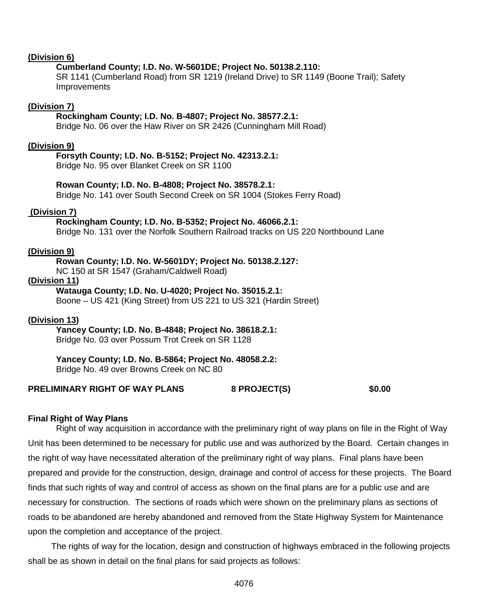## **(Division 6)**

# **Cumberland County; I.D. No. W-5601DE; Project No. 50138.2.110:**

SR 1141 (Cumberland Road) from SR 1219 (Ireland Drive) to SR 1149 (Boone Trail); Safety **Improvements** 

## **(Division 7)**

# **Rockingham County; I.D. No. B-4807; Project No. 38577.2.1:**

Bridge No. 06 over the Haw River on SR 2426 (Cunningham Mill Road)

#### **(Division 9)**

## **Forsyth County; I.D. No. B-5152; Project No. 42313.2.1:**

Bridge No. 95 over Blanket Creek on SR 1100

## **Rowan County; I.D. No. B-4808; Project No. 38578.2.1:**

Bridge No. 141 over South Second Creek on SR 1004 (Stokes Ferry Road)

#### **(Division 7)**

#### **Rockingham County; I.D. No. B-5352; Project No. 46066.2.1:**

Bridge No. 131 over the Norfolk Southern Railroad tracks on US 220 Northbound Lane

#### **(Division 9)**

#### **Rowan County; I.D. No. W-5601DY; Project No. 50138.2.127:**

NC 150 at SR 1547 (Graham/Caldwell Road)

# **(Division 11)**

## **Watauga County; I.D. No. U-4020; Project No. 35015.2.1:**

Boone – US 421 (King Street) from US 221 to US 321 (Hardin Street)

## **(Division 13)**

## **Yancey County; I.D. No. B-4848; Project No. 38618.2.1:**

Bridge No. 03 over Possum Trot Creek on SR 1128

# **Yancey County; I.D. No. B-5864; Project No. 48058.2.2:**

Bridge No. 49 over Browns Creek on NC 80

## **PRELIMINARY RIGHT OF WAY PLANS 8 PROJECT(S) \$0.00**

#### **Final Right of Way Plans**

Right of way acquisition in accordance with the preliminary right of way plans on file in the Right of Way Unit has been determined to be necessary for public use and was authorized by the Board. Certain changes in the right of way have necessitated alteration of the preliminary right of way plans. Final plans have been prepared and provide for the construction, design, drainage and control of access for these projects. The Board finds that such rights of way and control of access as shown on the final plans are for a public use and are necessary for construction. The sections of roads which were shown on the preliminary plans as sections of roads to be abandoned are hereby abandoned and removed from the State Highway System for Maintenance upon the completion and acceptance of the project.

The rights of way for the location, design and construction of highways embraced in the following projects shall be as shown in detail on the final plans for said projects as follows: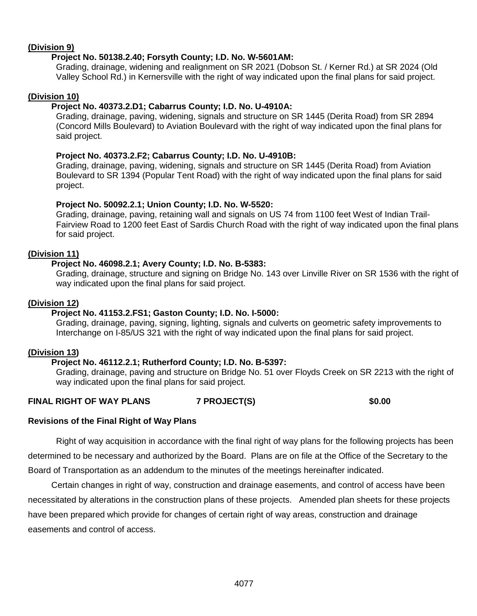# **(Division 9)**

# **Project No. 50138.2.40; Forsyth County; I.D. No. W-5601AM:**

Grading, drainage, widening and realignment on SR 2021 (Dobson St. / Kerner Rd.) at SR 2024 (Old Valley School Rd.) in Kernersville with the right of way indicated upon the final plans for said project.

# **(Division 10)**

# **Project No. 40373.2.D1; Cabarrus County; I.D. No. U-4910A:**

Grading, drainage, paving, widening, signals and structure on SR 1445 (Derita Road) from SR 2894 (Concord Mills Boulevard) to Aviation Boulevard with the right of way indicated upon the final plans for said project.

# **Project No. 40373.2.F2; Cabarrus County; I.D. No. U-4910B:**

Grading, drainage, paving, widening, signals and structure on SR 1445 (Derita Road) from Aviation Boulevard to SR 1394 (Popular Tent Road) with the right of way indicated upon the final plans for said project.

# **Project No. 50092.2.1; Union County; I.D. No. W-5520:**

Grading, drainage, paving, retaining wall and signals on US 74 from 1100 feet West of Indian Trail-Fairview Road to 1200 feet East of Sardis Church Road with the right of way indicated upon the final plans for said project.

# **(Division 11)**

# **Project No. 46098.2.1; Avery County; I.D. No. B-5383:**

Grading, drainage, structure and signing on Bridge No. 143 over Linville River on SR 1536 with the right of way indicated upon the final plans for said project.

# **(Division 12)**

# **Project No. 41153.2.FS1; Gaston County; I.D. No. I-5000:**

Grading, drainage, paving, signing, lighting, signals and culverts on geometric safety improvements to Interchange on I-85/US 321 with the right of way indicated upon the final plans for said project.

# **(Division 13)**

# **Project No. 46112.2.1; Rutherford County; I.D. No. B-5397:**

Grading, drainage, paving and structure on Bridge No. 51 over Floyds Creek on SR 2213 with the right of way indicated upon the final plans for said project.

# **FINAL RIGHT OF WAY PLANS 7 PROJECT(S) \$0.00**

## **Revisions of the Final Right of Way Plans**

Right of way acquisition in accordance with the final right of way plans for the following projects has been determined to be necessary and authorized by the Board. Plans are on file at the Office of the Secretary to the Board of Transportation as an addendum to the minutes of the meetings hereinafter indicated.

Certain changes in right of way, construction and drainage easements, and control of access have been necessitated by alterations in the construction plans of these projects. Amended plan sheets for these projects have been prepared which provide for changes of certain right of way areas, construction and drainage easements and control of access.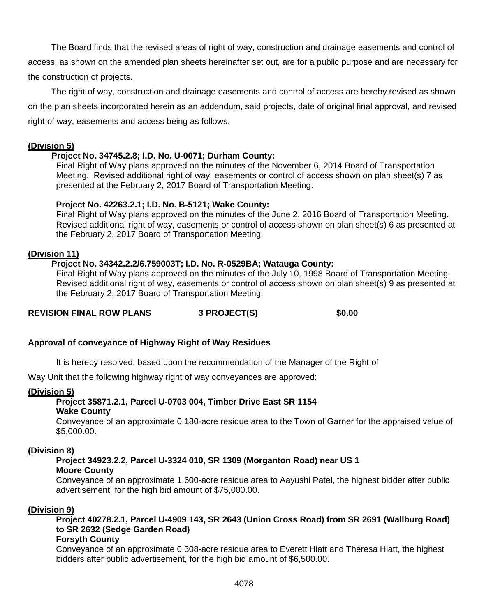The Board finds that the revised areas of right of way, construction and drainage easements and control of access, as shown on the amended plan sheets hereinafter set out, are for a public purpose and are necessary for the construction of projects.

The right of way, construction and drainage easements and control of access are hereby revised as shown on the plan sheets incorporated herein as an addendum, said projects, date of original final approval, and revised right of way, easements and access being as follows:

# **(Division 5)**

# **Project No. 34745.2.8; I.D. No. U-0071; Durham County:**

Final Right of Way plans approved on the minutes of the November 6, 2014 Board of Transportation Meeting. Revised additional right of way, easements or control of access shown on plan sheet(s) 7 as presented at the February 2, 2017 Board of Transportation Meeting.

# **Project No. 42263.2.1; I.D. No. B-5121; Wake County:**

Final Right of Way plans approved on the minutes of the June 2, 2016 Board of Transportation Meeting. Revised additional right of way, easements or control of access shown on plan sheet(s) 6 as presented at the February 2, 2017 Board of Transportation Meeting.

# **(Division 11)**

# **Project No. 34342.2.2/6.759003T; I.D. No. R-0529BA; Watauga County:**

Final Right of Way plans approved on the minutes of the July 10, 1998 Board of Transportation Meeting. Revised additional right of way, easements or control of access shown on plan sheet(s) 9 as presented at the February 2, 2017 Board of Transportation Meeting.

**REVISION FINAL ROW PLANS 3 PROJECT(S) \$0.00**

# **Approval of conveyance of Highway Right of Way Residues**

It is hereby resolved, based upon the recommendation of the Manager of the Right of

Way Unit that the following highway right of way conveyances are approved:

## **(Division 5)**

# **Project 35871.2.1, Parcel U-0703 004, Timber Drive East SR 1154**

# **Wake County**

Conveyance of an approximate 0.180-acre residue area to the Town of Garner for the appraised value of \$5,000.00.

## **(Division 8)**

## **Project 34923.2.2, Parcel U-3324 010, SR 1309 (Morganton Road) near US 1 Moore County**

Conveyance of an approximate 1.600-acre residue area to Aayushi Patel, the highest bidder after public advertisement, for the high bid amount of \$75,000.00.

## **(Division 9)**

**Project 40278.2.1, Parcel U-4909 143, SR 2643 (Union Cross Road) from SR 2691 (Wallburg Road) to SR 2632 (Sedge Garden Road)** 

# **Forsyth County**

Conveyance of an approximate 0.308-acre residue area to Everett Hiatt and Theresa Hiatt, the highest bidders after public advertisement, for the high bid amount of \$6,500.00.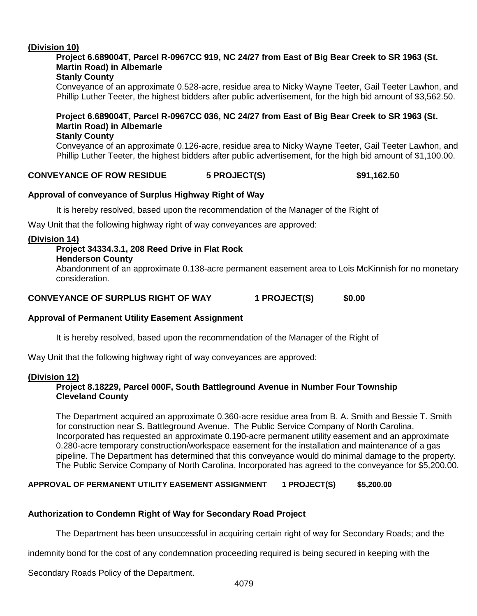# **(Division 10)**

# **Project 6.689004T, Parcel R-0967CC 919, NC 24/27 from East of Big Bear Creek to SR 1963 (St. Martin Road) in Albemarle**

# **Stanly County**

Conveyance of an approximate 0.528-acre, residue area to Nicky Wayne Teeter, Gail Teeter Lawhon, and Phillip Luther Teeter, the highest bidders after public advertisement, for the high bid amount of \$3,562.50.

#### **Project 6.689004T, Parcel R-0967CC 036, NC 24/27 from East of Big Bear Creek to SR 1963 (St. Martin Road) in Albemarle Stanly County**

Conveyance of an approximate 0.126-acre, residue area to Nicky Wayne Teeter, Gail Teeter Lawhon, and Phillip Luther Teeter, the highest bidders after public advertisement, for the high bid amount of \$1,100.00.

# **CONVEYANCE OF ROW RESIDUE 5 PROJECT(S) \$91,162.50**

# **Approval of conveyance of Surplus Highway Right of Way**

It is hereby resolved, based upon the recommendation of the Manager of the Right of

Way Unit that the following highway right of way conveyances are approved:

## **(Division 14)**

# **Project 34334.3.1, 208 Reed Drive in Flat Rock**

#### **Henderson County**

Abandonment of an approximate 0.138-acre permanent easement area to Lois McKinnish for no monetary consideration.

**CONVEYANCE OF SURPLUS RIGHT OF WAY 1 PROJECT(S) \$0.00**

## **Approval of Permanent Utility Easement Assignment**

It is hereby resolved, based upon the recommendation of the Manager of the Right of

Way Unit that the following highway right of way conveyances are approved:

## **(Division 12)**

# **Project 8.18229, Parcel 000F, South Battleground Avenue in Number Four Township Cleveland County**

The Department acquired an approximate 0.360-acre residue area from B. A. Smith and Bessie T. Smith for construction near S. Battleground Avenue. The Public Service Company of North Carolina, Incorporated has requested an approximate 0.190-acre permanent utility easement and an approximate 0.280-acre temporary construction/workspace easement for the installation and maintenance of a gas pipeline. The Department has determined that this conveyance would do minimal damage to the property. The Public Service Company of North Carolina, Incorporated has agreed to the conveyance for \$5,200.00.

# **APPROVAL OF PERMANENT UTILITY EASEMENT ASSIGNMENT 1 PROJECT(S) \$5,200.00**

## **Authorization to Condemn Right of Way for Secondary Road Project**

The Department has been unsuccessful in acquiring certain right of way for Secondary Roads; and the

indemnity bond for the cost of any condemnation proceeding required is being secured in keeping with the

Secondary Roads Policy of the Department.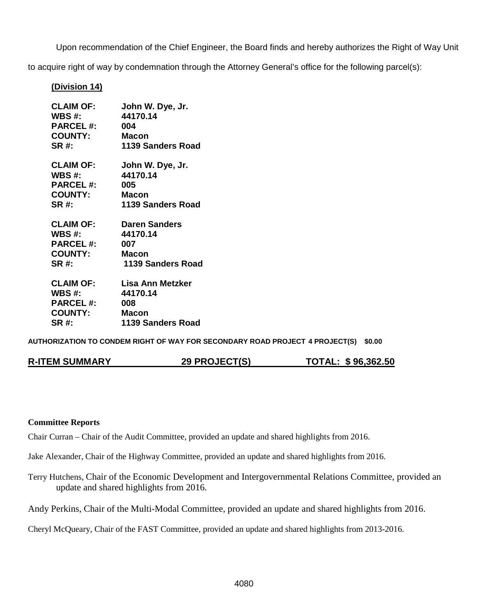Upon recommendation of the Chief Engineer, the Board finds and hereby authorizes the Right of Way Unit

to acquire right of way by condemnation through the Attorney General's office for the following parcel(s):

# **(Division 14)**

| <b>CLAIM OF:</b>                                                                          | John W. Dye, Jr.                                                            |
|-------------------------------------------------------------------------------------------|-----------------------------------------------------------------------------|
| WBS #:                                                                                    | 44170.14                                                                    |
| <b>PARCEL #:</b>                                                                          | 004                                                                         |
| <b>COUNTY:</b>                                                                            | Macon                                                                       |
| <b>SR#:</b>                                                                               | 1139 Sanders Road                                                           |
| WBS $#$ :<br><b>PARCEL #:</b><br><b>COUNTY:</b><br>SR #:                                  | CLAIM OF: John W. Dye, Jr.<br>44170.14<br>005<br>Macon<br>1139 Sanders Road |
| <b>CLAIM OF: Daren Sanders</b><br>WBS $#$ :<br><b>PARCEL#:</b><br><b>COUNTY:</b><br>SR #: | 44170.14<br>007<br>Macon<br>1139 Sanders Road                               |
| <b>CLAIM OF:</b>                                                                          | <b>Lisa Ann Metzker</b>                                                     |
| WBS #:                                                                                    | 44170.14                                                                    |
| <b>PARCEL#:</b>                                                                           | 008                                                                         |
| <b>COUNTY:</b>                                                                            | Macon                                                                       |
| <b>SR#:</b>                                                                               | 1139 Sanders Road                                                           |

**AUTHORIZATION TO CONDEM RIGHT OF WAY FOR SECONDARY ROAD PROJECT 4 PROJECT(S) \$0.00**

| <b>R-ITEM SUMMARY</b> |  |
|-----------------------|--|
|-----------------------|--|

**R-ITEM SUMMARY 29 PROJECT(S) TOTAL: \$ 96,362.50**

#### **Committee Reports**

Chair Curran – Chair of the Audit Committee, provided an update and shared highlights from 2016.

Jake Alexander, Chair of the Highway Committee, provided an update and shared highlights from 2016.

Terry Hutchens, Chair of the Economic Development and Intergovernmental Relations Committee, provided an update and shared highlights from 2016.

Andy Perkins, Chair of the Multi-Modal Committee, provided an update and shared highlights from 2016.

Cheryl McQueary, Chair of the FAST Committee, provided an update and shared highlights from 2013-2016.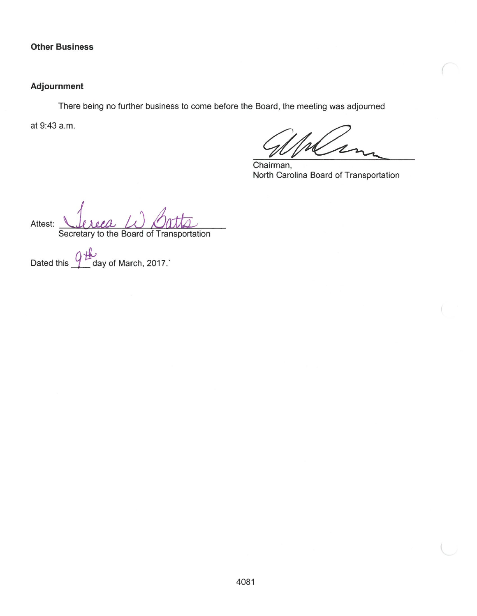## **Other Business**

# **Adjournment**

There being no further business to come before the Board, the meeting was adjourned

at 9:43 a.m.

Chairman, North Carolina Board of Transportation

Attest: Secretary to the Board of Transportation

١H ب<br>day of March, 2017.` Dated this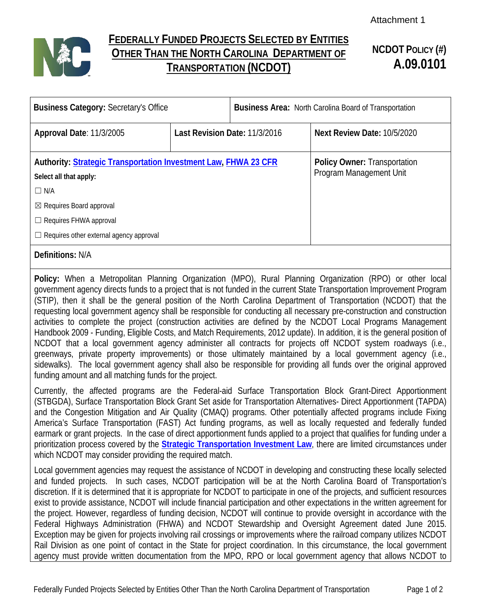

# **FEDERALLY FUNDED PROJECTS SELECTED BY ENTITIES OTHER THAN THE NORTH CAROLINA DEPARTMENT OF TRANSPORTATION (NCDOT)**

# **NCDOT POLICY (#) A.09.0101**

| <b>Business Category: Secretary's Office</b>                                                     |                               | <b>Business Area: North Carolina Board of Transportation</b>   |                             |
|--------------------------------------------------------------------------------------------------|-------------------------------|----------------------------------------------------------------|-----------------------------|
| Approval Date: 11/3/2005                                                                         | Last Revision Date: 11/3/2016 |                                                                | Next Review Date: 10/5/2020 |
| <b>Authority: Strategic Transportation Investment Law, FHWA 23 CFR</b><br>Select all that apply: |                               | <b>Policy Owner: Transportation</b><br>Program Management Unit |                             |
| $\Box$ N/A                                                                                       |                               |                                                                |                             |
| $\boxtimes$ Requires Board approval                                                              |                               |                                                                |                             |
| $\Box$ Requires FHWA approval                                                                    |                               |                                                                |                             |
| $\Box$ Requires other external agency approval                                                   |                               |                                                                |                             |
| Definitions: N/A                                                                                 |                               |                                                                |                             |

**Policy:** When a Metropolitan Planning Organization (MPO), Rural Planning Organization (RPO) or other local government agency directs funds to a project that is not funded in the current State Transportation Improvement Program (STIP), then it shall be the general position of the North Carolina Department of Transportation (NCDOT) that the requesting local government agency shall be responsible for conducting all necessary pre-construction and construction activities to complete the project (construction activities are defined by the NCDOT Local Programs Management Handbook 2009 - Funding, Eligible Costs, and Match Requirements, 2012 update). In addition, it is the general position of NCDOT that a local government agency administer all contracts for projects off NCDOT system roadways (i.e., greenways, private property improvements) or those ultimately maintained by a local government agency (i.e., sidewalks). The local government agency shall also be responsible for providing all funds over the original approved funding amount and all matching funds for the project.

Currently, the affected programs are the Federal-aid Surface Transportation Block Grant-Direct Apportionment (STBGDA), Surface Transportation Block Grant Set aside for Transportation Alternatives- Direct Apportionment (TAPDA) and the Congestion Mitigation and Air Quality (CMAQ) programs. Other potentially affected programs include Fixing America's Surface Transportation (FAST) Act funding programs, as well as locally requested and federally funded earmark or grant projects. In the case of direct apportionment funds applied to a project that qualifies for funding under a prioritization process covered by the **[Strategic Transportation Investment Law](http://www.ncleg.net/EnactedLegislation/Statutes/HTML/ByArticle/Chapter_136/Article_14B.html)**, there are limited circumstances under which NCDOT may consider providing the required match.

Local government agencies may request the assistance of NCDOT in developing and constructing these locally selected and funded projects. In such cases, NCDOT participation will be at the North Carolina Board of Transportation's discretion. If it is determined that it is appropriate for NCDOT to participate in one of the projects, and sufficient resources exist to provide assistance, NCDOT will include financial participation and other expectations in the written agreement for the project. However, regardless of funding decision, NCDOT will continue to provide oversight in accordance with the Federal Highways Administration (FHWA) and NCDOT Stewardship and Oversight Agreement dated June 2015. Exception may be given for projects involving rail crossings or improvements where the railroad company utilizes NCDOT Rail Division as one point of contact in the State for project coordination. In this circumstance, the local government agency must provide written documentation from the MPO, RPO or local government agency that allows NCDOT to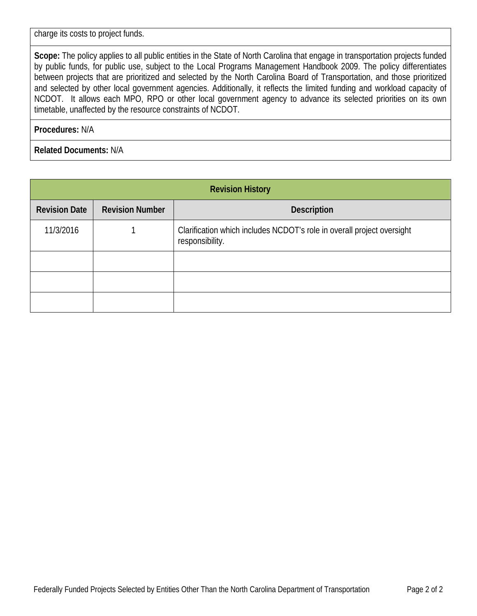charge its costs to project funds.

**Scope:** The policy applies to all public entities in the State of North Carolina that engage in transportation projects funded by public funds, for public use, subject to the Local Programs Management Handbook 2009. The policy differentiates between projects that are prioritized and selected by the North Carolina Board of Transportation, and those prioritized and selected by other local government agencies. Additionally, it reflects the limited funding and workload capacity of NCDOT. It allows each MPO, RPO or other local government agency to advance its selected priorities on its own timetable, unaffected by the resource constraints of NCDOT.

**Procedures:** N/A

**Related Documents:** N/A

| <b>Revision History</b> |                        |                                                                                           |
|-------------------------|------------------------|-------------------------------------------------------------------------------------------|
| <b>Revision Date</b>    | <b>Revision Number</b> | <b>Description</b>                                                                        |
| 11/3/2016               |                        | Clarification which includes NCDOT's role in overall project oversight<br>responsibility. |
|                         |                        |                                                                                           |
|                         |                        |                                                                                           |
|                         |                        |                                                                                           |